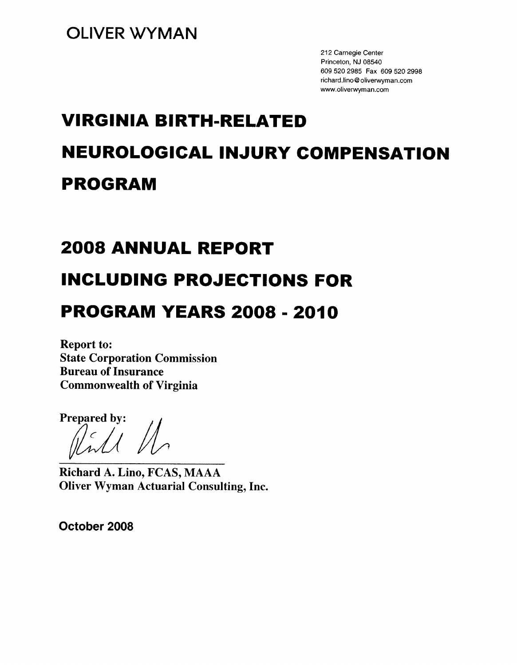212 Carnegie Center Princeton, NJ 08540 609 520 2985 Fax 609 520 2998 richard.lino@oliverwyman.com www.oliverwyman.com

# **VIRGINIA BIRTH-RELATED NEUROLOGICAL INJURY COMPENSATION PROGRAM**

## **2008 ANNUAL REPORT**

## **INCLUDING PROJECTIONS FOR**

## **PROGRAM YEARS 2008 - 2010**

**Report to: State Corporation Commission Bureau of Insurance Commonwealth of Virginia** 

Prepared by:

Richard A. Lino, FCAS, MAAA **Oliver Wyman Actuarial Consulting, Inc.** 

October 2008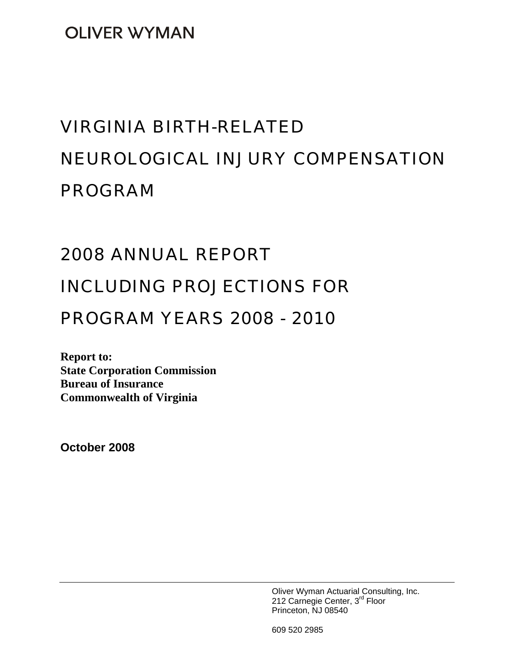**OLIVER WYMAN** 

# VIRGINIA BIRTH-RELATED NEUROLOGICAL INJURY COMPENSATION PROGRAM

## 2008 ANNUAL REPORT

## INCLUDING PROJECTIONS FOR

## PROGRAM YEARS 2008 - 2010

**Report to: State Corporation Commission Bureau of Insurance Commonwealth of Virginia** 

**October 2008** 

Oliver Wyman Actuarial Consulting, Inc. 212 Carnegie Center, 3<sup>rd</sup> Floor Princeton, NJ 08540

609 520 2985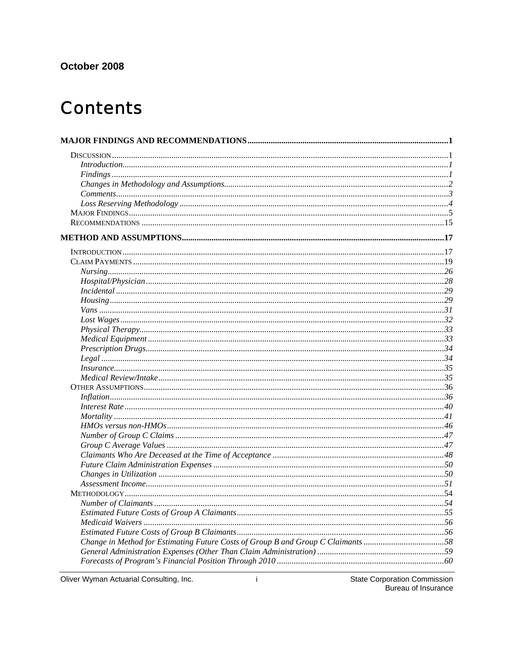## October 2008

## **Contents**

| In surface 35                                                                    |  |
|----------------------------------------------------------------------------------|--|
|                                                                                  |  |
|                                                                                  |  |
|                                                                                  |  |
|                                                                                  |  |
|                                                                                  |  |
|                                                                                  |  |
|                                                                                  |  |
|                                                                                  |  |
|                                                                                  |  |
|                                                                                  |  |
|                                                                                  |  |
|                                                                                  |  |
|                                                                                  |  |
|                                                                                  |  |
|                                                                                  |  |
|                                                                                  |  |
|                                                                                  |  |
| Change in Method for Estimating Future Costs of Group B and Group C Claimants 58 |  |
|                                                                                  |  |
|                                                                                  |  |

Oliver Wyman Actuarial Consulting, Inc.

**State Corporation Commission** Bureau of Insurance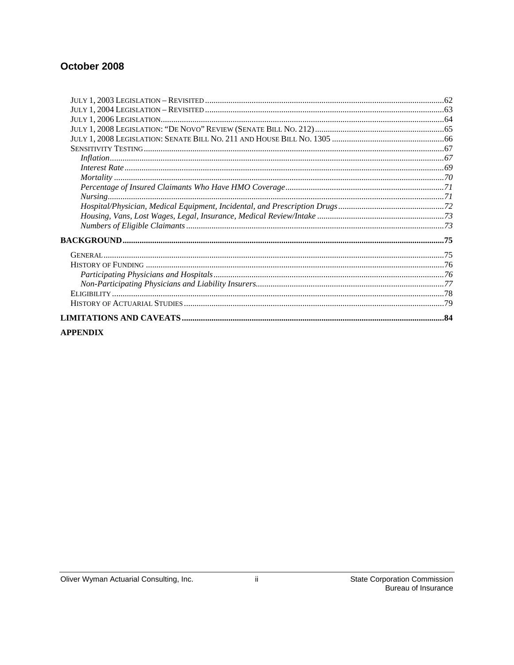## October 2008

| <b>APPENDIX</b> |  |
|-----------------|--|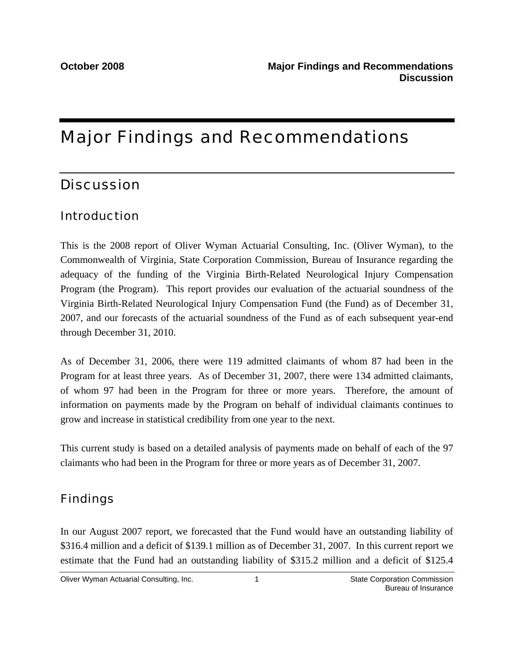## Major Findings and Recommendations

## **Discussion**

## Introduction

This is the 2008 report of Oliver Wyman Actuarial Consulting, Inc. (Oliver Wyman), to the Commonwealth of Virginia, State Corporation Commission, Bureau of Insurance regarding the adequacy of the funding of the Virginia Birth-Related Neurological Injury Compensation Program (the Program). This report provides our evaluation of the actuarial soundness of the Virginia Birth-Related Neurological Injury Compensation Fund (the Fund) as of December 31, 2007, and our forecasts of the actuarial soundness of the Fund as of each subsequent year-end through December 31, 2010.

As of December 31, 2006, there were 119 admitted claimants of whom 87 had been in the Program for at least three years. As of December 31, 2007, there were 134 admitted claimants, of whom 97 had been in the Program for three or more years. Therefore, the amount of information on payments made by the Program on behalf of individual claimants continues to grow and increase in statistical credibility from one year to the next.

This current study is based on a detailed analysis of payments made on behalf of each of the 97 claimants who had been in the Program for three or more years as of December 31, 2007.

## Findings

In our August 2007 report, we forecasted that the Fund would have an outstanding liability of \$316.4 million and a deficit of \$139.1 million as of December 31, 2007. In this current report we estimate that the Fund had an outstanding liability of \$315.2 million and a deficit of \$125.4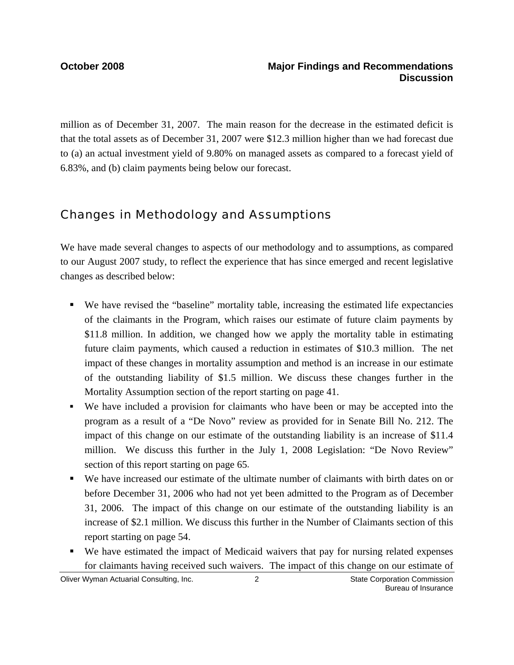million as of December 31, 2007. The main reason for the decrease in the estimated deficit is that the total assets as of December 31, 2007 were \$12.3 million higher than we had forecast due to (a) an actual investment yield of 9.80% on managed assets as compared to a forecast yield of 6.83%, and (b) claim payments being below our forecast.

## Changes in Methodology and Assumptions

We have made several changes to aspects of our methodology and to assumptions, as compared to our August 2007 study, to reflect the experience that has since emerged and recent legislative changes as described below:

- We have revised the "baseline" mortality table, increasing the estimated life expectancies of the claimants in the Program, which raises our estimate of future claim payments by \$11.8 million. In addition, we changed how we apply the mortality table in estimating future claim payments, which caused a reduction in estimates of \$10.3 million. The net impact of these changes in mortality assumption and method is an increase in our estimate of the outstanding liability of \$1.5 million. We discuss these changes further in the Mortality Assumption section of the report starting on page 41.
- We have included a provision for claimants who have been or may be accepted into the program as a result of a "De Novo" review as provided for in Senate Bill No. 212. The impact of this change on our estimate of the outstanding liability is an increase of \$11.4 million. We discuss this further in the July 1, 2008 Legislation: "De Novo Review" section of this report starting on page 65.
- We have increased our estimate of the ultimate number of claimants with birth dates on or before December 31, 2006 who had not yet been admitted to the Program as of December 31, 2006. The impact of this change on our estimate of the outstanding liability is an increase of \$2.1 million. We discuss this further in the Number of Claimants section of this report starting on page 54.
- We have estimated the impact of Medicaid waivers that pay for nursing related expenses for claimants having received such waivers. The impact of this change on our estimate of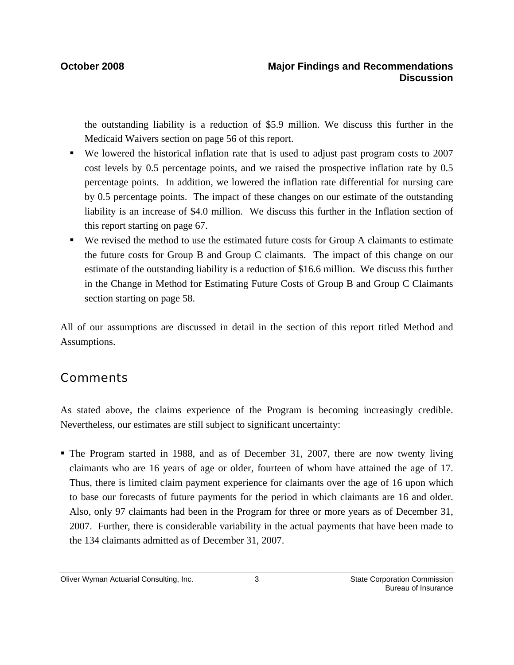the outstanding liability is a reduction of \$5.9 million. We discuss this further in the Medicaid Waivers section on page 56 of this report.

- We lowered the historical inflation rate that is used to adjust past program costs to 2007 cost levels by 0.5 percentage points, and we raised the prospective inflation rate by 0.5 percentage points. In addition, we lowered the inflation rate differential for nursing care by 0.5 percentage points. The impact of these changes on our estimate of the outstanding liability is an increase of \$4.0 million. We discuss this further in the Inflation section of this report starting on page 67.
- We revised the method to use the estimated future costs for Group A claimants to estimate the future costs for Group B and Group C claimants. The impact of this change on our estimate of the outstanding liability is a reduction of \$16.6 million. We discuss this further in the Change in Method for Estimating Future Costs of Group B and Group C Claimants section starting on page 58.

All of our assumptions are discussed in detail in the section of this report titled Method and Assumptions.

## **Comments**

As stated above, the claims experience of the Program is becoming increasingly credible. Nevertheless, our estimates are still subject to significant uncertainty:

 The Program started in 1988, and as of December 31, 2007, there are now twenty living claimants who are 16 years of age or older, fourteen of whom have attained the age of 17. Thus, there is limited claim payment experience for claimants over the age of 16 upon which to base our forecasts of future payments for the period in which claimants are 16 and older. Also, only 97 claimants had been in the Program for three or more years as of December 31, 2007. Further, there is considerable variability in the actual payments that have been made to the 134 claimants admitted as of December 31, 2007.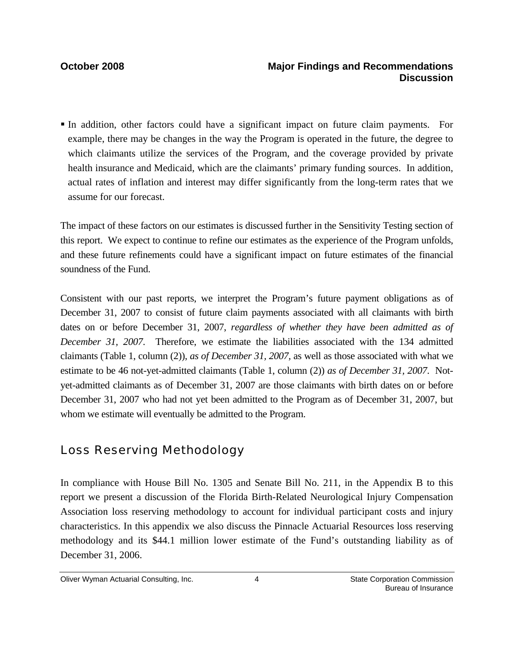In addition, other factors could have a significant impact on future claim payments. For example, there may be changes in the way the Program is operated in the future, the degree to which claimants utilize the services of the Program, and the coverage provided by private health insurance and Medicaid, which are the claimants' primary funding sources. In addition, actual rates of inflation and interest may differ significantly from the long-term rates that we assume for our forecast.

The impact of these factors on our estimates is discussed further in the Sensitivity Testing section of this report. We expect to continue to refine our estimates as the experience of the Program unfolds, and these future refinements could have a significant impact on future estimates of the financial soundness of the Fund.

Consistent with our past reports, we interpret the Program's future payment obligations as of December 31, 2007 to consist of future claim payments associated with all claimants with birth dates on or before December 31, 2007, *regardless of whether they have been admitted as of December 31, 2007*. Therefore, we estimate the liabilities associated with the 134 admitted claimants (Table 1, column (2)), *as of December 31, 2007,* as well as those associated with what we estimate to be 46 not-yet-admitted claimants (Table 1, column (2)) *as of December 31, 2007*. Notyet-admitted claimants as of December 31, 2007 are those claimants with birth dates on or before December 31, 2007 who had not yet been admitted to the Program as of December 31, 2007, but whom we estimate will eventually be admitted to the Program.

## Loss Reserving Methodology

In compliance with House Bill No. 1305 and Senate Bill No. 211, in the Appendix B to this report we present a discussion of the Florida Birth-Related Neurological Injury Compensation Association loss reserving methodology to account for individual participant costs and injury characteristics. In this appendix we also discuss the Pinnacle Actuarial Resources loss reserving methodology and its \$44.1 million lower estimate of the Fund's outstanding liability as of December 31, 2006.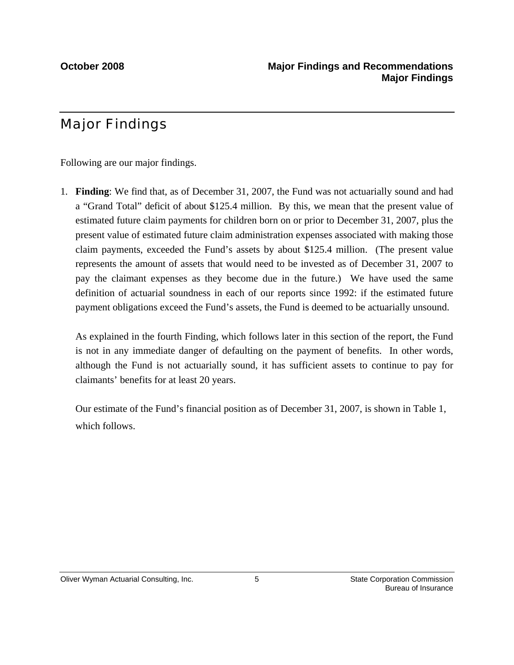## Major Findings

Following are our major findings.

1. **Finding**: We find that, as of December 31, 2007, the Fund was not actuarially sound and had a "Grand Total" deficit of about \$125.4 million. By this, we mean that the present value of estimated future claim payments for children born on or prior to December 31, 2007, plus the present value of estimated future claim administration expenses associated with making those claim payments, exceeded the Fund's assets by about \$125.4 million. (The present value represents the amount of assets that would need to be invested as of December 31, 2007 to pay the claimant expenses as they become due in the future.) We have used the same definition of actuarial soundness in each of our reports since 1992: if the estimated future payment obligations exceed the Fund's assets, the Fund is deemed to be actuarially unsound.

As explained in the fourth Finding, which follows later in this section of the report, the Fund is not in any immediate danger of defaulting on the payment of benefits. In other words, although the Fund is not actuarially sound, it has sufficient assets to continue to pay for claimants' benefits for at least 20 years.

Our estimate of the Fund's financial position as of December 31, 2007, is shown in Table 1, which follows.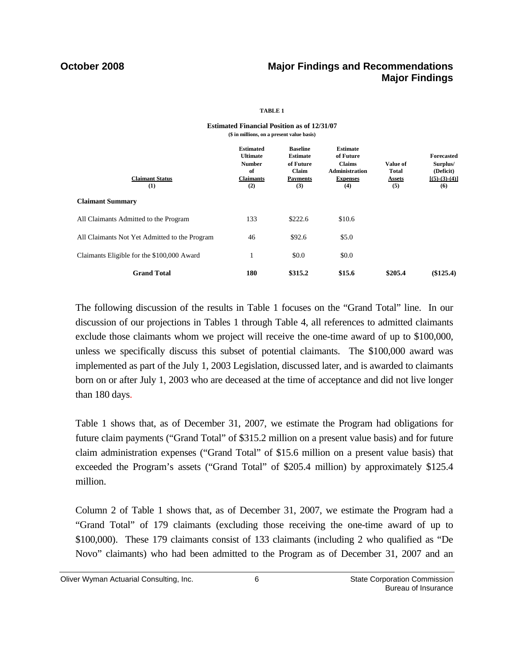## **October 2008 Major Findings and Recommendations Major Findings**

### **TABLE 1**

| <b>Estimated</b><br><b>Ultimate</b><br><b>Number</b><br>of<br><b>Claimants</b><br>(2) | <b>Baseline</b><br><b>Estimate</b><br>of Future<br>Claim<br>Payments<br>(3) | <b>Estimate</b><br>of Future<br><b>Claims</b><br><b>Administration</b><br><b>Expenses</b><br>(4) | Value of<br><b>Total</b><br>Assets<br>(5) | <b>Forecasted</b><br>Surplus/<br>(Deficit)<br>$[(5)-(3)-(4)]$<br>(6) |
|---------------------------------------------------------------------------------------|-----------------------------------------------------------------------------|--------------------------------------------------------------------------------------------------|-------------------------------------------|----------------------------------------------------------------------|
|                                                                                       |                                                                             |                                                                                                  |                                           |                                                                      |
| 133                                                                                   | \$222.6                                                                     | \$10.6                                                                                           |                                           |                                                                      |
| 46                                                                                    | \$92.6                                                                      | \$5.0                                                                                            |                                           |                                                                      |
|                                                                                       | \$0.0                                                                       | \$0.0                                                                                            |                                           |                                                                      |
| 180                                                                                   | \$315.2                                                                     | \$15.6                                                                                           | \$205.4                                   | (\$125.4)                                                            |
|                                                                                       |                                                                             |                                                                                                  |                                           |                                                                      |

### **Estimated Financial Position as of 12/31/07 (\$ in millions, on a present value basis)**

 The following discussion of the results in Table 1 focuses on the "Grand Total" line. In our discussion of our projections in Tables 1 through Table 4, all references to admitted claimants exclude those claimants whom we project will receive the one-time award of up to \$100,000, unless we specifically discuss this subset of potential claimants. The \$100,000 award was implemented as part of the July 1, 2003 Legislation, discussed later, and is awarded to claimants born on or after July 1, 2003 who are deceased at the time of acceptance and did not live longer than 180 days.

Table 1 shows that, as of December 31, 2007, we estimate the Program had obligations for future claim payments ("Grand Total" of \$315.2 million on a present value basis) and for future claim administration expenses ("Grand Total" of \$15.6 million on a present value basis) that exceeded the Program's assets ("Grand Total" of \$205.4 million) by approximately \$125.4 million.

Column 2 of Table 1 shows that, as of December 31, 2007, we estimate the Program had a "Grand Total" of 179 claimants (excluding those receiving the one-time award of up to \$100,000). These 179 claimants consist of 133 claimants (including 2 who qualified as "De Novo" claimants) who had been admitted to the Program as of December 31, 2007 and an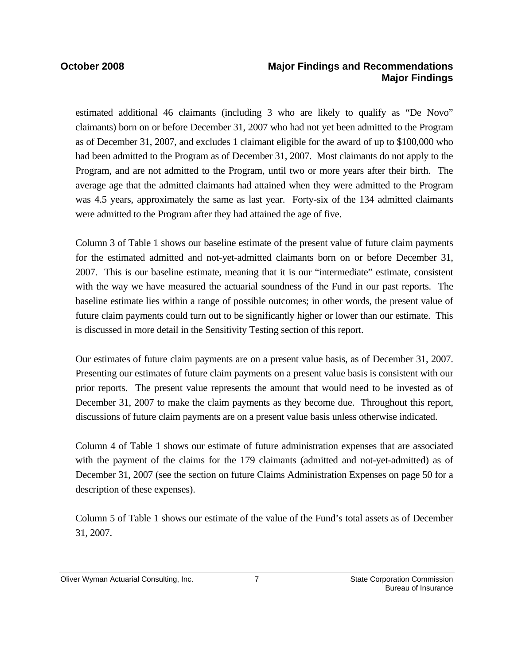## **October 2008 Major Findings and Recommendations Major Findings**

estimated additional 46 claimants (including 3 who are likely to qualify as "De Novo" claimants) born on or before December 31, 2007 who had not yet been admitted to the Program as of December 31, 2007, and excludes 1 claimant eligible for the award of up to \$100,000 who had been admitted to the Program as of December 31, 2007. Most claimants do not apply to the Program, and are not admitted to the Program, until two or more years after their birth. The average age that the admitted claimants had attained when they were admitted to the Program was 4.5 years, approximately the same as last year. Forty-six of the 134 admitted claimants were admitted to the Program after they had attained the age of five.

Column 3 of Table 1 shows our baseline estimate of the present value of future claim payments for the estimated admitted and not-yet-admitted claimants born on or before December 31, 2007. This is our baseline estimate, meaning that it is our "intermediate" estimate, consistent with the way we have measured the actuarial soundness of the Fund in our past reports. The baseline estimate lies within a range of possible outcomes; in other words, the present value of future claim payments could turn out to be significantly higher or lower than our estimate. This is discussed in more detail in the Sensitivity Testing section of this report.

Our estimates of future claim payments are on a present value basis, as of December 31, 2007. Presenting our estimates of future claim payments on a present value basis is consistent with our prior reports. The present value represents the amount that would need to be invested as of December 31, 2007 to make the claim payments as they become due. Throughout this report, discussions of future claim payments are on a present value basis unless otherwise indicated.

Column 4 of Table 1 shows our estimate of future administration expenses that are associated with the payment of the claims for the 179 claimants (admitted and not-yet-admitted) as of December 31, 2007 (see the section on future Claims Administration Expenses on page 50 for a description of these expenses).

Column 5 of Table 1 shows our estimate of the value of the Fund's total assets as of December 31, 2007.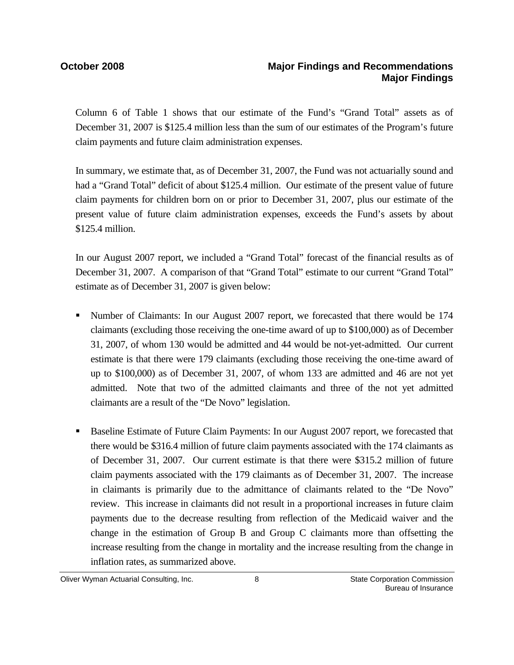Column 6 of Table 1 shows that our estimate of the Fund's "Grand Total" assets as of December 31, 2007 is \$125.4 million less than the sum of our estimates of the Program's future claim payments and future claim administration expenses.

In summary, we estimate that, as of December 31, 2007, the Fund was not actuarially sound and had a "Grand Total" deficit of about \$125.4 million. Our estimate of the present value of future claim payments for children born on or prior to December 31, 2007, plus our estimate of the present value of future claim administration expenses, exceeds the Fund's assets by about \$125.4 million.

In our August 2007 report, we included a "Grand Total" forecast of the financial results as of December 31, 2007. A comparison of that "Grand Total" estimate to our current "Grand Total" estimate as of December 31, 2007 is given below:

- Number of Claimants: In our August 2007 report, we forecasted that there would be 174 claimants (excluding those receiving the one-time award of up to \$100,000) as of December 31, 2007, of whom 130 would be admitted and 44 would be not-yet-admitted. Our current estimate is that there were 179 claimants (excluding those receiving the one-time award of up to \$100,000) as of December 31, 2007, of whom 133 are admitted and 46 are not yet admitted. Note that two of the admitted claimants and three of the not yet admitted claimants are a result of the "De Novo" legislation.
- **Baseline Estimate of Future Claim Payments: In our August 2007 report, we forecasted that** there would be \$316.4 million of future claim payments associated with the 174 claimants as of December 31, 2007. Our current estimate is that there were \$315.2 million of future claim payments associated with the 179 claimants as of December 31, 2007. The increase in claimants is primarily due to the admittance of claimants related to the "De Novo" review. This increase in claimants did not result in a proportional increases in future claim payments due to the decrease resulting from reflection of the Medicaid waiver and the change in the estimation of Group B and Group C claimants more than offsetting the increase resulting from the change in mortality and the increase resulting from the change in inflation rates, as summarized above.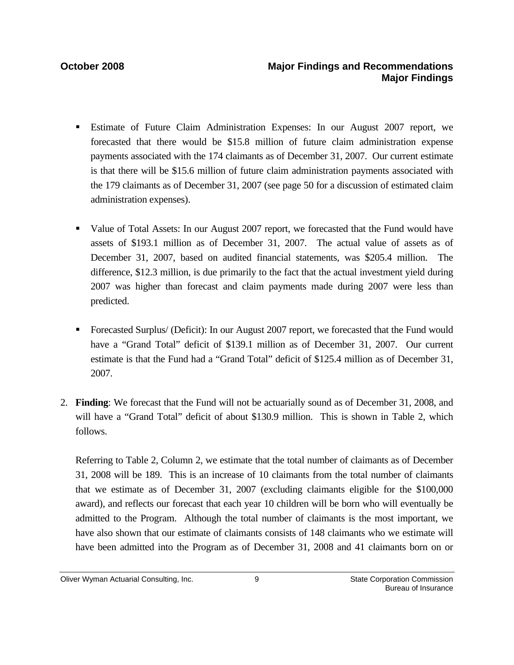- Estimate of Future Claim Administration Expenses: In our August 2007 report, we forecasted that there would be \$15.8 million of future claim administration expense payments associated with the 174 claimants as of December 31, 2007. Our current estimate is that there will be \$15.6 million of future claim administration payments associated with the 179 claimants as of December 31, 2007 (see page 50 for a discussion of estimated claim administration expenses).
- Value of Total Assets: In our August 2007 report, we forecasted that the Fund would have assets of \$193.1 million as of December 31, 2007. The actual value of assets as of December 31, 2007, based on audited financial statements, was \$205.4 million. The difference, \$12.3 million, is due primarily to the fact that the actual investment yield during 2007 was higher than forecast and claim payments made during 2007 were less than predicted.
- Forecasted Surplus/ (Deficit): In our August 2007 report, we forecasted that the Fund would have a "Grand Total" deficit of \$139.1 million as of December 31, 2007. Our current estimate is that the Fund had a "Grand Total" deficit of \$125.4 million as of December 31, 2007.
- 2. **Finding**: We forecast that the Fund will not be actuarially sound as of December 31, 2008, and will have a "Grand Total" deficit of about \$130.9 million. This is shown in Table 2, which follows.

Referring to Table 2, Column 2, we estimate that the total number of claimants as of December 31, 2008 will be 189. This is an increase of 10 claimants from the total number of claimants that we estimate as of December 31, 2007 (excluding claimants eligible for the \$100,000 award), and reflects our forecast that each year 10 children will be born who will eventually be admitted to the Program. Although the total number of claimants is the most important, we have also shown that our estimate of claimants consists of 148 claimants who we estimate will have been admitted into the Program as of December 31, 2008 and 41 claimants born on or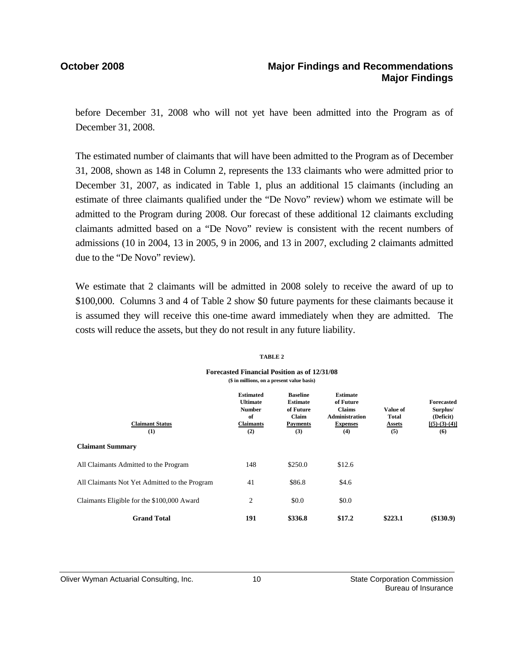### **October 2008 Major Findings and Recommendations Major Findings**

before December 31, 2008 who will not yet have been admitted into the Program as of December 31, 2008.

The estimated number of claimants that will have been admitted to the Program as of December 31, 2008, shown as 148 in Column 2, represents the 133 claimants who were admitted prior to December 31, 2007, as indicated in Table 1, plus an additional 15 claimants (including an estimate of three claimants qualified under the "De Novo" review) whom we estimate will be admitted to the Program during 2008. Our forecast of these additional 12 claimants excluding claimants admitted based on a "De Novo" review is consistent with the recent numbers of admissions (10 in 2004, 13 in 2005, 9 in 2006, and 13 in 2007, excluding 2 claimants admitted due to the "De Novo" review).

We estimate that 2 claimants will be admitted in 2008 solely to receive the award of up to \$100,000. Columns 3 and 4 of Table 2 show \$0 future payments for these claimants because it is assumed they will receive this one-time award immediately when they are admitted. The costs will reduce the assets, but they do not result in any future liability.

## **Estimated Baseline Estimate Ultimate Estimate of Future Forecasted Number of Future Claims Value of Surplus/** of Claim Administration Total (Deficit)<br>Claimants Payments Expenses Assets **[(5)-(3)-**(4) **Claimant Status Claimants Payments Expenses Assets [(5)-(3)-(4)]**  $(1)$   $(2)$   $(3)$   $(4)$   $(5)$   $(6)$ **Claimant Summary** All Claimants Admitted to the Program 148 \$250.0 \$12.6 All Claimants Not Yet Admitted to the Program  $41$  \$86.8 \$4.6  $C$ laimants Eligible for the \$100,000 Award  $\begin{array}{ccc} 2 & 80.0 & 80.0 \\ 2 & 2 & 80.0 & 80.0 \\ 2 & 2 & 80.0 & 80.0 \\ 2 & 2 & 80.0 & 80.0 \\ 2 & 2 & 80.0 & 80.0 \\ 2 & 2 & 80.0 & 80.0 \\ 2 & 2 & 80.0 & 80.0 \\ 2 & 2 & 80.0 & 80.0 \\ 2 & 2 & 80.0 & 80.0 \\ 2 & 2 & 80.$ Grand Total **191** \$336.8 \$17.2 \$223.1 (\$130.9) **(\$ in millions, on a present value basis)**

### **TABLE 2**

**Forecasted Financial Position as of 12/31/08**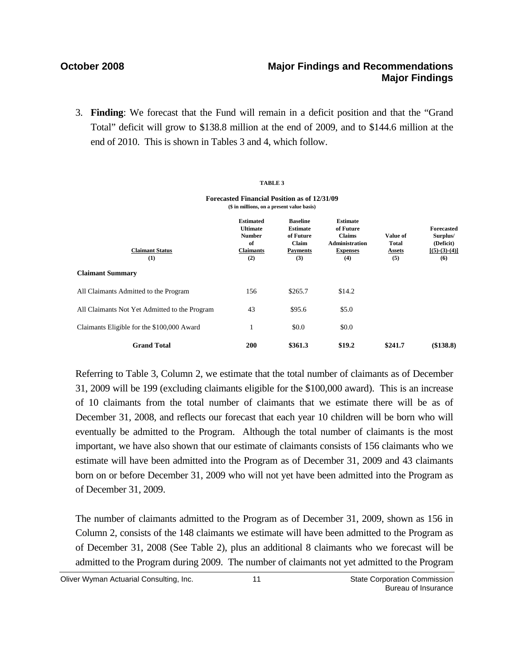3. **Finding**: We forecast that the Fund will remain in a deficit position and that the "Grand Total" deficit will grow to \$138.8 million at the end of 2009, and to \$144.6 million at the end of 2010. This is shown in Tables 3 and 4, which follow.

**TABLE 3**

| <b>Forecasted Financial Position as of 12/31/09</b><br>(\$ in millions, on a present value basis) |                                                                                       |                                                                                    |                                                                                                  |                                           |                                                                      |
|---------------------------------------------------------------------------------------------------|---------------------------------------------------------------------------------------|------------------------------------------------------------------------------------|--------------------------------------------------------------------------------------------------|-------------------------------------------|----------------------------------------------------------------------|
| <b>Claimant Status</b><br>(1)                                                                     | <b>Estimated</b><br><b>Ultimate</b><br><b>Number</b><br>of<br><b>Claimants</b><br>(2) | <b>Baseline</b><br><b>Estimate</b><br>of Future<br>Claim<br><b>Payments</b><br>(3) | <b>Estimate</b><br>of Future<br><b>Claims</b><br><b>Administration</b><br><b>Expenses</b><br>(4) | Value of<br><b>Total</b><br>Assets<br>(5) | <b>Forecasted</b><br>Surplus/<br>(Deficit)<br>$[(5)-(3)-(4)]$<br>(6) |
| <b>Claimant Summary</b>                                                                           |                                                                                       |                                                                                    |                                                                                                  |                                           |                                                                      |
| All Claimants Admitted to the Program                                                             | 156                                                                                   | \$265.7                                                                            | \$14.2                                                                                           |                                           |                                                                      |
| All Claimants Not Yet Admitted to the Program                                                     | 43                                                                                    | \$95.6                                                                             | \$5.0                                                                                            |                                           |                                                                      |
| Claimants Eligible for the \$100,000 Award                                                        | 1                                                                                     | \$0.0                                                                              | \$0.0                                                                                            |                                           |                                                                      |
| <b>Grand Total</b>                                                                                | 200                                                                                   | \$361.3                                                                            | \$19.2                                                                                           | \$241.7                                   | (\$138.8)                                                            |

Referring to Table 3, Column 2, we estimate that the total number of claimants as of December 31, 2009 will be 199 (excluding claimants eligible for the \$100,000 award). This is an increase of 10 claimants from the total number of claimants that we estimate there will be as of December 31, 2008, and reflects our forecast that each year 10 children will be born who will eventually be admitted to the Program. Although the total number of claimants is the most important, we have also shown that our estimate of claimants consists of 156 claimants who we estimate will have been admitted into the Program as of December 31, 2009 and 43 claimants born on or before December 31, 2009 who will not yet have been admitted into the Program as of December 31, 2009.

The number of claimants admitted to the Program as of December 31, 2009, shown as 156 in Column 2, consists of the 148 claimants we estimate will have been admitted to the Program as of December 31, 2008 (See Table 2), plus an additional 8 claimants who we forecast will be admitted to the Program during 2009. The number of claimants not yet admitted to the Program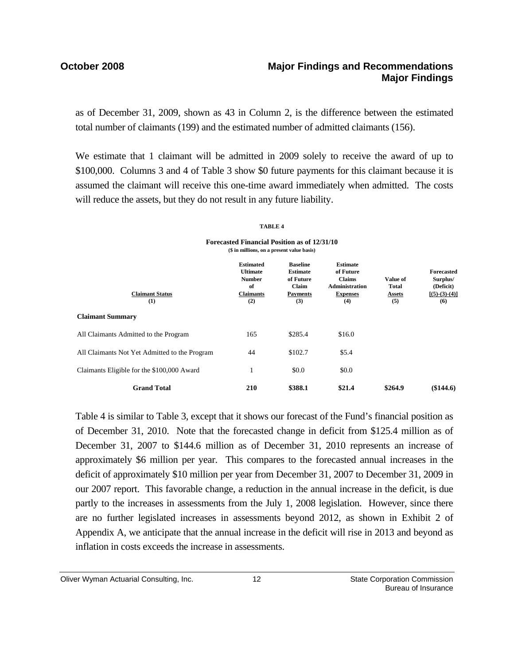## **October 2008 Major Findings and Recommendations Major Findings**

as of December 31, 2009, shown as 43 in Column 2, is the difference between the estimated total number of claimants (199) and the estimated number of admitted claimants (156).

We estimate that 1 claimant will be admitted in 2009 solely to receive the award of up to \$100,000. Columns 3 and 4 of Table 3 show \$0 future payments for this claimant because it is assumed the claimant will receive this one-time award immediately when admitted. The costs will reduce the assets, but they do not result in any future liability.

### **TABLE 4**

| Forecasted Financial Position as of 12/31/10 |
|----------------------------------------------|
| (\$ in millions, on a present value basis)   |

| <b>Claimant Status</b><br>(1)                 | <b>Estimated</b><br><b>Ultimate</b><br><b>Number</b><br>of<br><b>Claimants</b><br>(2) | <b>Baseline</b><br><b>Estimate</b><br>of Future<br>Claim<br><b>Payments</b><br>(3) | <b>Estimate</b><br>of Future<br><b>Claims</b><br><b>Administration</b><br><b>Expenses</b><br>(4) | Value of<br><b>Total</b><br><b>Assets</b><br>(5) | <b>Forecasted</b><br>Surplus/<br>(Deficit)<br>$[(5)-(3)-(4)]$<br>(6) |
|-----------------------------------------------|---------------------------------------------------------------------------------------|------------------------------------------------------------------------------------|--------------------------------------------------------------------------------------------------|--------------------------------------------------|----------------------------------------------------------------------|
| <b>Claimant Summary</b>                       |                                                                                       |                                                                                    |                                                                                                  |                                                  |                                                                      |
| All Claimants Admitted to the Program         | 165                                                                                   | \$285.4                                                                            | \$16.0                                                                                           |                                                  |                                                                      |
| All Claimants Not Yet Admitted to the Program | 44                                                                                    | \$102.7                                                                            | \$5.4                                                                                            |                                                  |                                                                      |
| Claimants Eligible for the \$100,000 Award    | 1                                                                                     | \$0.0                                                                              | \$0.0                                                                                            |                                                  |                                                                      |
| <b>Grand Total</b>                            | 210                                                                                   | \$388.1                                                                            | \$21.4                                                                                           | \$264.9                                          | (\$144.6)                                                            |

Table 4 is similar to Table 3, except that it shows our forecast of the Fund's financial position as of December 31, 2010. Note that the forecasted change in deficit from \$125.4 million as of December 31, 2007 to \$144.6 million as of December 31, 2010 represents an increase of approximately \$6 million per year. This compares to the forecasted annual increases in the deficit of approximately \$10 million per year from December 31, 2007 to December 31, 2009 in our 2007 report. This favorable change, a reduction in the annual increase in the deficit, is due partly to the increases in assessments from the July 1, 2008 legislation. However, since there are no further legislated increases in assessments beyond 2012, as shown in Exhibit 2 of Appendix A, we anticipate that the annual increase in the deficit will rise in 2013 and beyond as inflation in costs exceeds the increase in assessments.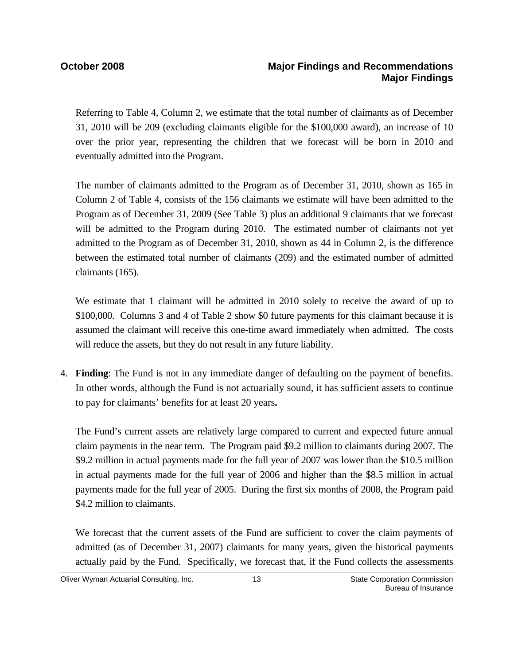Referring to Table 4, Column 2, we estimate that the total number of claimants as of December 31, 2010 will be 209 (excluding claimants eligible for the \$100,000 award), an increase of 10 over the prior year, representing the children that we forecast will be born in 2010 and eventually admitted into the Program.

The number of claimants admitted to the Program as of December 31, 2010, shown as 165 in Column 2 of Table 4, consists of the 156 claimants we estimate will have been admitted to the Program as of December 31, 2009 (See Table 3) plus an additional 9 claimants that we forecast will be admitted to the Program during 2010. The estimated number of claimants not yet admitted to the Program as of December 31, 2010, shown as 44 in Column 2, is the difference between the estimated total number of claimants (209) and the estimated number of admitted claimants (165).

We estimate that 1 claimant will be admitted in 2010 solely to receive the award of up to \$100,000. Columns 3 and 4 of Table 2 show \$0 future payments for this claimant because it is assumed the claimant will receive this one-time award immediately when admitted. The costs will reduce the assets, but they do not result in any future liability.

4. **Finding**: The Fund is not in any immediate danger of defaulting on the payment of benefits. In other words, although the Fund is not actuarially sound, it has sufficient assets to continue to pay for claimants' benefits for at least 20 years**.** 

The Fund's current assets are relatively large compared to current and expected future annual claim payments in the near term. The Program paid \$9.2 million to claimants during 2007. The \$9.2 million in actual payments made for the full year of 2007 was lower than the \$10.5 million in actual payments made for the full year of 2006 and higher than the \$8.5 million in actual payments made for the full year of 2005. During the first six months of 2008, the Program paid \$4.2 million to claimants.

We forecast that the current assets of the Fund are sufficient to cover the claim payments of admitted (as of December 31, 2007) claimants for many years, given the historical payments actually paid by the Fund. Specifically, we forecast that, if the Fund collects the assessments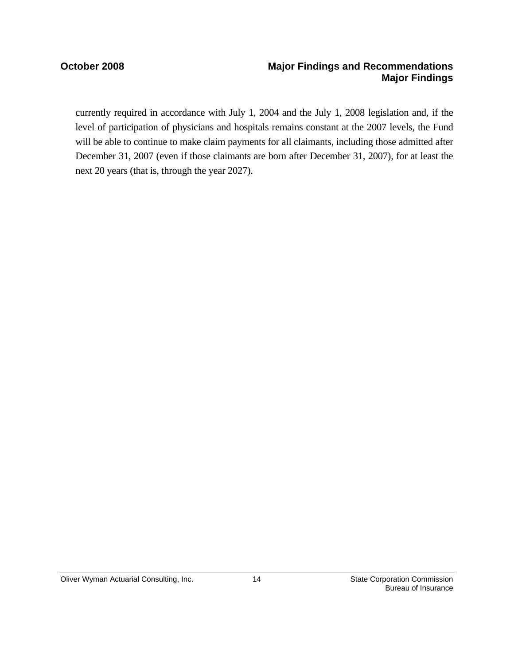## **October 2008 Major Findings and Recommendations Major Findings**

currently required in accordance with July 1, 2004 and the July 1, 2008 legislation and, if the level of participation of physicians and hospitals remains constant at the 2007 levels, the Fund will be able to continue to make claim payments for all claimants, including those admitted after December 31, 2007 (even if those claimants are born after December 31, 2007), for at least the next 20 years (that is, through the year 2027).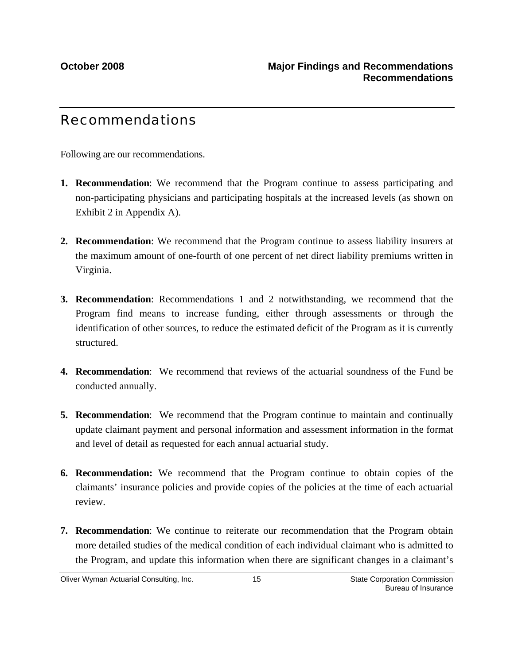## Recommendations

Following are our recommendations.

- **1. Recommendation**: We recommend that the Program continue to assess participating and non-participating physicians and participating hospitals at the increased levels (as shown on Exhibit 2 in Appendix A).
- **2. Recommendation**: We recommend that the Program continue to assess liability insurers at the maximum amount of one-fourth of one percent of net direct liability premiums written in Virginia.
- **3. Recommendation**: Recommendations 1 and 2 notwithstanding, we recommend that the Program find means to increase funding, either through assessments or through the identification of other sources, to reduce the estimated deficit of the Program as it is currently structured.
- **4. Recommendation**: We recommend that reviews of the actuarial soundness of the Fund be conducted annually.
- **5. Recommendation**: We recommend that the Program continue to maintain and continually update claimant payment and personal information and assessment information in the format and level of detail as requested for each annual actuarial study.
- **6. Recommendation:** We recommend that the Program continue to obtain copies of the claimants' insurance policies and provide copies of the policies at the time of each actuarial review.
- **7. Recommendation**: We continue to reiterate our recommendation that the Program obtain more detailed studies of the medical condition of each individual claimant who is admitted to the Program, and update this information when there are significant changes in a claimant's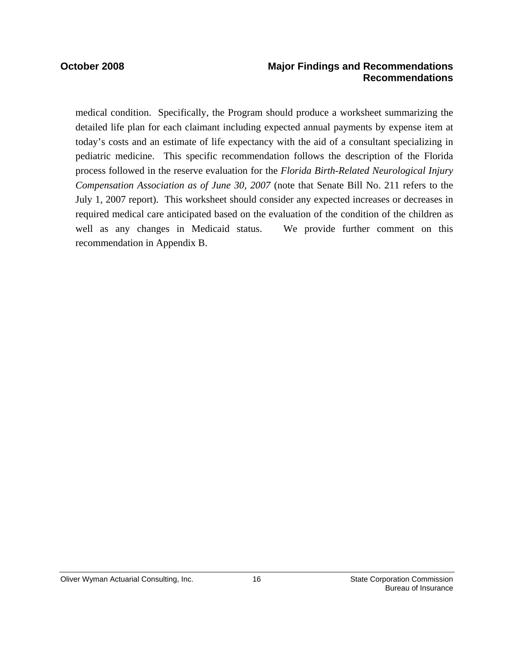### **October 2008 Major Findings and Recommendations Recommendations**

medical condition. Specifically, the Program should produce a worksheet summarizing the detailed life plan for each claimant including expected annual payments by expense item at today's costs and an estimate of life expectancy with the aid of a consultant specializing in pediatric medicine. This specific recommendation follows the description of the Florida process followed in the reserve evaluation for the *Florida Birth-Related Neurological Injury Compensation Association as of June 30, 2007* (note that Senate Bill No. 211 refers to the July 1, 2007 report). This worksheet should consider any expected increases or decreases in required medical care anticipated based on the evaluation of the condition of the children as well as any changes in Medicaid status. We provide further comment on this recommendation in Appendix B.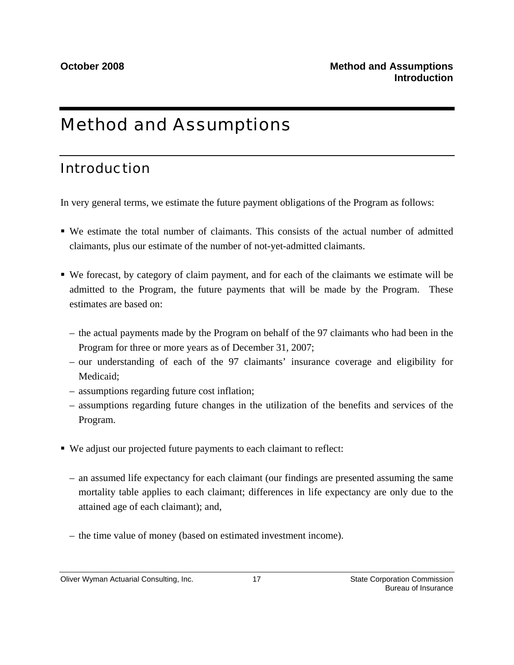## Method and Assumptions

## Introduction

In very general terms, we estimate the future payment obligations of the Program as follows:

- We estimate the total number of claimants. This consists of the actual number of admitted claimants, plus our estimate of the number of not-yet-admitted claimants.
- We forecast, by category of claim payment, and for each of the claimants we estimate will be admitted to the Program, the future payments that will be made by the Program. These estimates are based on:
	- the actual payments made by the Program on behalf of the 97 claimants who had been in the Program for three or more years as of December 31, 2007;
	- our understanding of each of the 97 claimants' insurance coverage and eligibility for Medicaid;
	- assumptions regarding future cost inflation;
	- assumptions regarding future changes in the utilization of the benefits and services of the Program.
- We adjust our projected future payments to each claimant to reflect:
	- an assumed life expectancy for each claimant (our findings are presented assuming the same mortality table applies to each claimant; differences in life expectancy are only due to the attained age of each claimant); and,
	- the time value of money (based on estimated investment income).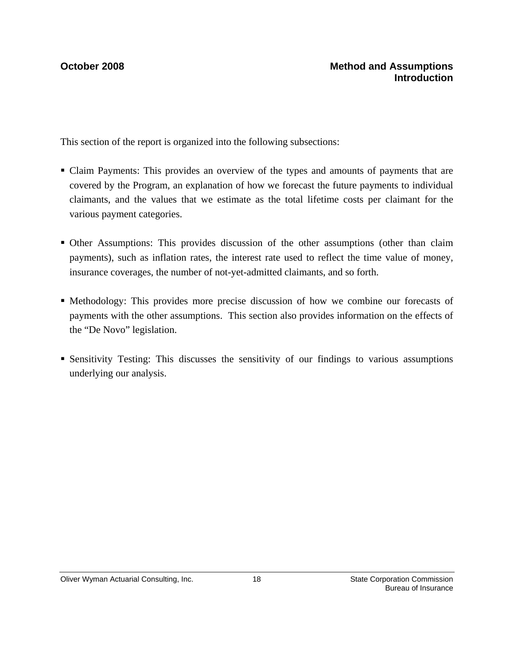This section of the report is organized into the following subsections:

- Claim Payments: This provides an overview of the types and amounts of payments that are covered by the Program, an explanation of how we forecast the future payments to individual claimants, and the values that we estimate as the total lifetime costs per claimant for the various payment categories.
- Other Assumptions: This provides discussion of the other assumptions (other than claim payments), such as inflation rates, the interest rate used to reflect the time value of money, insurance coverages, the number of not-yet-admitted claimants, and so forth.
- Methodology: This provides more precise discussion of how we combine our forecasts of payments with the other assumptions. This section also provides information on the effects of the "De Novo" legislation.
- Sensitivity Testing: This discusses the sensitivity of our findings to various assumptions underlying our analysis.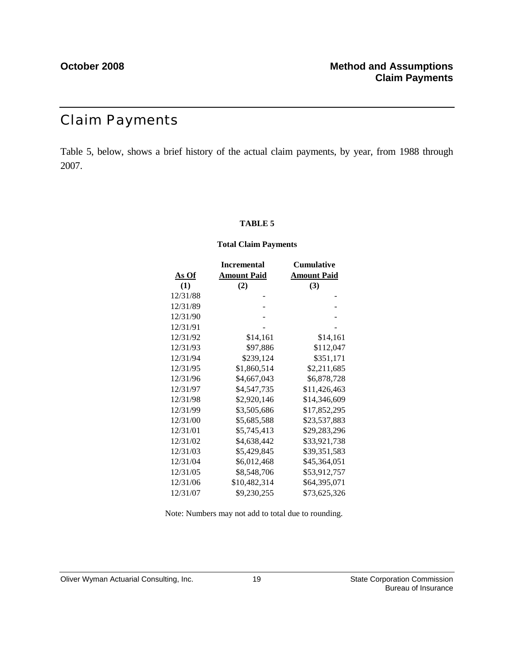## Claim Payments

Table 5, below, shows a brief history of the actual claim payments, by year, from 1988 through 2007.

### **TABLE 5**

### **Total Claim Payments**

|              | <b>Incremental</b> | <b>Cumulative</b>  |
|--------------|--------------------|--------------------|
| <u>As Of</u> | <b>Amount Paid</b> | <b>Amount Paid</b> |
| (1)          | (2)                | (3)                |
| 12/31/88     |                    |                    |
| 12/31/89     |                    |                    |
| 12/31/90     |                    |                    |
| 12/31/91     |                    |                    |
| 12/31/92     | \$14,161           | \$14,161           |
| 12/31/93     | \$97,886           | \$112,047          |
| 12/31/94     | \$239,124          | \$351,171          |
| 12/31/95     | \$1,860,514        | \$2,211,685        |
| 12/31/96     | \$4,667,043        | \$6,878,728        |
| 12/31/97     | \$4,547,735        | \$11,426,463       |
| 12/31/98     | \$2,920,146        | \$14,346,609       |
| 12/31/99     | \$3,505,686        | \$17,852,295       |
| 12/31/00     | \$5,685,588        | \$23,537,883       |
| 12/31/01     | \$5,745,413        | \$29,283,296       |
| 12/31/02     | \$4,638,442        | \$33,921,738       |
| 12/31/03     | \$5,429,845        | \$39,351,583       |
| 12/31/04     | \$6,012,468        | \$45,364,051       |
| 12/31/05     | \$8,548,706        | \$53,912,757       |
| 12/31/06     | \$10,482,314       | \$64,395,071       |
| 12/31/07     | \$9,230,255        | \$73,625,326       |

Note: Numbers may not add to total due to rounding.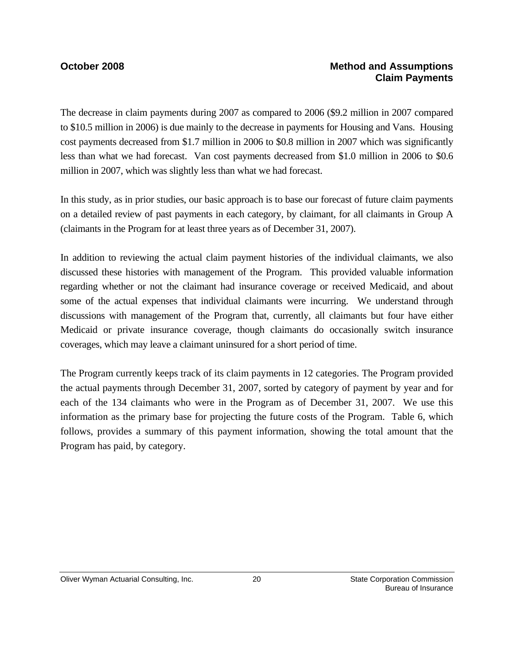## **October 2008 Method and Assumptions Claim Payments**

The decrease in claim payments during 2007 as compared to 2006 (\$9.2 million in 2007 compared to \$10.5 million in 2006) is due mainly to the decrease in payments for Housing and Vans. Housing cost payments decreased from \$1.7 million in 2006 to \$0.8 million in 2007 which was significantly less than what we had forecast. Van cost payments decreased from \$1.0 million in 2006 to \$0.6 million in 2007, which was slightly less than what we had forecast.

In this study, as in prior studies, our basic approach is to base our forecast of future claim payments on a detailed review of past payments in each category, by claimant, for all claimants in Group A (claimants in the Program for at least three years as of December 31, 2007).

In addition to reviewing the actual claim payment histories of the individual claimants, we also discussed these histories with management of the Program. This provided valuable information regarding whether or not the claimant had insurance coverage or received Medicaid, and about some of the actual expenses that individual claimants were incurring. We understand through discussions with management of the Program that, currently, all claimants but four have either Medicaid or private insurance coverage, though claimants do occasionally switch insurance coverages, which may leave a claimant uninsured for a short period of time.

The Program currently keeps track of its claim payments in 12 categories. The Program provided the actual payments through December 31, 2007, sorted by category of payment by year and for each of the 134 claimants who were in the Program as of December 31, 2007. We use this information as the primary base for projecting the future costs of the Program. Table 6, which follows, provides a summary of this payment information, showing the total amount that the Program has paid, by category.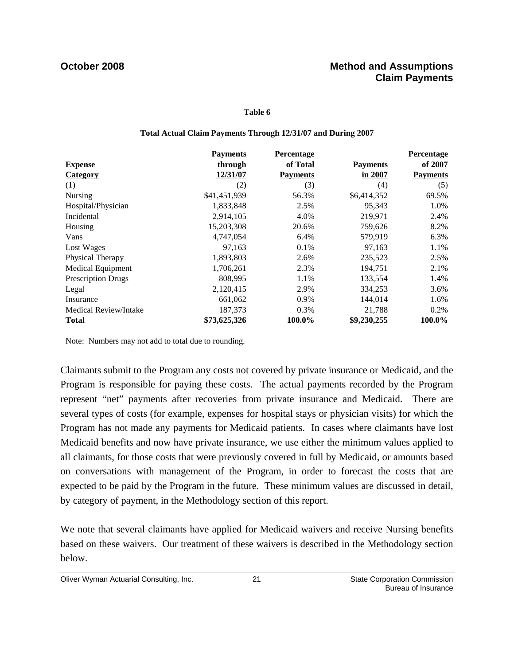### **Table 6**

### **Total Actual Claim Payments Through 12/31/07 and During 2007**

|                          | <b>Payments</b> | Percentage      |                 | Percentage      |
|--------------------------|-----------------|-----------------|-----------------|-----------------|
| <b>Expense</b>           | through         | of Total        | <b>Payments</b> | of 2007         |
| <b>Category</b>          | 12/31/07        | <b>Payments</b> | in 2007         | <b>Payments</b> |
| (1)                      | (2)             | (3)             | (4)             | (5)             |
| Nursing                  | \$41,451,939    | 56.3%           | \$6,414,352     | 69.5%           |
| Hospital/Physician       | 1,833,848       | 2.5%            | 95,343          | 1.0%            |
| Incidental               | 2,914,105       | 4.0%            | 219,971         | 2.4%            |
| Housing                  | 15,203,308      | 20.6%           | 759,626         | 8.2%            |
| Vans                     | 4,747,054       | 6.4%            | 579,919         | 6.3%            |
| Lost Wages               | 97,163          | 0.1%            | 97,163          | 1.1%            |
| Physical Therapy         | 1,893,803       | 2.6%            | 235,523         | 2.5%            |
| <b>Medical Equipment</b> | 1,706,261       | 2.3%            | 194.751         | 2.1%            |
| Prescription Drugs       | 808,995         | 1.1%            | 133,554         | 1.4%            |
| Legal                    | 2,120,415       | 2.9%            | 334,253         | 3.6%            |
| Insurance                | 661,062         | 0.9%            | 144,014         | 1.6%            |
| Medical Review/Intake    | 187,373         | $0.3\%$         | 21,788          | $0.2\%$         |
| <b>Total</b>             | \$73,625,326    | 100.0%          | \$9,230,255     | 100.0%          |

Note: Numbers may not add to total due to rounding.

Claimants submit to the Program any costs not covered by private insurance or Medicaid, and the Program is responsible for paying these costs. The actual payments recorded by the Program represent "net" payments after recoveries from private insurance and Medicaid. There are several types of costs (for example, expenses for hospital stays or physician visits) for which the Program has not made any payments for Medicaid patients. In cases where claimants have lost Medicaid benefits and now have private insurance, we use either the minimum values applied to all claimants, for those costs that were previously covered in full by Medicaid, or amounts based on conversations with management of the Program, in order to forecast the costs that are expected to be paid by the Program in the future. These minimum values are discussed in detail, by category of payment, in the Methodology section of this report.

We note that several claimants have applied for Medicaid waivers and receive Nursing benefits based on these waivers. Our treatment of these waivers is described in the Methodology section below.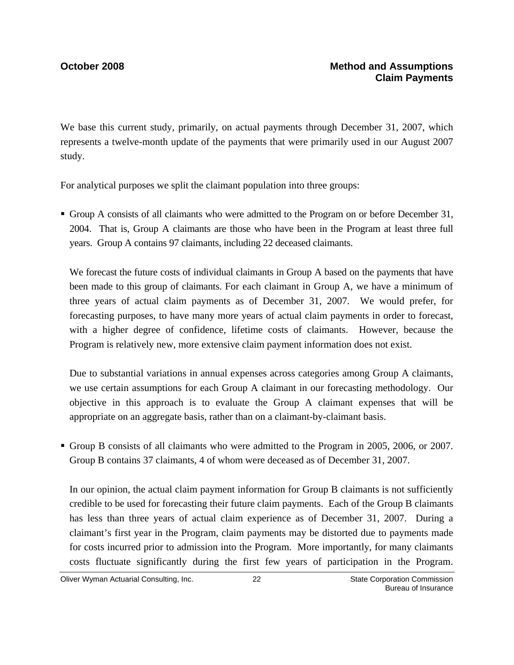We base this current study, primarily, on actual payments through December 31, 2007, which represents a twelve-month update of the payments that were primarily used in our August 2007 study.

For analytical purposes we split the claimant population into three groups:

Group A consists of all claimants who were admitted to the Program on or before December 31, 2004. That is, Group A claimants are those who have been in the Program at least three full years. Group A contains 97 claimants, including 22 deceased claimants.

We forecast the future costs of individual claimants in Group A based on the payments that have been made to this group of claimants. For each claimant in Group A, we have a minimum of three years of actual claim payments as of December 31, 2007. We would prefer, for forecasting purposes, to have many more years of actual claim payments in order to forecast, with a higher degree of confidence, lifetime costs of claimants. However, because the Program is relatively new, more extensive claim payment information does not exist.

Due to substantial variations in annual expenses across categories among Group A claimants, we use certain assumptions for each Group A claimant in our forecasting methodology. Our objective in this approach is to evaluate the Group A claimant expenses that will be appropriate on an aggregate basis, rather than on a claimant-by-claimant basis.

Group B consists of all claimants who were admitted to the Program in 2005, 2006, or 2007. Group B contains 37 claimants, 4 of whom were deceased as of December 31, 2007.

In our opinion, the actual claim payment information for Group B claimants is not sufficiently credible to be used for forecasting their future claim payments. Each of the Group B claimants has less than three years of actual claim experience as of December 31, 2007. During a claimant's first year in the Program, claim payments may be distorted due to payments made for costs incurred prior to admission into the Program. More importantly, for many claimants costs fluctuate significantly during the first few years of participation in the Program.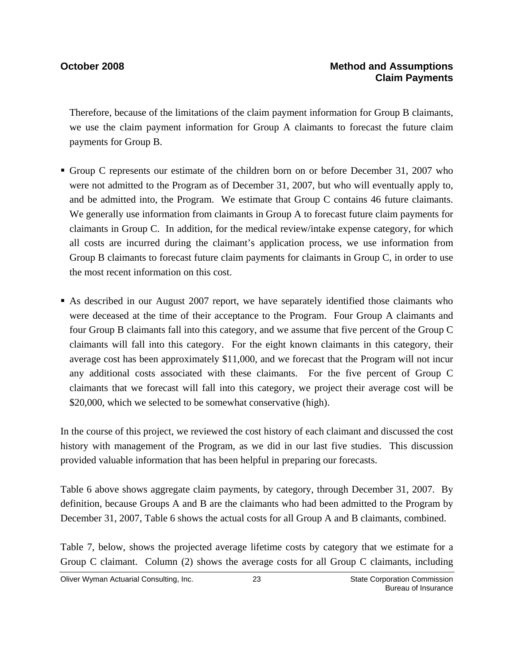Therefore, because of the limitations of the claim payment information for Group B claimants, we use the claim payment information for Group A claimants to forecast the future claim payments for Group B.

- Group C represents our estimate of the children born on or before December 31, 2007 who were not admitted to the Program as of December 31, 2007, but who will eventually apply to, and be admitted into, the Program. We estimate that Group C contains 46 future claimants. We generally use information from claimants in Group A to forecast future claim payments for claimants in Group C. In addition, for the medical review/intake expense category, for which all costs are incurred during the claimant's application process, we use information from Group B claimants to forecast future claim payments for claimants in Group C, in order to use the most recent information on this cost.
- As described in our August 2007 report, we have separately identified those claimants who were deceased at the time of their acceptance to the Program. Four Group A claimants and four Group B claimants fall into this category, and we assume that five percent of the Group C claimants will fall into this category. For the eight known claimants in this category, their average cost has been approximately \$11,000, and we forecast that the Program will not incur any additional costs associated with these claimants. For the five percent of Group C claimants that we forecast will fall into this category, we project their average cost will be \$20,000, which we selected to be somewhat conservative (high).

In the course of this project, we reviewed the cost history of each claimant and discussed the cost history with management of the Program, as we did in our last five studies. This discussion provided valuable information that has been helpful in preparing our forecasts.

Table 6 above shows aggregate claim payments, by category, through December 31, 2007. By definition, because Groups A and B are the claimants who had been admitted to the Program by December 31, 2007, Table 6 shows the actual costs for all Group A and B claimants, combined.

Table 7, below, shows the projected average lifetime costs by category that we estimate for a Group C claimant. Column (2) shows the average costs for all Group C claimants, including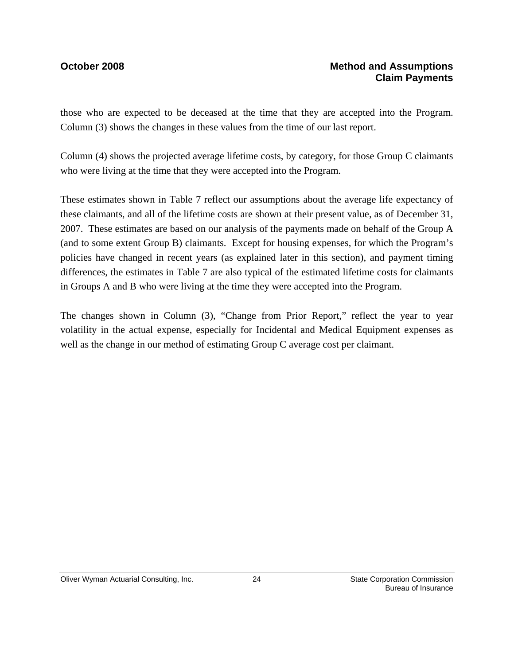those who are expected to be deceased at the time that they are accepted into the Program. Column (3) shows the changes in these values from the time of our last report.

Column (4) shows the projected average lifetime costs, by category, for those Group C claimants who were living at the time that they were accepted into the Program.

These estimates shown in Table 7 reflect our assumptions about the average life expectancy of these claimants, and all of the lifetime costs are shown at their present value, as of December 31, 2007. These estimates are based on our analysis of the payments made on behalf of the Group A (and to some extent Group B) claimants. Except for housing expenses, for which the Program's policies have changed in recent years (as explained later in this section), and payment timing differences, the estimates in Table 7 are also typical of the estimated lifetime costs for claimants in Groups A and B who were living at the time they were accepted into the Program.

The changes shown in Column (3), "Change from Prior Report," reflect the year to year volatility in the actual expense, especially for Incidental and Medical Equipment expenses as well as the change in our method of estimating Group C average cost per claimant.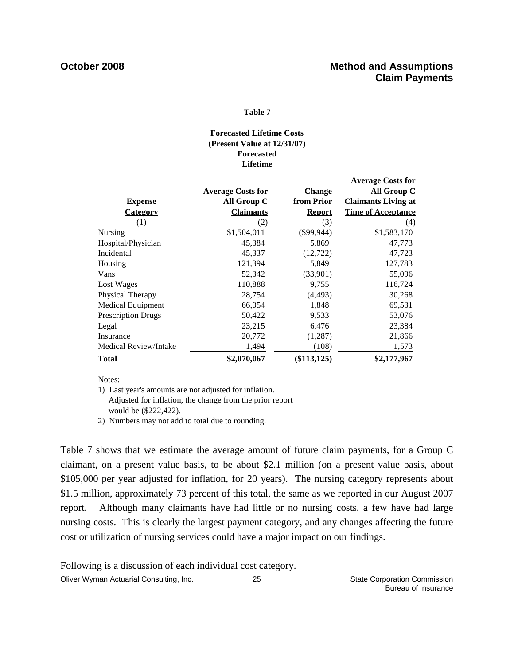### **Table 7**

### **Lifetime Forecasted Lifetime Costs (Present Value at 12/31/07) Forecasted**

|                           |                          |               | <b>Average Costs for</b>   |
|---------------------------|--------------------------|---------------|----------------------------|
|                           | <b>Average Costs for</b> | Change        | All Group C                |
| <b>Expense</b>            | All Group C              | from Prior    | <b>Claimants Living at</b> |
| <b>Category</b>           | <b>Claimants</b>         | <b>Report</b> | <b>Time of Acceptance</b>  |
| (1)                       | (2)                      | (3)           | (4)                        |
| Nursing                   | \$1,504,011              | $(\$99,944)$  | \$1,583,170                |
| Hospital/Physician        | 45,384                   | 5,869         | 47,773                     |
| Incidental                | 45,337                   | (12, 722)     | 47,723                     |
| Housing                   | 121,394                  | 5,849         | 127,783                    |
| Vans                      | 52,342                   | (33,901)      | 55,096                     |
| Lost Wages                | 110,888                  | 9,755         | 116,724                    |
| Physical Therapy          | 28,754                   | (4, 493)      | 30,268                     |
| Medical Equipment         | 66,054                   | 1,848         | 69,531                     |
| <b>Prescription Drugs</b> | 50,422                   | 9,533         | 53,076                     |
| Legal                     | 23,215                   | 6,476         | 23,384                     |
| Insurance                 | 20,772                   | (1,287)       | 21,866                     |
| Medical Review/Intake     | 1,494                    | (108)         | 1,573                      |
| Total                     | \$2,070,067              | (\$113, 125)  | \$2,177,967                |

Notes:

1) Last year's amounts are not adjusted for inflation. Adjusted for inflation, the change from the prior report would be (\$222,422).

2) Numbers may not add to total due to rounding.

Table 7 shows that we estimate the average amount of future claim payments, for a Group C claimant, on a present value basis, to be about \$2.1 million (on a present value basis, about \$105,000 per year adjusted for inflation, for 20 years). The nursing category represents about \$1.5 million, approximately 73 percent of this total, the same as we reported in our August 2007 report. Although many claimants have had little or no nursing costs, a few have had large nursing costs. This is clearly the largest payment category, and any changes affecting the future cost or utilization of nursing services could have a major impact on our findings.

Following is a discussion of each individual cost category.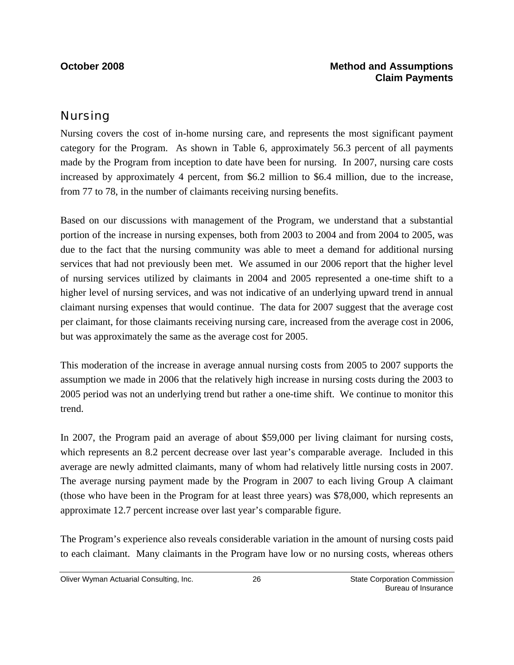### **October 2008 Method and Assumptions Claim Payments**

## Nursing

Nursing covers the cost of in-home nursing care, and represents the most significant payment category for the Program. As shown in Table 6, approximately 56.3 percent of all payments made by the Program from inception to date have been for nursing. In 2007, nursing care costs increased by approximately 4 percent, from \$6.2 million to \$6.4 million, due to the increase, from 77 to 78, in the number of claimants receiving nursing benefits.

Based on our discussions with management of the Program, we understand that a substantial portion of the increase in nursing expenses, both from 2003 to 2004 and from 2004 to 2005, was due to the fact that the nursing community was able to meet a demand for additional nursing services that had not previously been met. We assumed in our 2006 report that the higher level of nursing services utilized by claimants in 2004 and 2005 represented a one-time shift to a higher level of nursing services, and was not indicative of an underlying upward trend in annual claimant nursing expenses that would continue. The data for 2007 suggest that the average cost per claimant, for those claimants receiving nursing care, increased from the average cost in 2006, but was approximately the same as the average cost for 2005.

This moderation of the increase in average annual nursing costs from 2005 to 2007 supports the assumption we made in 2006 that the relatively high increase in nursing costs during the 2003 to 2005 period was not an underlying trend but rather a one-time shift. We continue to monitor this trend.

In 2007, the Program paid an average of about \$59,000 per living claimant for nursing costs, which represents an 8.2 percent decrease over last year's comparable average. Included in this average are newly admitted claimants, many of whom had relatively little nursing costs in 2007. The average nursing payment made by the Program in 2007 to each living Group A claimant (those who have been in the Program for at least three years) was \$78,000, which represents an approximate 12.7 percent increase over last year's comparable figure.

The Program's experience also reveals considerable variation in the amount of nursing costs paid to each claimant. Many claimants in the Program have low or no nursing costs, whereas others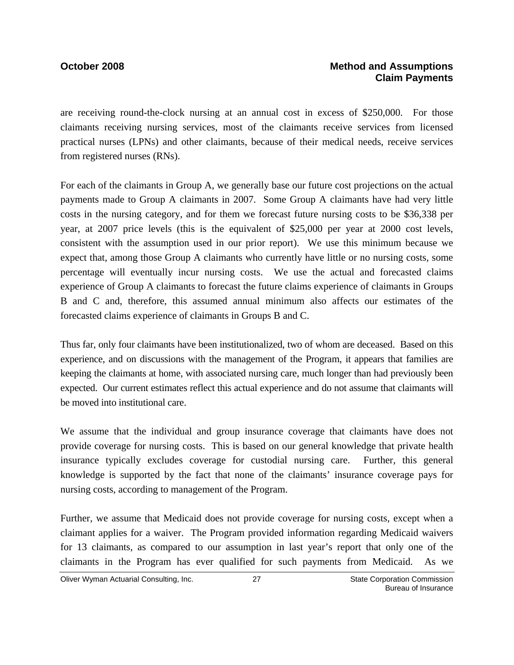### **October 2008 Method and Assumptions Claim Payments**

are receiving round-the-clock nursing at an annual cost in excess of \$250,000. For those claimants receiving nursing services, most of the claimants receive services from licensed practical nurses (LPNs) and other claimants, because of their medical needs, receive services from registered nurses (RNs).

For each of the claimants in Group A, we generally base our future cost projections on the actual payments made to Group A claimants in 2007. Some Group A claimants have had very little costs in the nursing category, and for them we forecast future nursing costs to be \$36,338 per year, at 2007 price levels (this is the equivalent of \$25,000 per year at 2000 cost levels, consistent with the assumption used in our prior report). We use this minimum because we expect that, among those Group A claimants who currently have little or no nursing costs, some percentage will eventually incur nursing costs. We use the actual and forecasted claims experience of Group A claimants to forecast the future claims experience of claimants in Groups B and C and, therefore, this assumed annual minimum also affects our estimates of the forecasted claims experience of claimants in Groups B and C.

Thus far, only four claimants have been institutionalized, two of whom are deceased. Based on this experience, and on discussions with the management of the Program, it appears that families are keeping the claimants at home, with associated nursing care, much longer than had previously been expected. Our current estimates reflect this actual experience and do not assume that claimants will be moved into institutional care.

We assume that the individual and group insurance coverage that claimants have does not provide coverage for nursing costs. This is based on our general knowledge that private health insurance typically excludes coverage for custodial nursing care. Further, this general knowledge is supported by the fact that none of the claimants' insurance coverage pays for nursing costs, according to management of the Program.

Further, we assume that Medicaid does not provide coverage for nursing costs, except when a claimant applies for a waiver. The Program provided information regarding Medicaid waivers for 13 claimants, as compared to our assumption in last year's report that only one of the claimants in the Program has ever qualified for such payments from Medicaid. As we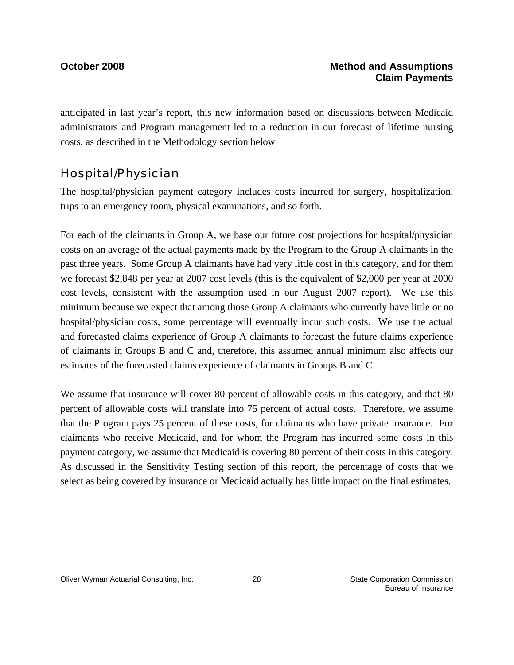anticipated in last year's report, this new information based on discussions between Medicaid administrators and Program management led to a reduction in our forecast of lifetime nursing costs, as described in the Methodology section below

## Hospital/Physician

The hospital/physician payment category includes costs incurred for surgery, hospitalization, trips to an emergency room, physical examinations, and so forth.

For each of the claimants in Group A, we base our future cost projections for hospital/physician costs on an average of the actual payments made by the Program to the Group A claimants in the past three years. Some Group A claimants have had very little cost in this category, and for them we forecast \$2,848 per year at 2007 cost levels (this is the equivalent of \$2,000 per year at 2000 cost levels, consistent with the assumption used in our August 2007 report). We use this minimum because we expect that among those Group A claimants who currently have little or no hospital/physician costs, some percentage will eventually incur such costs. We use the actual and forecasted claims experience of Group A claimants to forecast the future claims experience of claimants in Groups B and C and, therefore, this assumed annual minimum also affects our estimates of the forecasted claims experience of claimants in Groups B and C.

We assume that insurance will cover 80 percent of allowable costs in this category, and that 80 percent of allowable costs will translate into 75 percent of actual costs. Therefore, we assume that the Program pays 25 percent of these costs, for claimants who have private insurance. For claimants who receive Medicaid, and for whom the Program has incurred some costs in this payment category, we assume that Medicaid is covering 80 percent of their costs in this category. As discussed in the Sensitivity Testing section of this report, the percentage of costs that we select as being covered by insurance or Medicaid actually has little impact on the final estimates.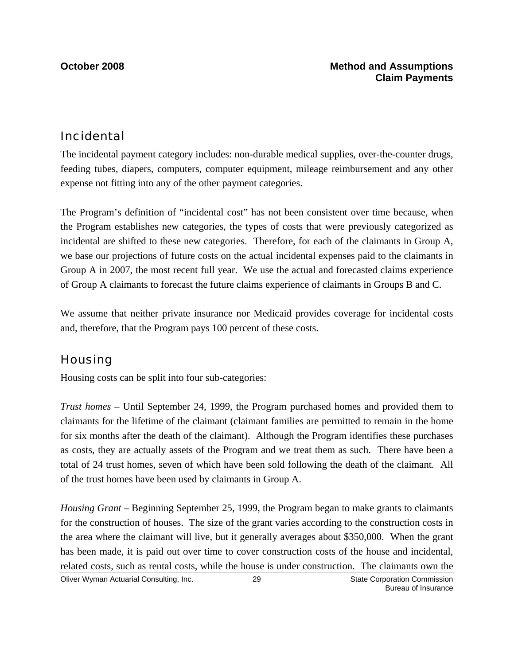## Incidental

The incidental payment category includes: non-durable medical supplies, over-the-counter drugs, feeding tubes, diapers, computers, computer equipment, mileage reimbursement and any other expense not fitting into any of the other payment categories.

The Program's definition of "incidental cost" has not been consistent over time because, when the Program establishes new categories, the types of costs that were previously categorized as incidental are shifted to these new categories. Therefore, for each of the claimants in Group A, we base our projections of future costs on the actual incidental expenses paid to the claimants in Group A in 2007, the most recent full year. We use the actual and forecasted claims experience of Group A claimants to forecast the future claims experience of claimants in Groups B and C.

We assume that neither private insurance nor Medicaid provides coverage for incidental costs and, therefore, that the Program pays 100 percent of these costs.

## **Housing**

Housing costs can be split into four sub-categories:

*Trust homes* – Until September 24, 1999, the Program purchased homes and provided them to claimants for the lifetime of the claimant (claimant families are permitted to remain in the home for six months after the death of the claimant). Although the Program identifies these purchases as costs, they are actually assets of the Program and we treat them as such. There have been a total of 24 trust homes, seven of which have been sold following the death of the claimant. All of the trust homes have been used by claimants in Group A.

*Housing Grant* – Beginning September 25, 1999, the Program began to make grants to claimants for the construction of houses. The size of the grant varies according to the construction costs in the area where the claimant will live, but it generally averages about \$350,000. When the grant has been made, it is paid out over time to cover construction costs of the house and incidental, related costs, such as rental costs, while the house is under construction. The claimants own the

Oliver Wyman Actuarial Consulting, Inc.  $\qquad \qquad$  29 State Corporation Commission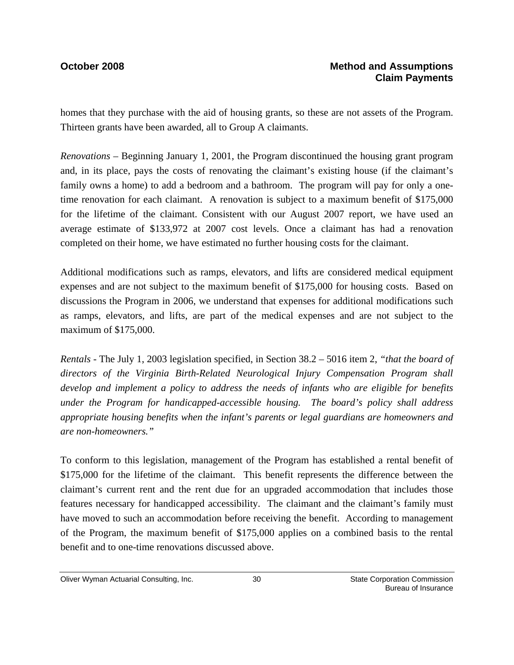homes that they purchase with the aid of housing grants, so these are not assets of the Program. Thirteen grants have been awarded, all to Group A claimants.

*Renovations* – Beginning January 1, 2001, the Program discontinued the housing grant program and, in its place, pays the costs of renovating the claimant's existing house (if the claimant's family owns a home) to add a bedroom and a bathroom. The program will pay for only a onetime renovation for each claimant. A renovation is subject to a maximum benefit of \$175,000 for the lifetime of the claimant. Consistent with our August 2007 report, we have used an average estimate of \$133,972 at 2007 cost levels. Once a claimant has had a renovation completed on their home, we have estimated no further housing costs for the claimant.

Additional modifications such as ramps, elevators, and lifts are considered medical equipment expenses and are not subject to the maximum benefit of \$175,000 for housing costs. Based on discussions the Program in 2006, we understand that expenses for additional modifications such as ramps, elevators, and lifts, are part of the medical expenses and are not subject to the maximum of \$175,000.

*Rentals -* The July 1, 2003 legislation specified, in Section 38.2 – 5016 item 2, *"that the board of directors of the Virginia Birth-Related Neurological Injury Compensation Program shall develop and implement a policy to address the needs of infants who are eligible for benefits under the Program for handicapped-accessible housing. The board's policy shall address appropriate housing benefits when the infant's parents or legal guardians are homeowners and are non-homeowners."* 

To conform to this legislation, management of the Program has established a rental benefit of \$175,000 for the lifetime of the claimant. This benefit represents the difference between the claimant's current rent and the rent due for an upgraded accommodation that includes those features necessary for handicapped accessibility. The claimant and the claimant's family must have moved to such an accommodation before receiving the benefit. According to management of the Program, the maximum benefit of \$175,000 applies on a combined basis to the rental benefit and to one-time renovations discussed above.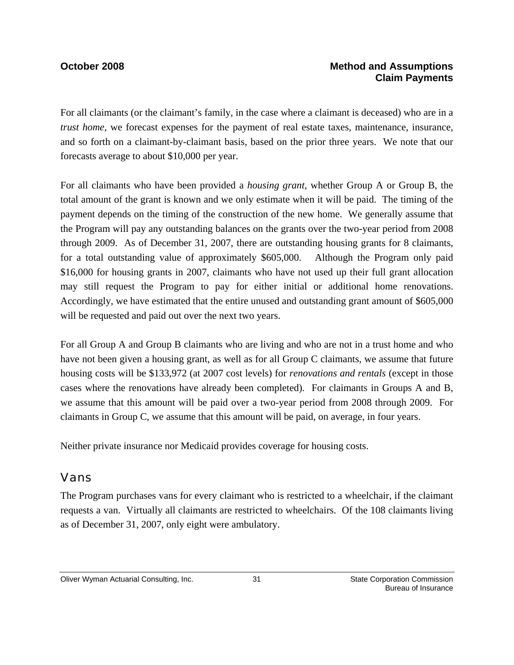### **October 2008 Method and Assumptions Claim Payments**

For all claimants (or the claimant's family, in the case where a claimant is deceased) who are in a *trust home*, we forecast expenses for the payment of real estate taxes, maintenance, insurance, and so forth on a claimant-by-claimant basis, based on the prior three years. We note that our forecasts average to about \$10,000 per year.

For all claimants who have been provided a *housing grant*, whether Group A or Group B, the total amount of the grant is known and we only estimate when it will be paid. The timing of the payment depends on the timing of the construction of the new home. We generally assume that the Program will pay any outstanding balances on the grants over the two-year period from 2008 through 2009. As of December 31, 2007, there are outstanding housing grants for 8 claimants, for a total outstanding value of approximately \$605,000. Although the Program only paid \$16,000 for housing grants in 2007, claimants who have not used up their full grant allocation may still request the Program to pay for either initial or additional home renovations. Accordingly, we have estimated that the entire unused and outstanding grant amount of \$605,000 will be requested and paid out over the next two years.

For all Group A and Group B claimants who are living and who are not in a trust home and who have not been given a housing grant, as well as for all Group C claimants, we assume that future housing costs will be \$133,972 (at 2007 cost levels) for *renovations and rentals* (except in those cases where the renovations have already been completed)*.* For claimants in Groups A and B, we assume that this amount will be paid over a two-year period from 2008 through 2009. For claimants in Group C, we assume that this amount will be paid, on average, in four years.

Neither private insurance nor Medicaid provides coverage for housing costs.

## Vans

The Program purchases vans for every claimant who is restricted to a wheelchair, if the claimant requests a van. Virtually all claimants are restricted to wheelchairs. Of the 108 claimants living as of December 31, 2007, only eight were ambulatory.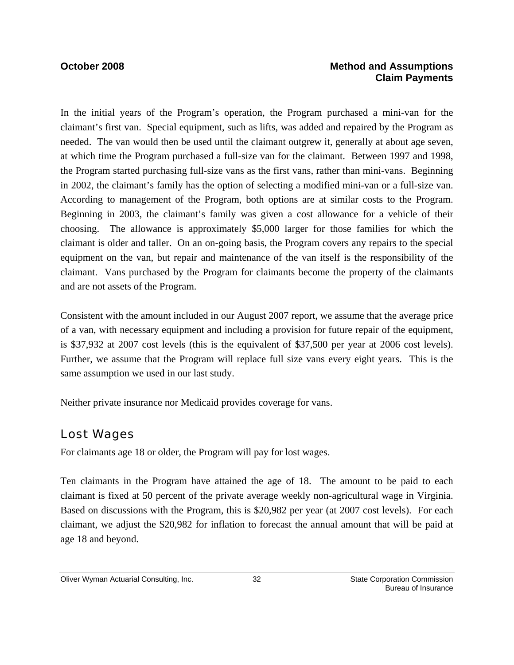## **October 2008 Method and Assumptions Claim Payments**

In the initial years of the Program's operation, the Program purchased a mini-van for the claimant's first van. Special equipment, such as lifts, was added and repaired by the Program as needed. The van would then be used until the claimant outgrew it, generally at about age seven, at which time the Program purchased a full-size van for the claimant. Between 1997 and 1998, the Program started purchasing full-size vans as the first vans, rather than mini-vans. Beginning in 2002, the claimant's family has the option of selecting a modified mini-van or a full-size van. According to management of the Program, both options are at similar costs to the Program. Beginning in 2003, the claimant's family was given a cost allowance for a vehicle of their choosing. The allowance is approximately \$5,000 larger for those families for which the claimant is older and taller. On an on-going basis, the Program covers any repairs to the special equipment on the van, but repair and maintenance of the van itself is the responsibility of the claimant. Vans purchased by the Program for claimants become the property of the claimants and are not assets of the Program.

Consistent with the amount included in our August 2007 report, we assume that the average price of a van, with necessary equipment and including a provision for future repair of the equipment, is \$37,932 at 2007 cost levels (this is the equivalent of \$37,500 per year at 2006 cost levels). Further, we assume that the Program will replace full size vans every eight years. This is the same assumption we used in our last study.

Neither private insurance nor Medicaid provides coverage for vans.

## Lost Wages

For claimants age 18 or older, the Program will pay for lost wages.

Ten claimants in the Program have attained the age of 18. The amount to be paid to each claimant is fixed at 50 percent of the private average weekly non-agricultural wage in Virginia. Based on discussions with the Program, this is \$20,982 per year (at 2007 cost levels). For each claimant, we adjust the \$20,982 for inflation to forecast the annual amount that will be paid at age 18 and beyond.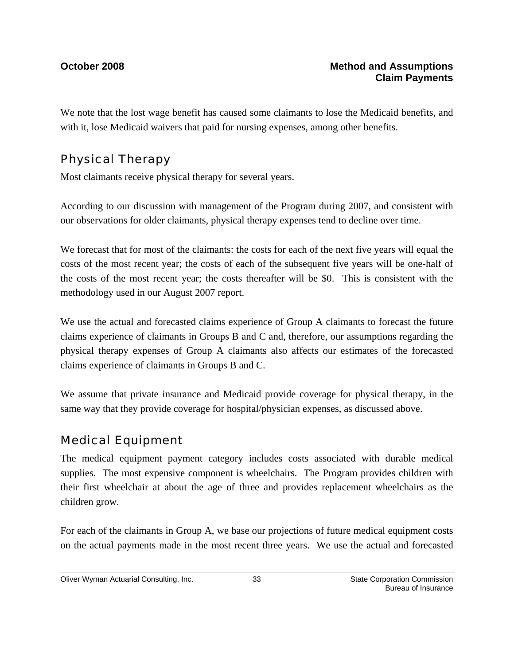We note that the lost wage benefit has caused some claimants to lose the Medicaid benefits, and with it, lose Medicaid waivers that paid for nursing expenses, among other benefits.

# Physical Therapy

Most claimants receive physical therapy for several years.

According to our discussion with management of the Program during 2007, and consistent with our observations for older claimants, physical therapy expenses tend to decline over time.

We forecast that for most of the claimants: the costs for each of the next five years will equal the costs of the most recent year; the costs of each of the subsequent five years will be one-half of the costs of the most recent year; the costs thereafter will be \$0. This is consistent with the methodology used in our August 2007 report.

We use the actual and forecasted claims experience of Group A claimants to forecast the future claims experience of claimants in Groups B and C and, therefore, our assumptions regarding the physical therapy expenses of Group A claimants also affects our estimates of the forecasted claims experience of claimants in Groups B and C.

We assume that private insurance and Medicaid provide coverage for physical therapy, in the same way that they provide coverage for hospital/physician expenses, as discussed above.

# Medical Equipment

The medical equipment payment category includes costs associated with durable medical supplies. The most expensive component is wheelchairs. The Program provides children with their first wheelchair at about the age of three and provides replacement wheelchairs as the children grow.

For each of the claimants in Group A, we base our projections of future medical equipment costs on the actual payments made in the most recent three years. We use the actual and forecasted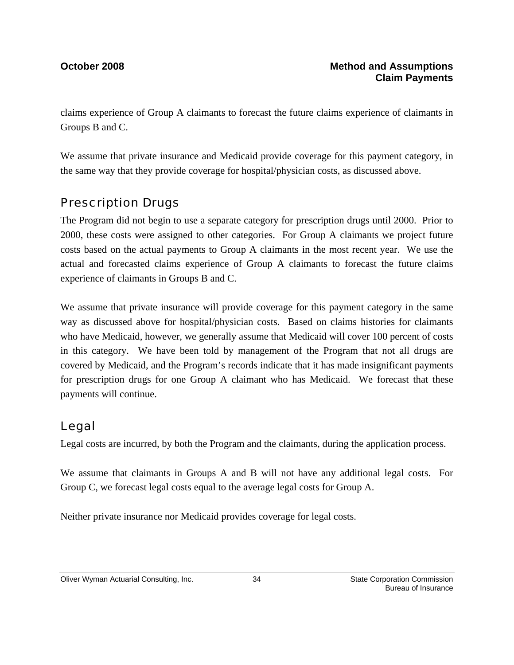claims experience of Group A claimants to forecast the future claims experience of claimants in Groups B and C.

We assume that private insurance and Medicaid provide coverage for this payment category, in the same way that they provide coverage for hospital/physician costs, as discussed above.

## Prescription Drugs

The Program did not begin to use a separate category for prescription drugs until 2000. Prior to 2000, these costs were assigned to other categories. For Group A claimants we project future costs based on the actual payments to Group A claimants in the most recent year. We use the actual and forecasted claims experience of Group A claimants to forecast the future claims experience of claimants in Groups B and C.

We assume that private insurance will provide coverage for this payment category in the same way as discussed above for hospital/physician costs. Based on claims histories for claimants who have Medicaid, however, we generally assume that Medicaid will cover 100 percent of costs in this category. We have been told by management of the Program that not all drugs are covered by Medicaid, and the Program's records indicate that it has made insignificant payments for prescription drugs for one Group A claimant who has Medicaid. We forecast that these payments will continue.

## Legal

Legal costs are incurred, by both the Program and the claimants, during the application process.

We assume that claimants in Groups A and B will not have any additional legal costs. For Group C, we forecast legal costs equal to the average legal costs for Group A.

Neither private insurance nor Medicaid provides coverage for legal costs.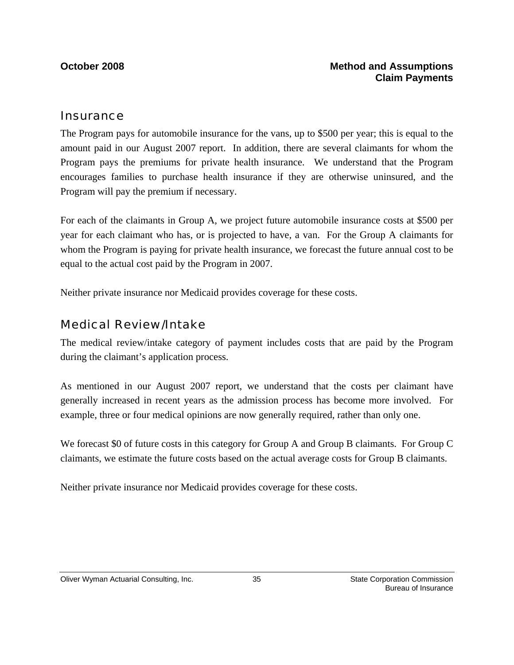### **Insurance**

The Program pays for automobile insurance for the vans, up to \$500 per year; this is equal to the amount paid in our August 2007 report. In addition, there are several claimants for whom the Program pays the premiums for private health insurance. We understand that the Program encourages families to purchase health insurance if they are otherwise uninsured, and the Program will pay the premium if necessary.

For each of the claimants in Group A, we project future automobile insurance costs at \$500 per year for each claimant who has, or is projected to have, a van. For the Group A claimants for whom the Program is paying for private health insurance, we forecast the future annual cost to be equal to the actual cost paid by the Program in 2007.

Neither private insurance nor Medicaid provides coverage for these costs.

## Medical Review/Intake

The medical review/intake category of payment includes costs that are paid by the Program during the claimant's application process.

As mentioned in our August 2007 report, we understand that the costs per claimant have generally increased in recent years as the admission process has become more involved. For example, three or four medical opinions are now generally required, rather than only one.

We forecast \$0 of future costs in this category for Group A and Group B claimants. For Group C claimants, we estimate the future costs based on the actual average costs for Group B claimants.

Neither private insurance nor Medicaid provides coverage for these costs.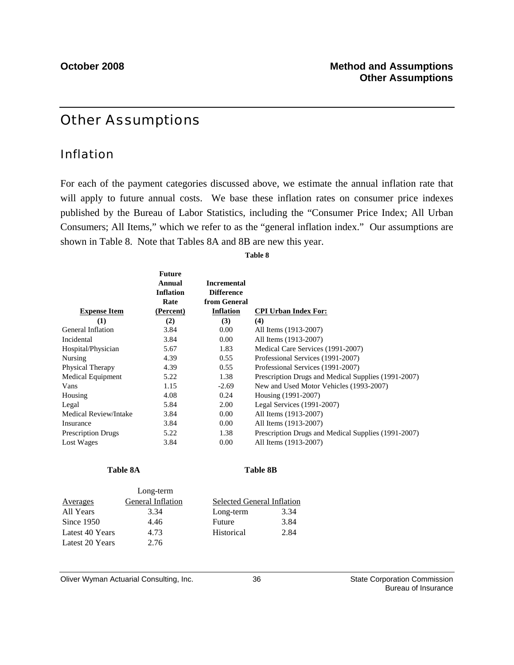## Other Assumptions

### Inflation

For each of the payment categories discussed above, we estimate the annual inflation rate that will apply to future annual costs. We base these inflation rates on consumer price indexes published by the Bureau of Labor Statistics, including the "Consumer Price Index; All Urban Consumers; All Items," which we refer to as the "general inflation index." Our assumptions are shown in Table 8. Note that Tables 8A and 8B are new this year.

### **Table 8**

| <b>Expense Item</b>       | <b>Future</b><br>Annual<br><b>Inflation</b><br>Rate<br>(Percent) | <b>Incremental</b><br><b>Difference</b><br>from General<br><b>Inflation</b> | <b>CPI Urban Index For:</b>                         |
|---------------------------|------------------------------------------------------------------|-----------------------------------------------------------------------------|-----------------------------------------------------|
| (1)                       | (2)                                                              | (3)                                                                         | (4)                                                 |
| General Inflation         | 3.84                                                             | 0.00                                                                        | All Items (1913-2007)                               |
| Incidental                | 3.84                                                             | 0.00                                                                        | All Items (1913-2007)                               |
| Hospital/Physician        | 5.67                                                             | 1.83                                                                        | Medical Care Services (1991-2007)                   |
| Nursing                   | 4.39                                                             | 0.55                                                                        | Professional Services (1991-2007)                   |
| Physical Therapy          | 4.39                                                             | 0.55                                                                        | Professional Services (1991-2007)                   |
| Medical Equipment         | 5.22                                                             | 1.38                                                                        | Prescription Drugs and Medical Supplies (1991-2007) |
| Vans                      | 1.15                                                             | $-2.69$                                                                     | New and Used Motor Vehicles (1993-2007)             |
| Housing                   | 4.08                                                             | 0.24                                                                        | Housing (1991-2007)                                 |
| Legal                     | 5.84                                                             | 2.00                                                                        | Legal Services (1991-2007)                          |
| Medical Review/Intake     | 3.84                                                             | 0.00                                                                        | All Items (1913-2007)                               |
| Insurance                 | 3.84                                                             | 0.00                                                                        | All Items (1913-2007)                               |
| <b>Prescription Drugs</b> | 5.22                                                             | 1.38                                                                        | Prescription Drugs and Medical Supplies (1991-2007) |
| Lost Wages                | 3.84                                                             | 0.00                                                                        | All Items (1913-2007)                               |

Table 8A Table 8B

|                 | $-0.15$ $-0.11$   |                            |      |
|-----------------|-------------------|----------------------------|------|
| Averages        | General Inflation | Selected General Inflation |      |
| All Years       | 3.34              | Long-term                  | 3.34 |
| Since $1950$    | 4.46              | Future                     | 3.84 |
| Latest 40 Years | 4.73              | Historical                 | 2.84 |
| Latest 20 Years | 2.76              |                            |      |

Long-term

Oliver Wyman Actuarial Consulting, Inc.  $\overline{\phantom{0}}$  36 State Corporation Commission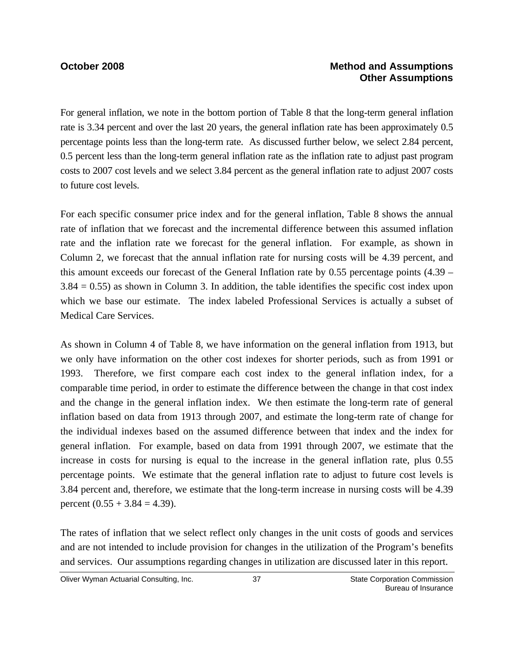### **October 2008 Method and Assumptions Other Assumptions**

For general inflation, we note in the bottom portion of Table 8 that the long-term general inflation rate is 3.34 percent and over the last 20 years, the general inflation rate has been approximately 0.5 percentage points less than the long-term rate. As discussed further below, we select 2.84 percent, 0.5 percent less than the long-term general inflation rate as the inflation rate to adjust past program costs to 2007 cost levels and we select 3.84 percent as the general inflation rate to adjust 2007 costs to future cost levels.

For each specific consumer price index and for the general inflation, Table 8 shows the annual rate of inflation that we forecast and the incremental difference between this assumed inflation rate and the inflation rate we forecast for the general inflation. For example, as shown in Column 2, we forecast that the annual inflation rate for nursing costs will be 4.39 percent, and this amount exceeds our forecast of the General Inflation rate by 0.55 percentage points (4.39 – 3.84 = 0.55) as shown in Column 3. In addition, the table identifies the specific cost index upon which we base our estimate. The index labeled Professional Services is actually a subset of Medical Care Services.

As shown in Column 4 of Table 8, we have information on the general inflation from 1913, but we only have information on the other cost indexes for shorter periods, such as from 1991 or 1993. Therefore, we first compare each cost index to the general inflation index, for a comparable time period, in order to estimate the difference between the change in that cost index and the change in the general inflation index. We then estimate the long-term rate of general inflation based on data from 1913 through 2007, and estimate the long-term rate of change for the individual indexes based on the assumed difference between that index and the index for general inflation. For example, based on data from 1991 through 2007, we estimate that the increase in costs for nursing is equal to the increase in the general inflation rate, plus 0.55 percentage points. We estimate that the general inflation rate to adjust to future cost levels is 3.84 percent and, therefore, we estimate that the long-term increase in nursing costs will be 4.39 percent  $(0.55 + 3.84 = 4.39)$ .

The rates of inflation that we select reflect only changes in the unit costs of goods and services and are not intended to include provision for changes in the utilization of the Program's benefits and services. Our assumptions regarding changes in utilization are discussed later in this report.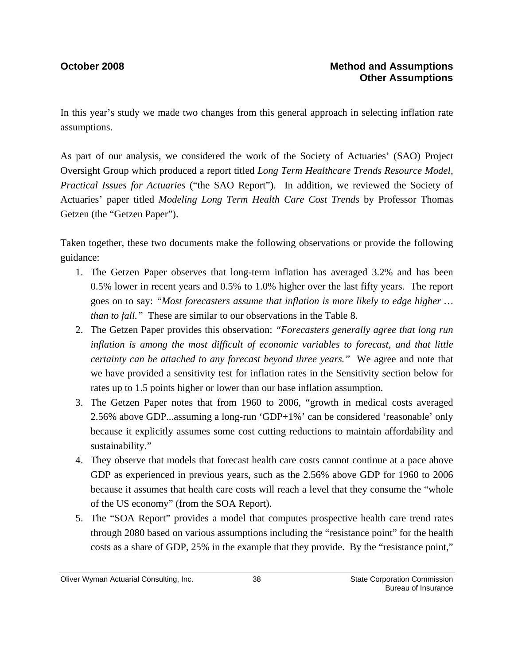In this year's study we made two changes from this general approach in selecting inflation rate assumptions.

As part of our analysis, we considered the work of the Society of Actuaries' (SAO) Project Oversight Group which produced a report titled *Long Term Healthcare Trends Resource Model, Practical Issues for Actuaries* ("the SAO Report").In addition, we reviewed the Society of Actuaries' paper titled *Modeling Long Term Health Care Cost Trends* by Professor Thomas Getzen (the "Getzen Paper").

Taken together, these two documents make the following observations or provide the following guidance:

- 1. The Getzen Paper observes that long-term inflation has averaged 3.2% and has been 0.5% lower in recent years and 0.5% to 1.0% higher over the last fifty years. The report goes on to say: *"Most forecasters assume that inflation is more likely to edge higher … than to fall."* These are similar to our observations in the Table 8.
- 2. The Getzen Paper provides this observation: *"Forecasters generally agree that long run inflation is among the most difficult of economic variables to forecast, and that little certainty can be attached to any forecast beyond three years."* We agree and note that we have provided a sensitivity test for inflation rates in the Sensitivity section below for rates up to 1.5 points higher or lower than our base inflation assumption.
- 3. The Getzen Paper notes that from 1960 to 2006, "growth in medical costs averaged 2.56% above GDP...assuming a long-run 'GDP+1%' can be considered 'reasonable' only because it explicitly assumes some cost cutting reductions to maintain affordability and sustainability."
- 4. They observe that models that forecast health care costs cannot continue at a pace above GDP as experienced in previous years, such as the 2.56% above GDP for 1960 to 2006 because it assumes that health care costs will reach a level that they consume the "whole of the US economy" (from the SOA Report).
- 5. The "SOA Report" provides a model that computes prospective health care trend rates through 2080 based on various assumptions including the "resistance point" for the health costs as a share of GDP, 25% in the example that they provide. By the "resistance point,"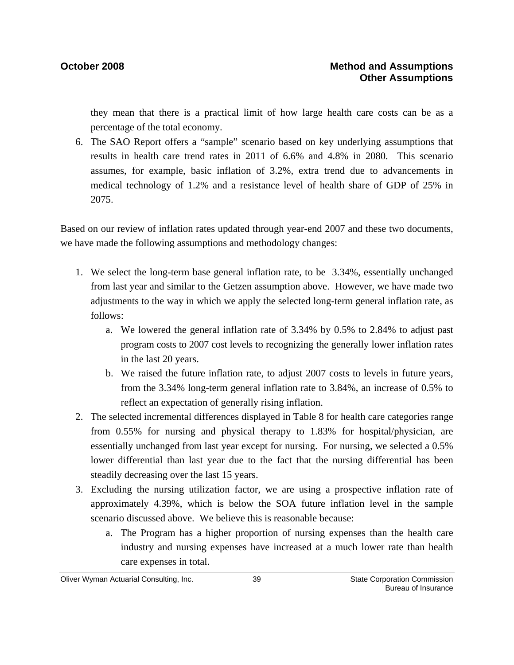they mean that there is a practical limit of how large health care costs can be as a percentage of the total economy.

6. The SAO Report offers a "sample" scenario based on key underlying assumptions that results in health care trend rates in 2011 of 6.6% and 4.8% in 2080. This scenario assumes, for example, basic inflation of 3.2%, extra trend due to advancements in medical technology of 1.2% and a resistance level of health share of GDP of 25% in 2075.

Based on our review of inflation rates updated through year-end 2007 and these two documents, we have made the following assumptions and methodology changes:

- 1. We select the long-term base general inflation rate, to be 3.34%, essentially unchanged from last year and similar to the Getzen assumption above. However, we have made two adjustments to the way in which we apply the selected long-term general inflation rate, as follows:
	- a. We lowered the general inflation rate of 3.34% by 0.5% to 2.84% to adjust past program costs to 2007 cost levels to recognizing the generally lower inflation rates in the last 20 years.
	- b. We raised the future inflation rate, to adjust 2007 costs to levels in future years, from the 3.34% long-term general inflation rate to 3.84%, an increase of 0.5% to reflect an expectation of generally rising inflation.
- 2. The selected incremental differences displayed in Table 8 for health care categories range from 0.55% for nursing and physical therapy to 1.83% for hospital/physician, are essentially unchanged from last year except for nursing. For nursing, we selected a 0.5% lower differential than last year due to the fact that the nursing differential has been steadily decreasing over the last 15 years.
- 3. Excluding the nursing utilization factor, we are using a prospective inflation rate of approximately 4.39%, which is below the SOA future inflation level in the sample scenario discussed above. We believe this is reasonable because:
	- a. The Program has a higher proportion of nursing expenses than the health care industry and nursing expenses have increased at a much lower rate than health care expenses in total.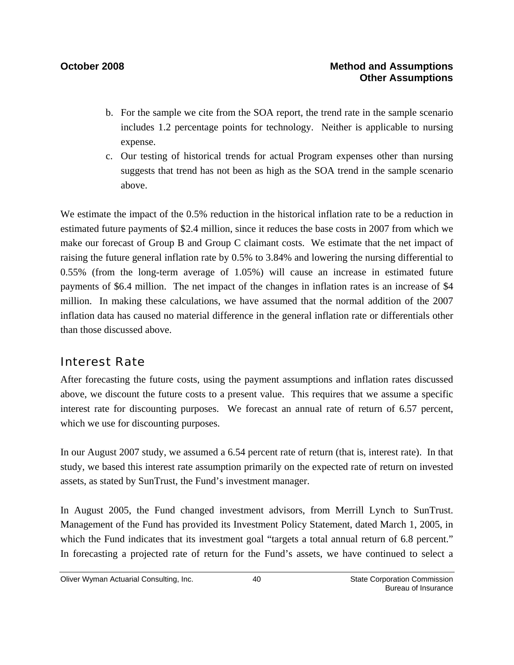- b. For the sample we cite from the SOA report, the trend rate in the sample scenario includes 1.2 percentage points for technology. Neither is applicable to nursing expense.
- c. Our testing of historical trends for actual Program expenses other than nursing suggests that trend has not been as high as the SOA trend in the sample scenario above.

We estimate the impact of the 0.5% reduction in the historical inflation rate to be a reduction in estimated future payments of \$2.4 million, since it reduces the base costs in 2007 from which we make our forecast of Group B and Group C claimant costs. We estimate that the net impact of raising the future general inflation rate by 0.5% to 3.84% and lowering the nursing differential to 0.55% (from the long-term average of 1.05%) will cause an increase in estimated future payments of \$6.4 million. The net impact of the changes in inflation rates is an increase of \$4 million. In making these calculations, we have assumed that the normal addition of the 2007 inflation data has caused no material difference in the general inflation rate or differentials other than those discussed above.

# Interest Rate

After forecasting the future costs, using the payment assumptions and inflation rates discussed above, we discount the future costs to a present value. This requires that we assume a specific interest rate for discounting purposes. We forecast an annual rate of return of 6.57 percent, which we use for discounting purposes.

In our August 2007 study, we assumed a 6.54 percent rate of return (that is, interest rate). In that study, we based this interest rate assumption primarily on the expected rate of return on invested assets, as stated by SunTrust, the Fund's investment manager.

In August 2005, the Fund changed investment advisors, from Merrill Lynch to SunTrust. Management of the Fund has provided its Investment Policy Statement, dated March 1, 2005, in which the Fund indicates that its investment goal "targets a total annual return of 6.8 percent." In forecasting a projected rate of return for the Fund's assets, we have continued to select a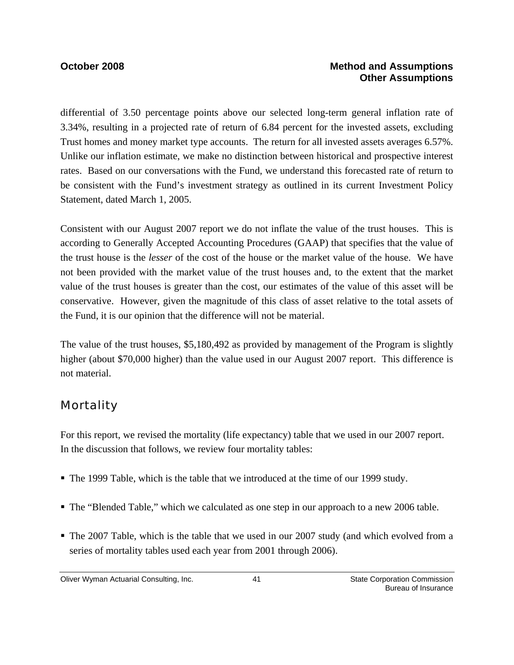### **October 2008 Method and Assumptions Other Assumptions**

differential of 3.50 percentage points above our selected long-term general inflation rate of 3.34%, resulting in a projected rate of return of 6.84 percent for the invested assets, excluding Trust homes and money market type accounts. The return for all invested assets averages 6.57%. Unlike our inflation estimate, we make no distinction between historical and prospective interest rates. Based on our conversations with the Fund, we understand this forecasted rate of return to be consistent with the Fund's investment strategy as outlined in its current Investment Policy Statement, dated March 1, 2005.

Consistent with our August 2007 report we do not inflate the value of the trust houses. This is according to Generally Accepted Accounting Procedures (GAAP) that specifies that the value of the trust house is the *lesser* of the cost of the house or the market value of the house. We have not been provided with the market value of the trust houses and, to the extent that the market value of the trust houses is greater than the cost, our estimates of the value of this asset will be conservative. However, given the magnitude of this class of asset relative to the total assets of the Fund, it is our opinion that the difference will not be material.

The value of the trust houses, \$5,180,492 as provided by management of the Program is slightly higher (about \$70,000 higher) than the value used in our August 2007 report. This difference is not material.

# **Mortality**

For this report, we revised the mortality (life expectancy) table that we used in our 2007 report. In the discussion that follows, we review four mortality tables:

- The 1999 Table, which is the table that we introduced at the time of our 1999 study.
- The "Blended Table," which we calculated as one step in our approach to a new 2006 table.
- The 2007 Table, which is the table that we used in our 2007 study (and which evolved from a series of mortality tables used each year from 2001 through 2006).

Oliver Wyman Actuarial Consulting, Inc.  $\begin{array}{ccc} 41 & 41 & \end{array}$  State Corporation Commission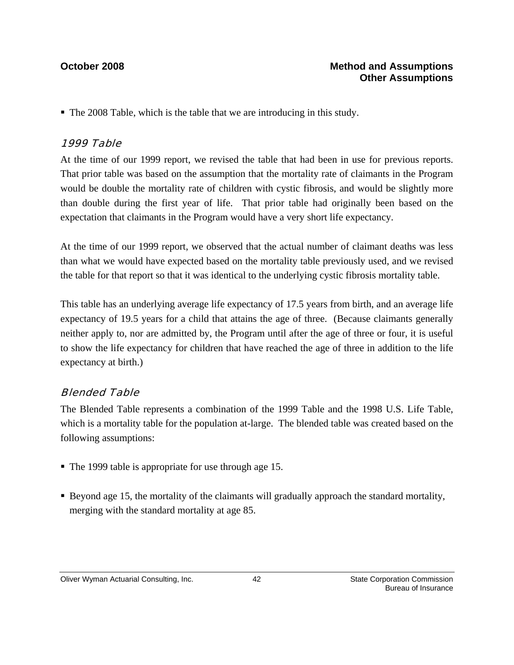The 2008 Table, which is the table that we are introducing in this study.

### 1999 Table

At the time of our 1999 report, we revised the table that had been in use for previous reports. That prior table was based on the assumption that the mortality rate of claimants in the Program would be double the mortality rate of children with cystic fibrosis, and would be slightly more than double during the first year of life. That prior table had originally been based on the expectation that claimants in the Program would have a very short life expectancy.

At the time of our 1999 report, we observed that the actual number of claimant deaths was less than what we would have expected based on the mortality table previously used, and we revised the table for that report so that it was identical to the underlying cystic fibrosis mortality table.

This table has an underlying average life expectancy of 17.5 years from birth, and an average life expectancy of 19.5 years for a child that attains the age of three. (Because claimants generally neither apply to, nor are admitted by, the Program until after the age of three or four, it is useful to show the life expectancy for children that have reached the age of three in addition to the life expectancy at birth.)

### Blended Table

The Blended Table represents a combination of the 1999 Table and the 1998 U.S. Life Table, which is a mortality table for the population at-large. The blended table was created based on the following assumptions:

- The 1999 table is appropriate for use through age 15.
- Beyond age 15, the mortality of the claimants will gradually approach the standard mortality, merging with the standard mortality at age 85.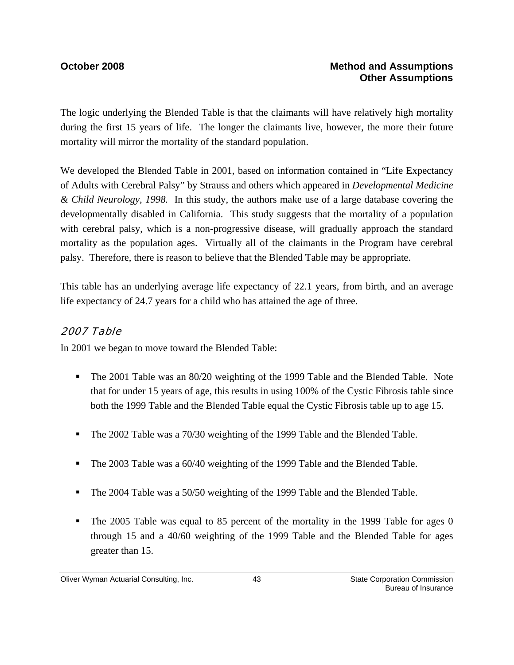The logic underlying the Blended Table is that the claimants will have relatively high mortality during the first 15 years of life. The longer the claimants live, however, the more their future mortality will mirror the mortality of the standard population.

We developed the Blended Table in 2001, based on information contained in "Life Expectancy of Adults with Cerebral Palsy" by Strauss and others which appeared in *Developmental Medicine & Child Neurology, 1998.* In this study, the authors make use of a large database covering the developmentally disabled in California. This study suggests that the mortality of a population with cerebral palsy, which is a non-progressive disease, will gradually approach the standard mortality as the population ages. Virtually all of the claimants in the Program have cerebral palsy. Therefore, there is reason to believe that the Blended Table may be appropriate.

This table has an underlying average life expectancy of 22.1 years, from birth, and an average life expectancy of 24.7 years for a child who has attained the age of three.

### 2007 Table

In 2001 we began to move toward the Blended Table:

- The 2001 Table was an 80/20 weighting of the 1999 Table and the Blended Table. Note that for under 15 years of age, this results in using 100% of the Cystic Fibrosis table since both the 1999 Table and the Blended Table equal the Cystic Fibrosis table up to age 15.
- The 2002 Table was a 70/30 weighting of the 1999 Table and the Blended Table.
- The 2003 Table was a 60/40 weighting of the 1999 Table and the Blended Table.
- The 2004 Table was a 50/50 weighting of the 1999 Table and the Blended Table.
- The 2005 Table was equal to 85 percent of the mortality in the 1999 Table for ages 0 through 15 and a 40/60 weighting of the 1999 Table and the Blended Table for ages greater than 15.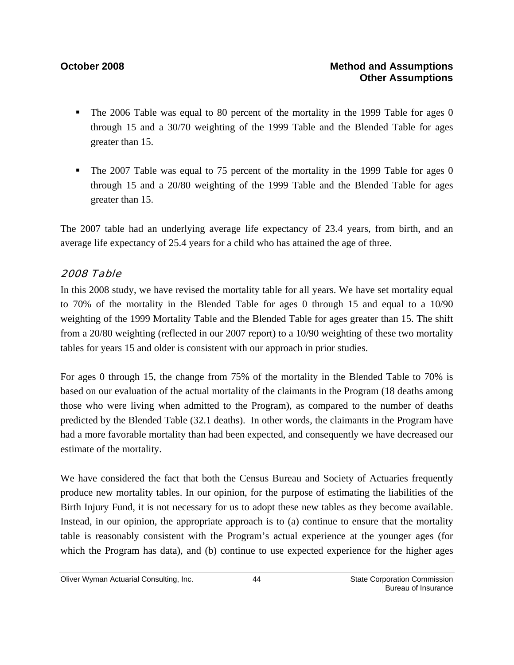- The 2006 Table was equal to 80 percent of the mortality in the 1999 Table for ages 0 through 15 and a 30/70 weighting of the 1999 Table and the Blended Table for ages greater than 15.
- The 2007 Table was equal to 75 percent of the mortality in the 1999 Table for ages 0 through 15 and a 20/80 weighting of the 1999 Table and the Blended Table for ages greater than 15.

The 2007 table had an underlying average life expectancy of 23.4 years, from birth, and an average life expectancy of 25.4 years for a child who has attained the age of three.

### 2008 Table

In this 2008 study, we have revised the mortality table for all years. We have set mortality equal to 70% of the mortality in the Blended Table for ages 0 through 15 and equal to a 10/90 weighting of the 1999 Mortality Table and the Blended Table for ages greater than 15. The shift from a 20/80 weighting (reflected in our 2007 report) to a 10/90 weighting of these two mortality tables for years 15 and older is consistent with our approach in prior studies.

For ages 0 through 15, the change from 75% of the mortality in the Blended Table to 70% is based on our evaluation of the actual mortality of the claimants in the Program (18 deaths among those who were living when admitted to the Program), as compared to the number of deaths predicted by the Blended Table (32.1 deaths). In other words, the claimants in the Program have had a more favorable mortality than had been expected, and consequently we have decreased our estimate of the mortality.

We have considered the fact that both the Census Bureau and Society of Actuaries frequently produce new mortality tables. In our opinion, for the purpose of estimating the liabilities of the Birth Injury Fund, it is not necessary for us to adopt these new tables as they become available. Instead, in our opinion, the appropriate approach is to (a) continue to ensure that the mortality table is reasonably consistent with the Program's actual experience at the younger ages (for which the Program has data), and (b) continue to use expected experience for the higher ages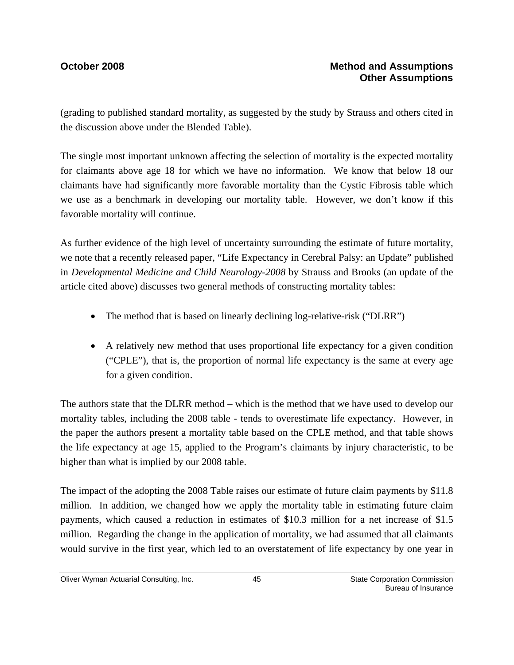### **October 2008 Method and Assumptions Other Assumptions**

(grading to published standard mortality, as suggested by the study by Strauss and others cited in the discussion above under the Blended Table).

The single most important unknown affecting the selection of mortality is the expected mortality for claimants above age 18 for which we have no information. We know that below 18 our claimants have had significantly more favorable mortality than the Cystic Fibrosis table which we use as a benchmark in developing our mortality table. However, we don't know if this favorable mortality will continue.

As further evidence of the high level of uncertainty surrounding the estimate of future mortality, we note that a recently released paper, "Life Expectancy in Cerebral Palsy: an Update" published in *Developmental Medicine and Child Neurology-2008* by Strauss and Brooks (an update of the article cited above) discusses two general methods of constructing mortality tables:

- The method that is based on linearly declining log-relative-risk ("DLRR")
- A relatively new method that uses proportional life expectancy for a given condition ("CPLE"), that is, the proportion of normal life expectancy is the same at every age for a given condition.

The authors state that the DLRR method – which is the method that we have used to develop our mortality tables, including the 2008 table - tends to overestimate life expectancy. However, in the paper the authors present a mortality table based on the CPLE method, and that table shows the life expectancy at age 15, applied to the Program's claimants by injury characteristic, to be higher than what is implied by our 2008 table.

The impact of the adopting the 2008 Table raises our estimate of future claim payments by \$11.8 million. In addition, we changed how we apply the mortality table in estimating future claim payments, which caused a reduction in estimates of \$10.3 million for a net increase of \$1.5 million. Regarding the change in the application of mortality, we had assumed that all claimants would survive in the first year, which led to an overstatement of life expectancy by one year in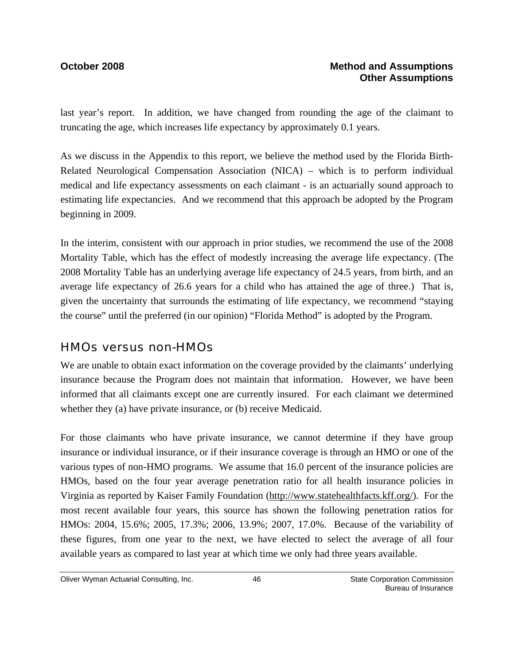last year's report. In addition, we have changed from rounding the age of the claimant to truncating the age, which increases life expectancy by approximately 0.1 years.

As we discuss in the Appendix to this report, we believe the method used by the Florida Birth-Related Neurological Compensation Association (NICA) – which is to perform individual medical and life expectancy assessments on each claimant - is an actuarially sound approach to estimating life expectancies. And we recommend that this approach be adopted by the Program beginning in 2009.

In the interim, consistent with our approach in prior studies, we recommend the use of the 2008 Mortality Table, which has the effect of modestly increasing the average life expectancy. (The 2008 Mortality Table has an underlying average life expectancy of 24.5 years, from birth, and an average life expectancy of 26.6 years for a child who has attained the age of three.) That is, given the uncertainty that surrounds the estimating of life expectancy, we recommend "staying the course" until the preferred (in our opinion) "Florida Method" is adopted by the Program.

### HMOs versus non-HMOs

We are unable to obtain exact information on the coverage provided by the claimants' underlying insurance because the Program does not maintain that information. However, we have been informed that all claimants except one are currently insured. For each claimant we determined whether they (a) have private insurance, or (b) receive Medicaid.

For those claimants who have private insurance, we cannot determine if they have group insurance or individual insurance, or if their insurance coverage is through an HMO or one of the various types of non-HMO programs. We assume that 16.0 percent of the insurance policies are HMOs, based on the four year average penetration ratio for all health insurance policies in Virginia as reported by Kaiser Family Foundation (http://www.statehealthfacts.kff.org/). For the most recent available four years, this source has shown the following penetration ratios for HMOs: 2004, 15.6%; 2005, 17.3%; 2006, 13.9%; 2007, 17.0%. Because of the variability of these figures, from one year to the next, we have elected to select the average of all four available years as compared to last year at which time we only had three years available.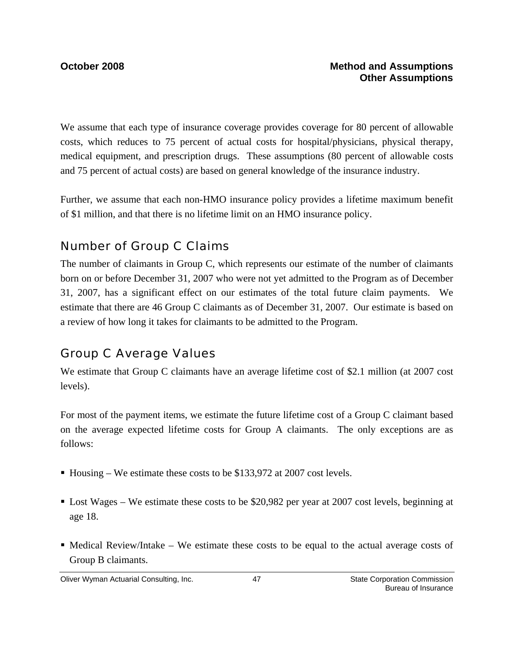We assume that each type of insurance coverage provides coverage for 80 percent of allowable costs, which reduces to 75 percent of actual costs for hospital/physicians, physical therapy, medical equipment, and prescription drugs. These assumptions (80 percent of allowable costs and 75 percent of actual costs) are based on general knowledge of the insurance industry.

Further, we assume that each non-HMO insurance policy provides a lifetime maximum benefit of \$1 million, and that there is no lifetime limit on an HMO insurance policy.

# Number of Group C Claims

The number of claimants in Group C, which represents our estimate of the number of claimants born on or before December 31, 2007 who were not yet admitted to the Program as of December 31, 2007, has a significant effect on our estimates of the total future claim payments. We estimate that there are 46 Group C claimants as of December 31, 2007. Our estimate is based on a review of how long it takes for claimants to be admitted to the Program.

# Group C Average Values

We estimate that Group C claimants have an average lifetime cost of \$2.1 million (at 2007 cost levels).

For most of the payment items, we estimate the future lifetime cost of a Group C claimant based on the average expected lifetime costs for Group A claimants. The only exceptions are as follows:

- Housing We estimate these costs to be \$133,972 at 2007 cost levels.
- Lost Wages We estimate these costs to be \$20,982 per year at 2007 cost levels, beginning at age 18.
- $\blacksquare$  Medical Review/Intake We estimate these costs to be equal to the actual average costs of Group B claimants.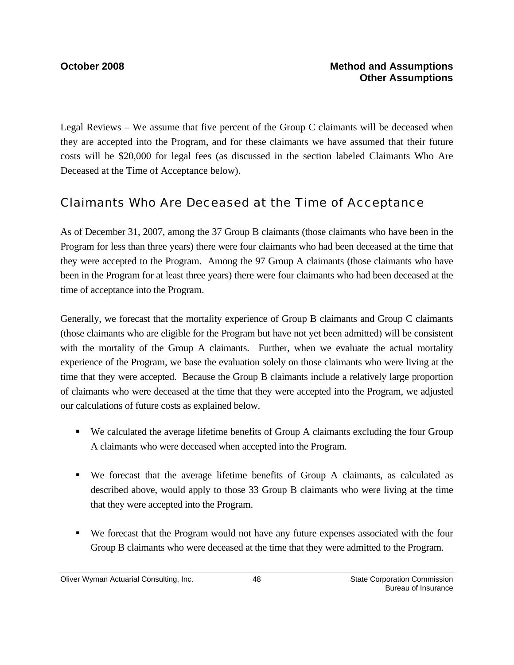Legal Reviews – We assume that five percent of the Group C claimants will be deceased when they are accepted into the Program, and for these claimants we have assumed that their future costs will be \$20,000 for legal fees (as discussed in the section labeled Claimants Who Are Deceased at the Time of Acceptance below).

## Claimants Who Are Deceased at the Time of Acceptance

As of December 31, 2007, among the 37 Group B claimants (those claimants who have been in the Program for less than three years) there were four claimants who had been deceased at the time that they were accepted to the Program. Among the 97 Group A claimants (those claimants who have been in the Program for at least three years) there were four claimants who had been deceased at the time of acceptance into the Program.

Generally, we forecast that the mortality experience of Group B claimants and Group C claimants (those claimants who are eligible for the Program but have not yet been admitted) will be consistent with the mortality of the Group A claimants. Further, when we evaluate the actual mortality experience of the Program, we base the evaluation solely on those claimants who were living at the time that they were accepted. Because the Group B claimants include a relatively large proportion of claimants who were deceased at the time that they were accepted into the Program, we adjusted our calculations of future costs as explained below.

- We calculated the average lifetime benefits of Group A claimants excluding the four Group A claimants who were deceased when accepted into the Program.
- We forecast that the average lifetime benefits of Group A claimants, as calculated as described above, would apply to those 33 Group B claimants who were living at the time that they were accepted into the Program.
- We forecast that the Program would not have any future expenses associated with the four Group B claimants who were deceased at the time that they were admitted to the Program.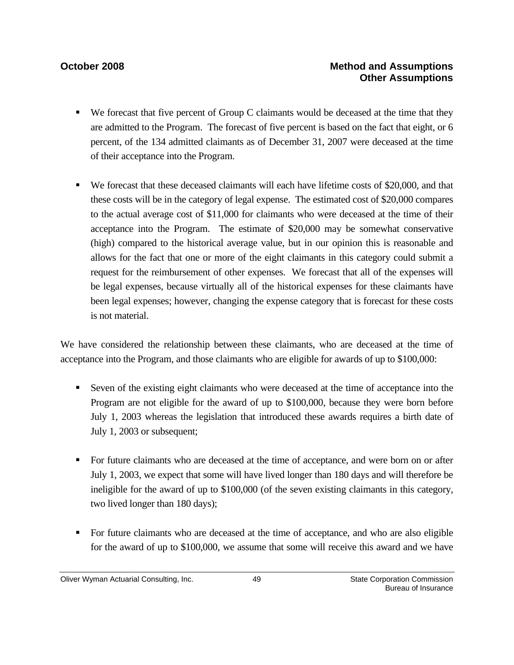- We forecast that five percent of Group C claimants would be deceased at the time that they are admitted to the Program. The forecast of five percent is based on the fact that eight, or 6 percent, of the 134 admitted claimants as of December 31, 2007 were deceased at the time of their acceptance into the Program.
- We forecast that these deceased claimants will each have lifetime costs of \$20,000, and that these costs will be in the category of legal expense. The estimated cost of \$20,000 compares to the actual average cost of \$11,000 for claimants who were deceased at the time of their acceptance into the Program. The estimate of \$20,000 may be somewhat conservative (high) compared to the historical average value, but in our opinion this is reasonable and allows for the fact that one or more of the eight claimants in this category could submit a request for the reimbursement of other expenses. We forecast that all of the expenses will be legal expenses, because virtually all of the historical expenses for these claimants have been legal expenses; however, changing the expense category that is forecast for these costs is not material.

We have considered the relationship between these claimants, who are deceased at the time of acceptance into the Program, and those claimants who are eligible for awards of up to \$100,000:

- Seven of the existing eight claimants who were deceased at the time of acceptance into the Program are not eligible for the award of up to \$100,000, because they were born before July 1, 2003 whereas the legislation that introduced these awards requires a birth date of July 1, 2003 or subsequent;
- For future claimants who are deceased at the time of acceptance, and were born on or after July 1, 2003, we expect that some will have lived longer than 180 days and will therefore be ineligible for the award of up to \$100,000 (of the seven existing claimants in this category, two lived longer than 180 days);
- For future claimants who are deceased at the time of acceptance, and who are also eligible for the award of up to \$100,000, we assume that some will receive this award and we have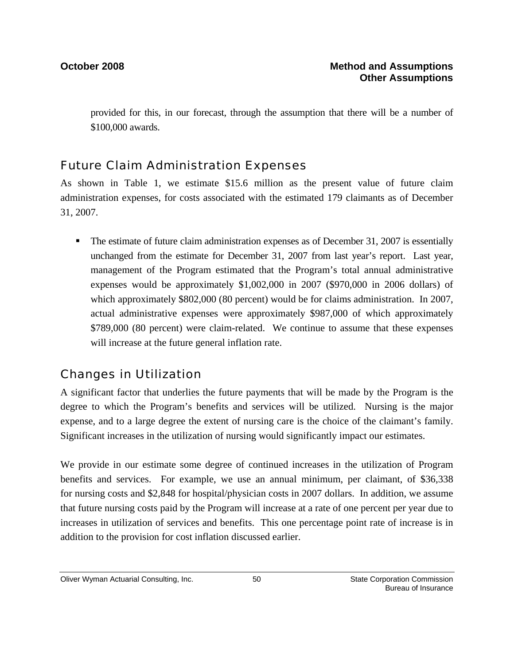provided for this, in our forecast, through the assumption that there will be a number of \$100,000 awards.

# Future Claim Administration Expenses

As shown in Table 1, we estimate \$15.6 million as the present value of future claim administration expenses, for costs associated with the estimated 179 claimants as of December 31, 2007.

• The estimate of future claim administration expenses as of December 31, 2007 is essentially unchanged from the estimate for December 31, 2007 from last year's report. Last year, management of the Program estimated that the Program's total annual administrative expenses would be approximately \$1,002,000 in 2007 (\$970,000 in 2006 dollars) of which approximately \$802,000 (80 percent) would be for claims administration. In 2007, actual administrative expenses were approximately \$987,000 of which approximately \$789,000 (80 percent) were claim-related. We continue to assume that these expenses will increase at the future general inflation rate.

# Changes in Utilization

A significant factor that underlies the future payments that will be made by the Program is the degree to which the Program's benefits and services will be utilized. Nursing is the major expense, and to a large degree the extent of nursing care is the choice of the claimant's family. Significant increases in the utilization of nursing would significantly impact our estimates.

We provide in our estimate some degree of continued increases in the utilization of Program benefits and services. For example, we use an annual minimum, per claimant, of \$36,338 for nursing costs and \$2,848 for hospital/physician costs in 2007 dollars. In addition, we assume that future nursing costs paid by the Program will increase at a rate of one percent per year due to increases in utilization of services and benefits. This one percentage point rate of increase is in addition to the provision for cost inflation discussed earlier.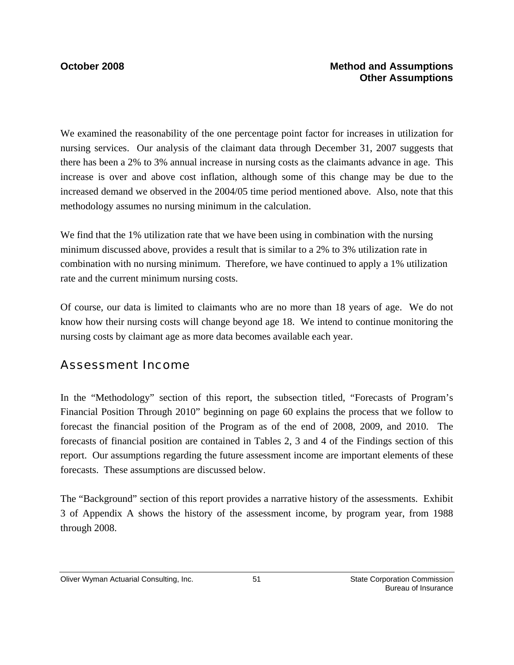We examined the reasonability of the one percentage point factor for increases in utilization for nursing services. Our analysis of the claimant data through December 31, 2007 suggests that there has been a 2% to 3% annual increase in nursing costs as the claimants advance in age. This increase is over and above cost inflation, although some of this change may be due to the increased demand we observed in the 2004/05 time period mentioned above. Also, note that this methodology assumes no nursing minimum in the calculation.

We find that the 1% utilization rate that we have been using in combination with the nursing minimum discussed above, provides a result that is similar to a 2% to 3% utilization rate in combination with no nursing minimum. Therefore, we have continued to apply a 1% utilization rate and the current minimum nursing costs.

Of course, our data is limited to claimants who are no more than 18 years of age. We do not know how their nursing costs will change beyond age 18. We intend to continue monitoring the nursing costs by claimant age as more data becomes available each year.

# Assessment Income

In the "Methodology" section of this report, the subsection titled, "Forecasts of Program's Financial Position Through 2010" beginning on page 60 explains the process that we follow to forecast the financial position of the Program as of the end of 2008, 2009, and 2010. The forecasts of financial position are contained in Tables 2, 3 and 4 of the Findings section of this report. Our assumptions regarding the future assessment income are important elements of these forecasts. These assumptions are discussed below.

The "Background" section of this report provides a narrative history of the assessments. Exhibit 3 of Appendix A shows the history of the assessment income, by program year, from 1988 through 2008.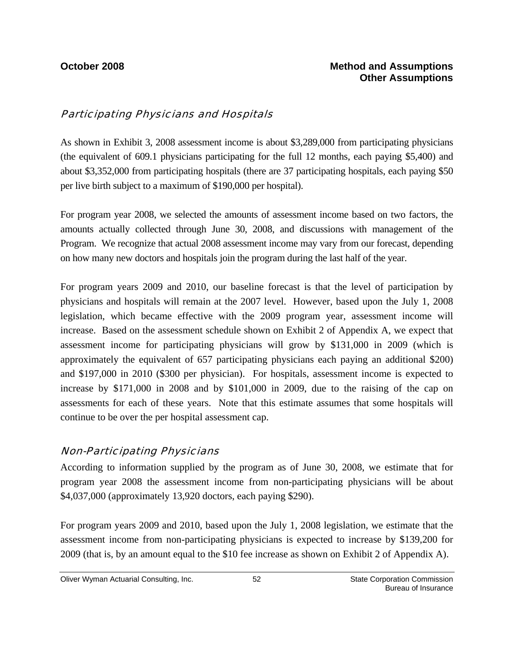### Participating Physicians and Hospitals

As shown in Exhibit 3, 2008 assessment income is about \$3,289,000 from participating physicians (the equivalent of 609.1 physicians participating for the full 12 months, each paying \$5,400) and about \$3,352,000 from participating hospitals (there are 37 participating hospitals, each paying \$50 per live birth subject to a maximum of \$190,000 per hospital).

For program year 2008, we selected the amounts of assessment income based on two factors, the amounts actually collected through June 30, 2008, and discussions with management of the Program. We recognize that actual 2008 assessment income may vary from our forecast, depending on how many new doctors and hospitals join the program during the last half of the year.

For program years 2009 and 2010, our baseline forecast is that the level of participation by physicians and hospitals will remain at the 2007 level. However, based upon the July 1, 2008 legislation, which became effective with the 2009 program year, assessment income will increase. Based on the assessment schedule shown on Exhibit 2 of Appendix A, we expect that assessment income for participating physicians will grow by \$131,000 in 2009 (which is approximately the equivalent of 657 participating physicians each paying an additional \$200) and \$197,000 in 2010 (\$300 per physician). For hospitals, assessment income is expected to increase by \$171,000 in 2008 and by \$101,000 in 2009, due to the raising of the cap on assessments for each of these years. Note that this estimate assumes that some hospitals will continue to be over the per hospital assessment cap.

### Non-Participating Physicians

According to information supplied by the program as of June 30, 2008, we estimate that for program year 2008 the assessment income from non-participating physicians will be about \$4,037,000 (approximately 13,920 doctors, each paying \$290).

For program years 2009 and 2010, based upon the July 1, 2008 legislation, we estimate that the assessment income from non-participating physicians is expected to increase by \$139,200 for 2009 (that is, by an amount equal to the \$10 fee increase as shown on Exhibit 2 of Appendix A).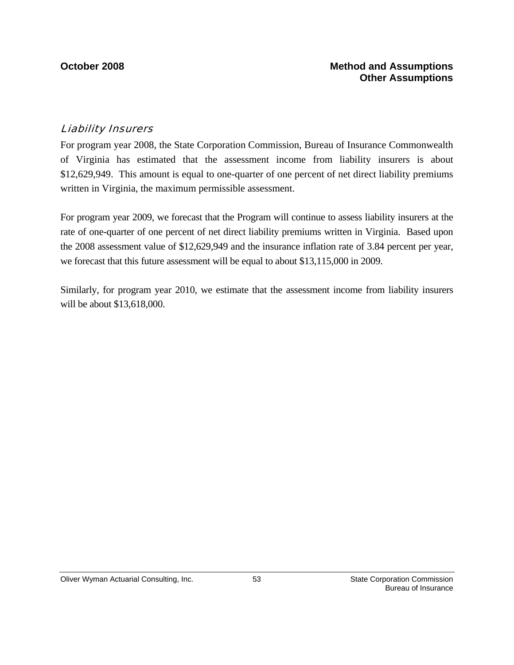### Liability Insurers

For program year 2008, the State Corporation Commission, Bureau of Insurance Commonwealth of Virginia has estimated that the assessment income from liability insurers is about \$12,629,949. This amount is equal to one-quarter of one percent of net direct liability premiums written in Virginia, the maximum permissible assessment.

For program year 2009, we forecast that the Program will continue to assess liability insurers at the rate of one-quarter of one percent of net direct liability premiums written in Virginia. Based upon the 2008 assessment value of \$12,629,949 and the insurance inflation rate of 3.84 percent per year, we forecast that this future assessment will be equal to about \$13,115,000 in 2009.

Similarly, for program year 2010, we estimate that the assessment income from liability insurers will be about \$13,618,000.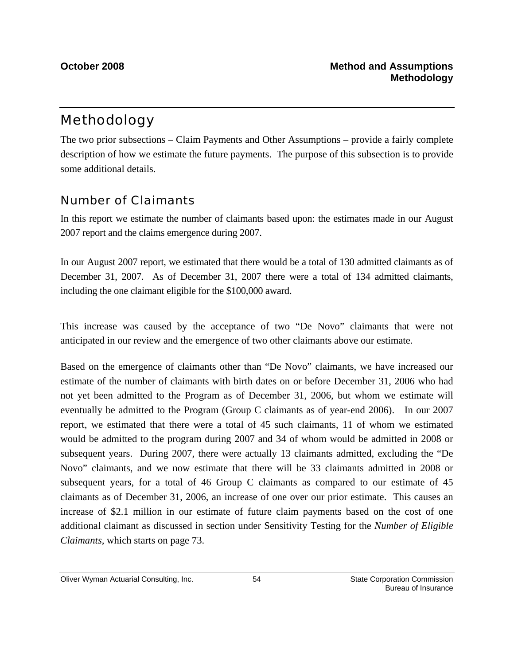# Methodology

The two prior subsections – Claim Payments and Other Assumptions – provide a fairly complete description of how we estimate the future payments. The purpose of this subsection is to provide some additional details.

## Number of Claimants

In this report we estimate the number of claimants based upon: the estimates made in our August 2007 report and the claims emergence during 2007.

In our August 2007 report, we estimated that there would be a total of 130 admitted claimants as of December 31, 2007. As of December 31, 2007 there were a total of 134 admitted claimants, including the one claimant eligible for the \$100,000 award.

This increase was caused by the acceptance of two "De Novo" claimants that were not anticipated in our review and the emergence of two other claimants above our estimate.

Based on the emergence of claimants other than "De Novo" claimants, we have increased our estimate of the number of claimants with birth dates on or before December 31, 2006 who had not yet been admitted to the Program as of December 31, 2006, but whom we estimate will eventually be admitted to the Program (Group C claimants as of year-end 2006). In our 2007 report, we estimated that there were a total of 45 such claimants, 11 of whom we estimated would be admitted to the program during 2007 and 34 of whom would be admitted in 2008 or subsequent years. During 2007, there were actually 13 claimants admitted, excluding the "De Novo" claimants, and we now estimate that there will be 33 claimants admitted in 2008 or subsequent years, for a total of 46 Group C claimants as compared to our estimate of 45 claimants as of December 31, 2006, an increase of one over our prior estimate. This causes an increase of \$2.1 million in our estimate of future claim payments based on the cost of one additional claimant as discussed in section under Sensitivity Testing for the *Number of Eligible Claimants,* which starts on page 73.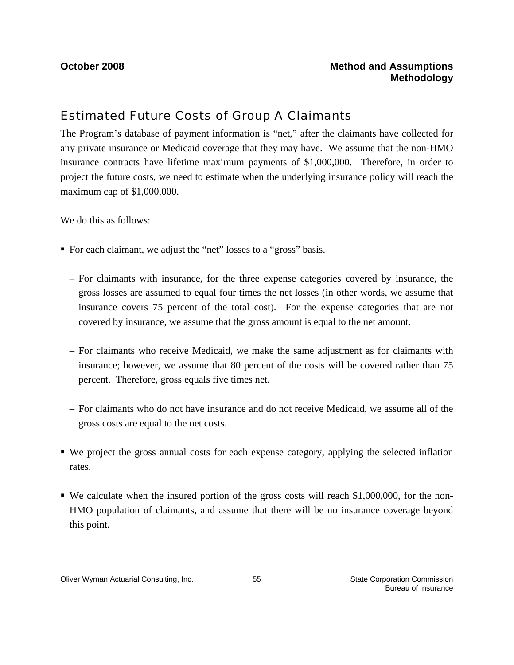## Estimated Future Costs of Group A Claimants

The Program's database of payment information is "net," after the claimants have collected for any private insurance or Medicaid coverage that they may have. We assume that the non-HMO insurance contracts have lifetime maximum payments of \$1,000,000. Therefore, in order to project the future costs, we need to estimate when the underlying insurance policy will reach the maximum cap of \$1,000,000.

We do this as follows:

- For each claimant, we adjust the "net" losses to a "gross" basis.
	- For claimants with insurance, for the three expense categories covered by insurance, the gross losses are assumed to equal four times the net losses (in other words, we assume that insurance covers 75 percent of the total cost). For the expense categories that are not covered by insurance, we assume that the gross amount is equal to the net amount.
	- For claimants who receive Medicaid, we make the same adjustment as for claimants with insurance; however, we assume that 80 percent of the costs will be covered rather than 75 percent. Therefore, gross equals five times net.
	- For claimants who do not have insurance and do not receive Medicaid, we assume all of the gross costs are equal to the net costs.
- We project the gross annual costs for each expense category, applying the selected inflation rates.
- We calculate when the insured portion of the gross costs will reach \$1,000,000, for the non-HMO population of claimants, and assume that there will be no insurance coverage beyond this point.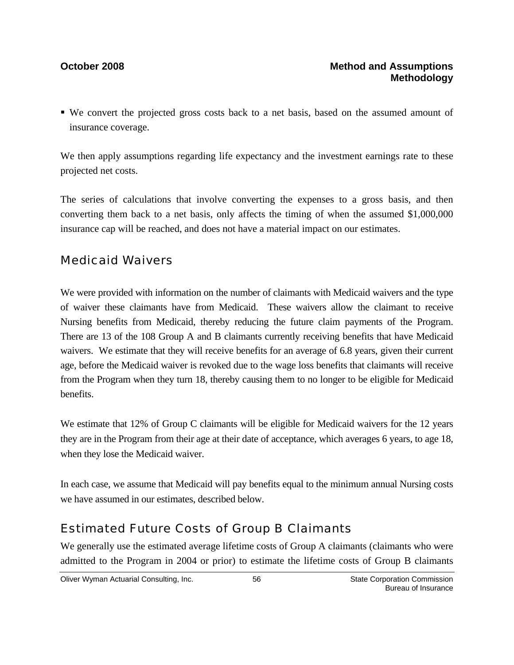We convert the projected gross costs back to a net basis, based on the assumed amount of insurance coverage.

We then apply assumptions regarding life expectancy and the investment earnings rate to these projected net costs.

The series of calculations that involve converting the expenses to a gross basis, and then converting them back to a net basis, only affects the timing of when the assumed \$1,000,000 insurance cap will be reached, and does not have a material impact on our estimates.

## Medicaid Waivers

We were provided with information on the number of claimants with Medicaid waivers and the type of waiver these claimants have from Medicaid. These waivers allow the claimant to receive Nursing benefits from Medicaid, thereby reducing the future claim payments of the Program. There are 13 of the 108 Group A and B claimants currently receiving benefits that have Medicaid waivers. We estimate that they will receive benefits for an average of 6.8 years, given their current age, before the Medicaid waiver is revoked due to the wage loss benefits that claimants will receive from the Program when they turn 18, thereby causing them to no longer to be eligible for Medicaid benefits.

We estimate that 12% of Group C claimants will be eligible for Medicaid waivers for the 12 years they are in the Program from their age at their date of acceptance, which averages 6 years, to age 18, when they lose the Medicaid waiver.

In each case, we assume that Medicaid will pay benefits equal to the minimum annual Nursing costs we have assumed in our estimates, described below.

## Estimated Future Costs of Group B Claimants

We generally use the estimated average lifetime costs of Group A claimants (claimants who were admitted to the Program in 2004 or prior) to estimate the lifetime costs of Group B claimants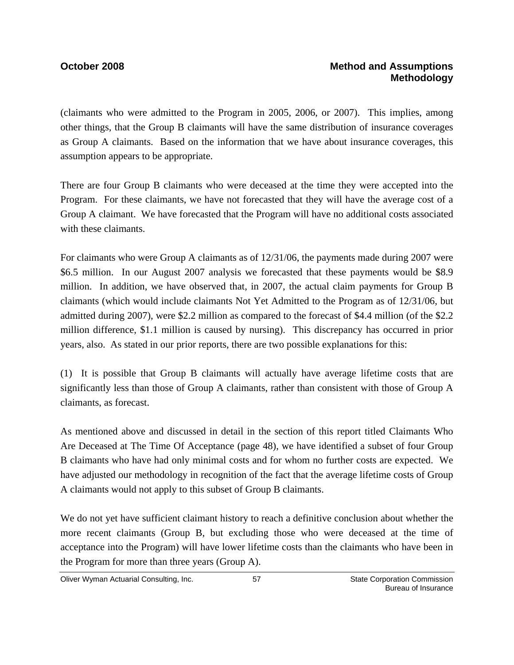(claimants who were admitted to the Program in 2005, 2006, or 2007). This implies, among other things, that the Group B claimants will have the same distribution of insurance coverages as Group A claimants. Based on the information that we have about insurance coverages, this assumption appears to be appropriate.

There are four Group B claimants who were deceased at the time they were accepted into the Program. For these claimants, we have not forecasted that they will have the average cost of a Group A claimant. We have forecasted that the Program will have no additional costs associated with these claimants.

For claimants who were Group A claimants as of 12/31/06, the payments made during 2007 were \$6.5 million. In our August 2007 analysis we forecasted that these payments would be \$8.9 million. In addition, we have observed that, in 2007, the actual claim payments for Group B claimants (which would include claimants Not Yet Admitted to the Program as of 12/31/06, but admitted during 2007), were \$2.2 million as compared to the forecast of \$4.4 million (of the \$2.2 million difference, \$1.1 million is caused by nursing). This discrepancy has occurred in prior years, also. As stated in our prior reports, there are two possible explanations for this:

(1) It is possible that Group B claimants will actually have average lifetime costs that are significantly less than those of Group A claimants, rather than consistent with those of Group A claimants, as forecast.

As mentioned above and discussed in detail in the section of this report titled Claimants Who Are Deceased at The Time Of Acceptance (page 48), we have identified a subset of four Group B claimants who have had only minimal costs and for whom no further costs are expected. We have adjusted our methodology in recognition of the fact that the average lifetime costs of Group A claimants would not apply to this subset of Group B claimants.

We do not yet have sufficient claimant history to reach a definitive conclusion about whether the more recent claimants (Group B, but excluding those who were deceased at the time of acceptance into the Program) will have lower lifetime costs than the claimants who have been in the Program for more than three years (Group A).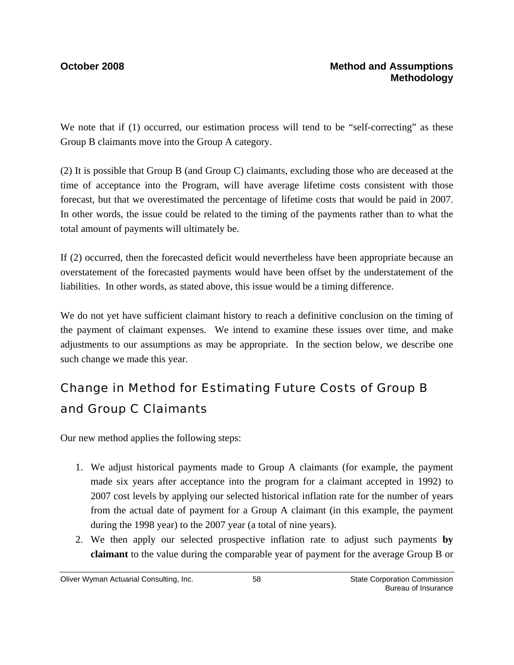We note that if (1) occurred, our estimation process will tend to be "self-correcting" as these Group B claimants move into the Group A category.

(2) It is possible that Group B (and Group C) claimants, excluding those who are deceased at the time of acceptance into the Program, will have average lifetime costs consistent with those forecast, but that we overestimated the percentage of lifetime costs that would be paid in 2007. In other words, the issue could be related to the timing of the payments rather than to what the total amount of payments will ultimately be.

If (2) occurred, then the forecasted deficit would nevertheless have been appropriate because an overstatement of the forecasted payments would have been offset by the understatement of the liabilities. In other words, as stated above, this issue would be a timing difference.

We do not yet have sufficient claimant history to reach a definitive conclusion on the timing of the payment of claimant expenses. We intend to examine these issues over time, and make adjustments to our assumptions as may be appropriate. In the section below, we describe one such change we made this year.

# Change in Method for Estimating Future Costs of Group B and Group C Claimants

Our new method applies the following steps:

- 1. We adjust historical payments made to Group A claimants (for example, the payment made six years after acceptance into the program for a claimant accepted in 1992) to 2007 cost levels by applying our selected historical inflation rate for the number of years from the actual date of payment for a Group A claimant (in this example, the payment during the 1998 year) to the 2007 year (a total of nine years).
- 2. We then apply our selected prospective inflation rate to adjust such payments **by claimant** to the value during the comparable year of payment for the average Group B or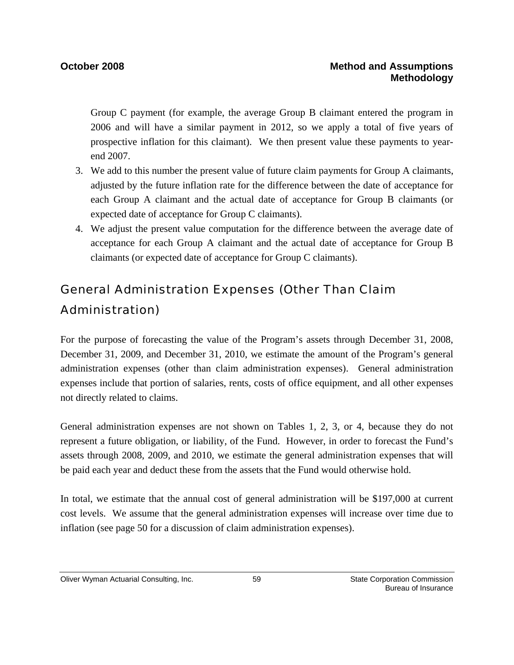Group C payment (for example, the average Group B claimant entered the program in 2006 and will have a similar payment in 2012, so we apply a total of five years of prospective inflation for this claimant). We then present value these payments to yearend 2007.

- 3. We add to this number the present value of future claim payments for Group A claimants, adjusted by the future inflation rate for the difference between the date of acceptance for each Group A claimant and the actual date of acceptance for Group B claimants (or expected date of acceptance for Group C claimants).
- 4. We adjust the present value computation for the difference between the average date of acceptance for each Group A claimant and the actual date of acceptance for Group B claimants (or expected date of acceptance for Group C claimants).

# General Administration Expenses (Other Than Claim Administration)

For the purpose of forecasting the value of the Program's assets through December 31, 2008, December 31, 2009, and December 31, 2010, we estimate the amount of the Program's general administration expenses (other than claim administration expenses). General administration expenses include that portion of salaries, rents, costs of office equipment, and all other expenses not directly related to claims.

General administration expenses are not shown on Tables 1, 2, 3, or 4, because they do not represent a future obligation, or liability, of the Fund. However, in order to forecast the Fund's assets through 2008, 2009, and 2010, we estimate the general administration expenses that will be paid each year and deduct these from the assets that the Fund would otherwise hold.

In total, we estimate that the annual cost of general administration will be \$197,000 at current cost levels. We assume that the general administration expenses will increase over time due to inflation (see page 50 for a discussion of claim administration expenses).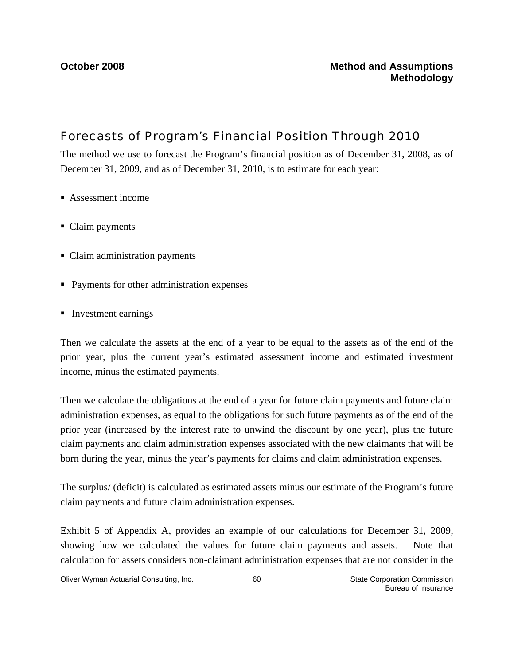# Forecasts of Program's Financial Position Through 2010

The method we use to forecast the Program's financial position as of December 31, 2008, as of December 31, 2009, and as of December 31, 2010, is to estimate for each year:

- Assessment income
- Claim payments
- Claim administration payments
- **Payments for other administration expenses**
- **Investment earnings**

Then we calculate the assets at the end of a year to be equal to the assets as of the end of the prior year, plus the current year's estimated assessment income and estimated investment income, minus the estimated payments.

Then we calculate the obligations at the end of a year for future claim payments and future claim administration expenses, as equal to the obligations for such future payments as of the end of the prior year (increased by the interest rate to unwind the discount by one year), plus the future claim payments and claim administration expenses associated with the new claimants that will be born during the year, minus the year's payments for claims and claim administration expenses.

The surplus/ (deficit) is calculated as estimated assets minus our estimate of the Program's future claim payments and future claim administration expenses.

Exhibit 5 of Appendix A, provides an example of our calculations for December 31, 2009, showing how we calculated the values for future claim payments and assets. Note that calculation for assets considers non-claimant administration expenses that are not consider in the

Oliver Wyman Actuarial Consulting, Inc.  $\qquad \qquad 60$  State Corporation Commission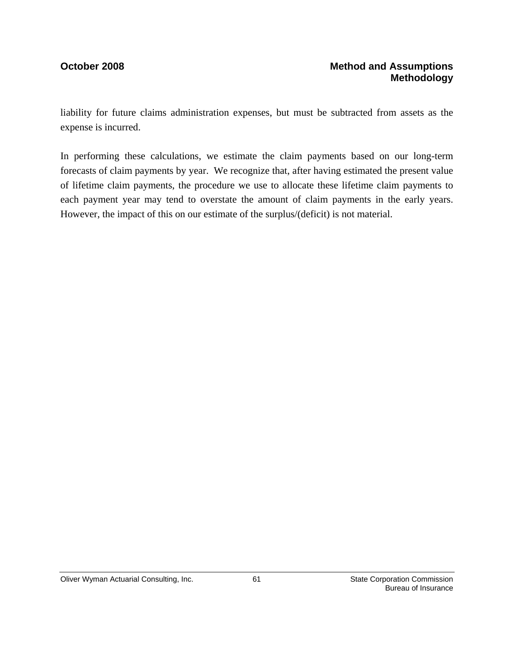### **October 2008** Method and Assumptions **Methodology**

liability for future claims administration expenses, but must be subtracted from assets as the expense is incurred.

In performing these calculations, we estimate the claim payments based on our long-term forecasts of claim payments by year. We recognize that, after having estimated the present value of lifetime claim payments, the procedure we use to allocate these lifetime claim payments to each payment year may tend to overstate the amount of claim payments in the early years. However, the impact of this on our estimate of the surplus/(deficit) is not material.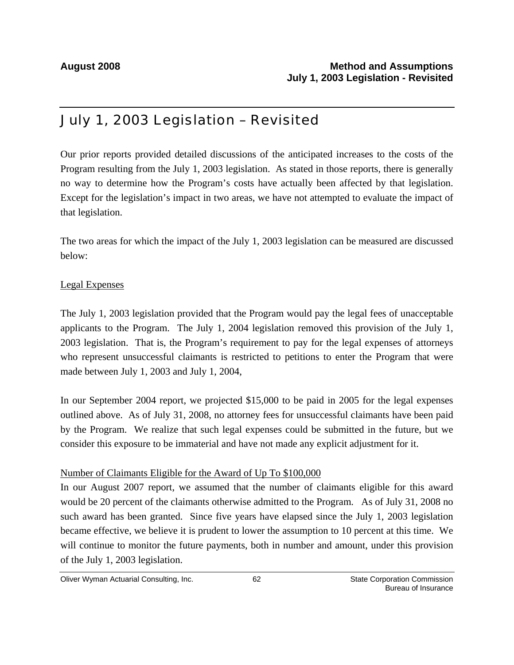# July 1, 2003 Legislation – Revisited

Our prior reports provided detailed discussions of the anticipated increases to the costs of the Program resulting from the July 1, 2003 legislation. As stated in those reports, there is generally no way to determine how the Program's costs have actually been affected by that legislation. Except for the legislation's impact in two areas, we have not attempted to evaluate the impact of that legislation.

The two areas for which the impact of the July 1, 2003 legislation can be measured are discussed below:

### Legal Expenses

The July 1, 2003 legislation provided that the Program would pay the legal fees of unacceptable applicants to the Program. The July 1, 2004 legislation removed this provision of the July 1, 2003 legislation. That is, the Program's requirement to pay for the legal expenses of attorneys who represent unsuccessful claimants is restricted to petitions to enter the Program that were made between July 1, 2003 and July 1, 2004,

In our September 2004 report, we projected \$15,000 to be paid in 2005 for the legal expenses outlined above. As of July 31, 2008, no attorney fees for unsuccessful claimants have been paid by the Program. We realize that such legal expenses could be submitted in the future, but we consider this exposure to be immaterial and have not made any explicit adjustment for it.

### Number of Claimants Eligible for the Award of Up To \$100,000

In our August 2007 report, we assumed that the number of claimants eligible for this award would be 20 percent of the claimants otherwise admitted to the Program. As of July 31, 2008 no such award has been granted. Since five years have elapsed since the July 1, 2003 legislation became effective, we believe it is prudent to lower the assumption to 10 percent at this time. We will continue to monitor the future payments, both in number and amount, under this provision of the July 1, 2003 legislation.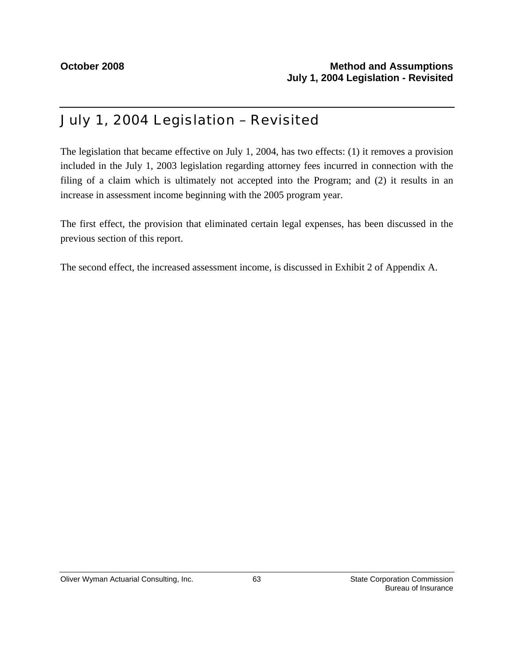# July 1, 2004 Legislation – Revisited

The legislation that became effective on July 1, 2004, has two effects: (1) it removes a provision included in the July 1, 2003 legislation regarding attorney fees incurred in connection with the filing of a claim which is ultimately not accepted into the Program; and (2) it results in an increase in assessment income beginning with the 2005 program year.

The first effect, the provision that eliminated certain legal expenses, has been discussed in the previous section of this report.

The second effect, the increased assessment income, is discussed in Exhibit 2 of Appendix A.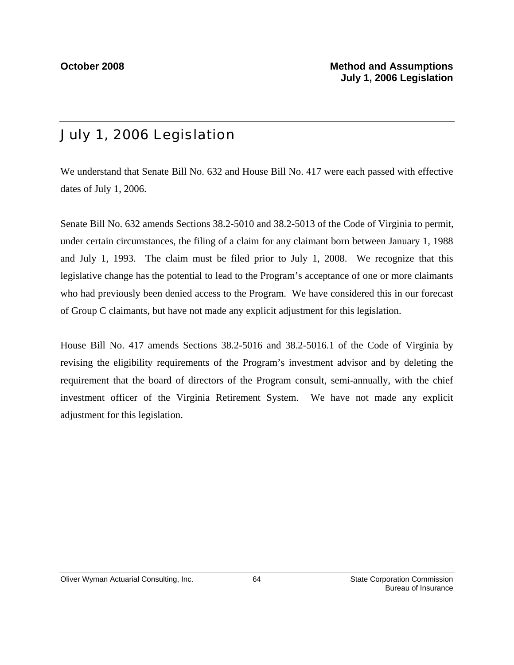# July 1, 2006 Legislation

We understand that Senate Bill No. 632 and House Bill No. 417 were each passed with effective dates of July 1, 2006.

Senate Bill No. 632 amends Sections 38.2-5010 and 38.2-5013 of the Code of Virginia to permit, under certain circumstances, the filing of a claim for any claimant born between January 1, 1988 and July 1, 1993. The claim must be filed prior to July 1, 2008. We recognize that this legislative change has the potential to lead to the Program's acceptance of one or more claimants who had previously been denied access to the Program. We have considered this in our forecast of Group C claimants, but have not made any explicit adjustment for this legislation.

House Bill No. 417 amends Sections 38.2-5016 and 38.2-5016.1 of the Code of Virginia by revising the eligibility requirements of the Program's investment advisor and by deleting the requirement that the board of directors of the Program consult, semi-annually, with the chief investment officer of the Virginia Retirement System. We have not made any explicit adjustment for this legislation.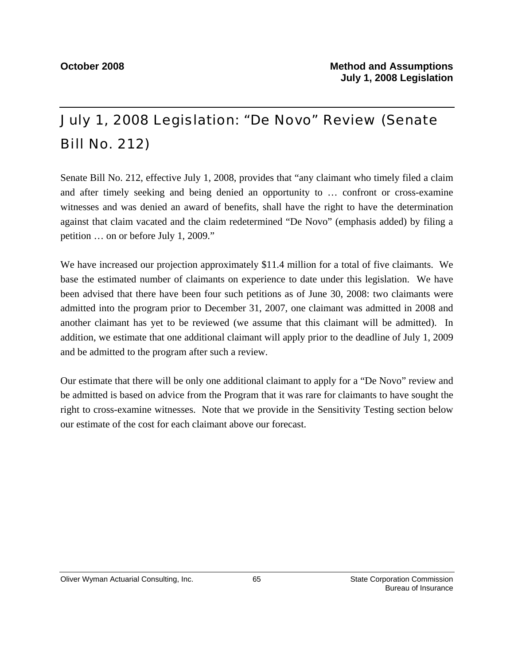# July 1, 2008 Legislation: "De Novo" Review (Senate Bill No. 212)

Senate Bill No. 212, effective July 1, 2008, provides that "any claimant who timely filed a claim and after timely seeking and being denied an opportunity to … confront or cross-examine witnesses and was denied an award of benefits, shall have the right to have the determination against that claim vacated and the claim redetermined "De Novo" (emphasis added) by filing a petition … on or before July 1, 2009."

We have increased our projection approximately \$11.4 million for a total of five claimants. We base the estimated number of claimants on experience to date under this legislation. We have been advised that there have been four such petitions as of June 30, 2008: two claimants were admitted into the program prior to December 31, 2007, one claimant was admitted in 2008 and another claimant has yet to be reviewed (we assume that this claimant will be admitted). In addition, we estimate that one additional claimant will apply prior to the deadline of July 1, 2009 and be admitted to the program after such a review.

Our estimate that there will be only one additional claimant to apply for a "De Novo" review and be admitted is based on advice from the Program that it was rare for claimants to have sought the right to cross-examine witnesses. Note that we provide in the Sensitivity Testing section below our estimate of the cost for each claimant above our forecast.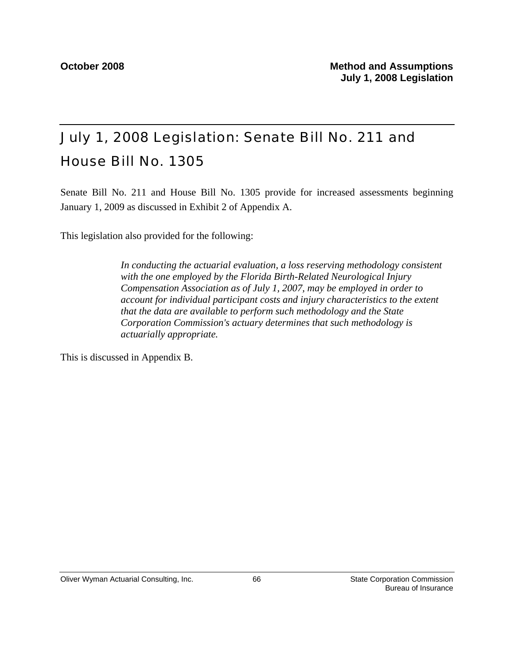# July 1, 2008 Legislation: Senate Bill No. 211 and House Bill No. 1305

Senate Bill No. 211 and House Bill No. 1305 provide for increased assessments beginning January 1, 2009 as discussed in Exhibit 2 of Appendix A.

This legislation also provided for the following:

*In conducting the actuarial evaluation, a loss reserving methodology consistent with the one employed by the Florida Birth-Related Neurological Injury Compensation Association as of July 1, 2007, may be employed in order to account for individual participant costs and injury characteristics to the extent that the data are available to perform such methodology and the State Corporation Commission's actuary determines that such methodology is actuarially appropriate.* 

This is discussed in Appendix B.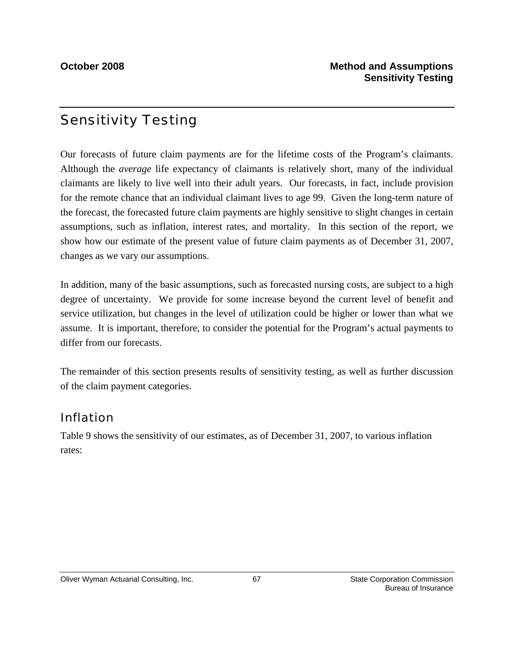# Sensitivity Testing

Our forecasts of future claim payments are for the lifetime costs of the Program's claimants. Although the *average* life expectancy of claimants is relatively short, many of the individual claimants are likely to live well into their adult years. Our forecasts, in fact, include provision for the remote chance that an individual claimant lives to age 99. Given the long-term nature of the forecast, the forecasted future claim payments are highly sensitive to slight changes in certain assumptions, such as inflation, interest rates, and mortality. In this section of the report, we show how our estimate of the present value of future claim payments as of December 31, 2007, changes as we vary our assumptions.

In addition, many of the basic assumptions, such as forecasted nursing costs, are subject to a high degree of uncertainty. We provide for some increase beyond the current level of benefit and service utilization, but changes in the level of utilization could be higher or lower than what we assume. It is important, therefore, to consider the potential for the Program's actual payments to differ from our forecasts.

The remainder of this section presents results of sensitivity testing, as well as further discussion of the claim payment categories.

## Inflation

Table 9 shows the sensitivity of our estimates, as of December 31, 2007, to various inflation rates: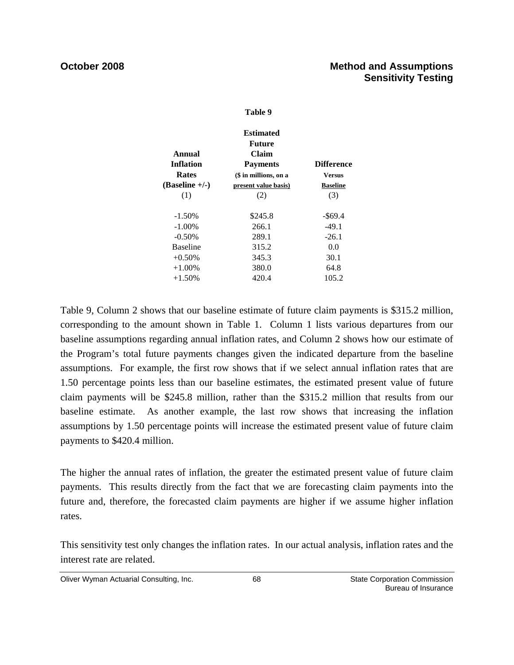### **Table 9**

|                  | Estimated             |                   |  |  |  |  |
|------------------|-----------------------|-------------------|--|--|--|--|
| Future           |                       |                   |  |  |  |  |
| Annual           | Claim                 |                   |  |  |  |  |
| <b>Inflation</b> | <b>Payments</b>       | <b>Difference</b> |  |  |  |  |
| Rates            | (\$ in millions, on a | <b>Versus</b>     |  |  |  |  |
| $(Baseline +/-)$ | present value basis)  | <b>Baseline</b>   |  |  |  |  |
| (1)              | (2)                   | (3)               |  |  |  |  |
|                  |                       |                   |  |  |  |  |
| $-1.50%$         | \$245.8               | $-$ \$69.4        |  |  |  |  |
| $-1.00\%$        | 266.1                 | $-49.1$           |  |  |  |  |
| $-0.50%$         | 289.1                 | $-26.1$           |  |  |  |  |
| <b>Baseline</b>  | 315.2                 | 0.0               |  |  |  |  |
| $+0.50%$         | 345.3                 | 30.1              |  |  |  |  |
| $+1.00\%$        | 380.0                 | 64.8              |  |  |  |  |
| $+1.50%$         | 420.4                 | 105.2             |  |  |  |  |

Table 9, Column 2 shows that our baseline estimate of future claim payments is \$315.2 million, corresponding to the amount shown in Table 1. Column 1 lists various departures from our baseline assumptions regarding annual inflation rates, and Column 2 shows how our estimate of the Program's total future payments changes given the indicated departure from the baseline assumptions. For example, the first row shows that if we select annual inflation rates that are 1.50 percentage points less than our baseline estimates, the estimated present value of future claim payments will be \$245.8 million, rather than the \$315.2 million that results from our baseline estimate. As another example, the last row shows that increasing the inflation assumptions by 1.50 percentage points will increase the estimated present value of future claim payments to \$420.4 million.

The higher the annual rates of inflation, the greater the estimated present value of future claim payments. This results directly from the fact that we are forecasting claim payments into the future and, therefore, the forecasted claim payments are higher if we assume higher inflation rates.

This sensitivity test only changes the inflation rates. In our actual analysis, inflation rates and the interest rate are related.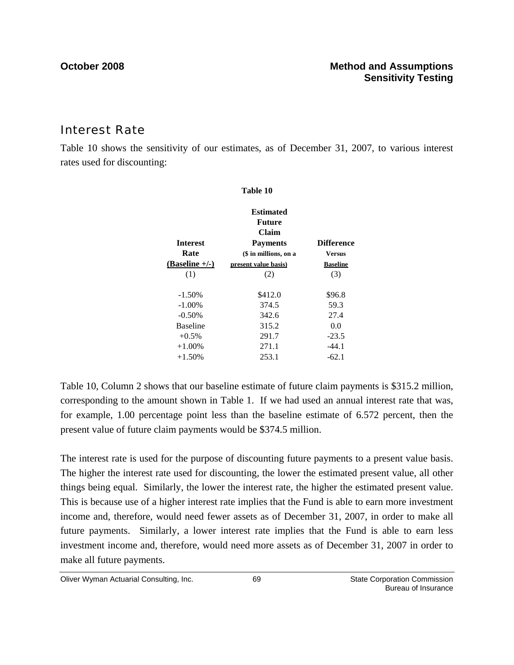## Interest Rate

Table 10 shows the sensitivity of our estimates, as of December 31, 2007, to various interest rates used for discounting:

|                         | Table 10                                      |                                  |
|-------------------------|-----------------------------------------------|----------------------------------|
|                         | <b>Estimated</b><br>Future<br>Claim           |                                  |
| <b>Interest</b><br>Rate | <b>Payments</b>                               | <b>Difference</b>                |
| $(Baseline +/-)$        | (\$ in millions, on a<br>present value basis) | <b>Versus</b><br><b>Baseline</b> |
| (1)                     | (2)                                           | (3)                              |
| $-1.50%$                | \$412.0                                       | \$96.8                           |
| $-1.00\%$               | 374.5                                         | 59.3                             |
| $-0.50%$                | 342.6                                         | 27.4                             |
| <b>Baseline</b>         | 315.2                                         | 0.0                              |
| $+0.5\%$                | 291.7                                         | $-23.5$                          |
| $+1.00\%$               | 271.1                                         | $-44.1$                          |
| $+1.50%$                | 253.1                                         | $-62.1$                          |

Table 10, Column 2 shows that our baseline estimate of future claim payments is \$315.2 million, corresponding to the amount shown in Table 1. If we had used an annual interest rate that was, for example, 1.00 percentage point less than the baseline estimate of 6.572 percent, then the present value of future claim payments would be \$374.5 million.

The interest rate is used for the purpose of discounting future payments to a present value basis. The higher the interest rate used for discounting, the lower the estimated present value, all other things being equal. Similarly, the lower the interest rate, the higher the estimated present value. This is because use of a higher interest rate implies that the Fund is able to earn more investment income and, therefore, would need fewer assets as of December 31, 2007, in order to make all future payments. Similarly, a lower interest rate implies that the Fund is able to earn less investment income and, therefore, would need more assets as of December 31, 2007 in order to make all future payments.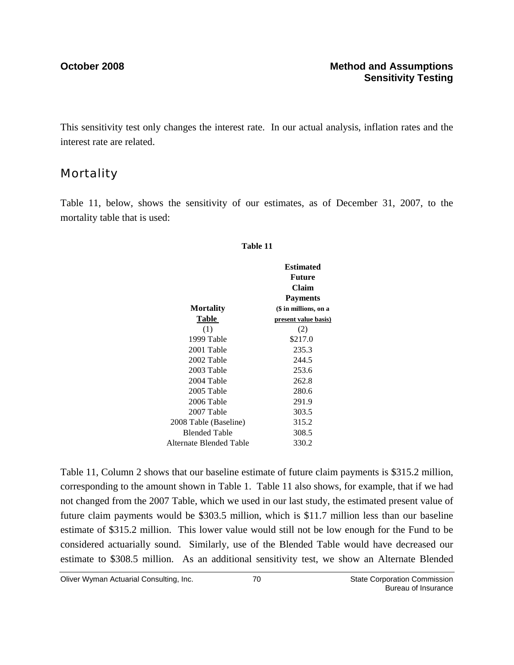This sensitivity test only changes the interest rate. In our actual analysis, inflation rates and the interest rate are related.

## **Mortality**

Table 11, below, shows the sensitivity of our estimates, as of December 31, 2007, to the mortality table that is used:

#### **Table 11**

|                         | <b>Estimated</b><br>Future<br>Claim |
|-------------------------|-------------------------------------|
|                         | <b>Payments</b>                     |
| <b>Mortality</b>        | (\$ in millions, on a               |
| Table                   | present value basis)                |
| (1)                     | (2)                                 |
| 1999 Table              | \$217.0                             |
| 2001 Table              | 235.3                               |
| 2002 Table              | 244.5                               |
| 2003 Table              | 253.6                               |
| 2004 Table              | 262.8                               |
| 2005 Table              | 280.6                               |
| 2006 Table              | 291.9                               |
| 2007 Table              | 303.5                               |
| 2008 Table (Baseline)   | 315.2                               |
| <b>Blended Table</b>    | 308.5                               |
| Alternate Blended Table | 330.2                               |
|                         |                                     |

Table 11, Column 2 shows that our baseline estimate of future claim payments is \$315.2 million, corresponding to the amount shown in Table 1. Table 11 also shows, for example, that if we had not changed from the 2007 Table, which we used in our last study, the estimated present value of future claim payments would be \$303.5 million, which is \$11.7 million less than our baseline estimate of \$315.2 million. This lower value would still not be low enough for the Fund to be considered actuarially sound. Similarly, use of the Blended Table would have decreased our estimate to \$308.5 million. As an additional sensitivity test, we show an Alternate Blended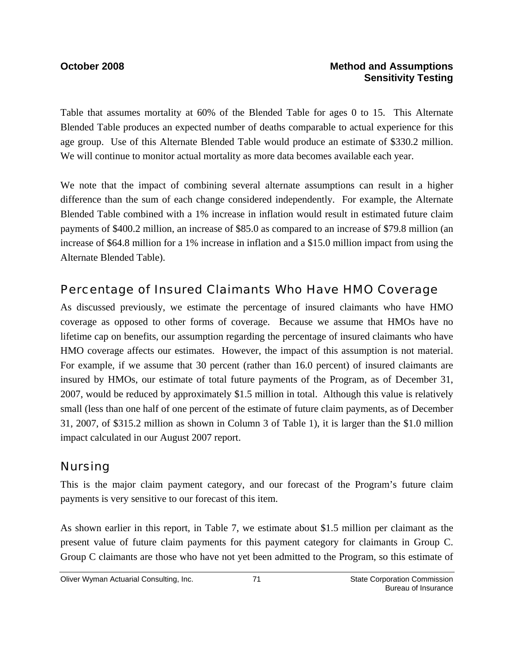Table that assumes mortality at 60% of the Blended Table for ages 0 to 15. This Alternate Blended Table produces an expected number of deaths comparable to actual experience for this age group. Use of this Alternate Blended Table would produce an estimate of \$330.2 million. We will continue to monitor actual mortality as more data becomes available each year.

We note that the impact of combining several alternate assumptions can result in a higher difference than the sum of each change considered independently. For example, the Alternate Blended Table combined with a 1% increase in inflation would result in estimated future claim payments of \$400.2 million, an increase of \$85.0 as compared to an increase of \$79.8 million (an increase of \$64.8 million for a 1% increase in inflation and a \$15.0 million impact from using the Alternate Blended Table).

## Percentage of Insured Claimants Who Have HMO Coverage

As discussed previously, we estimate the percentage of insured claimants who have HMO coverage as opposed to other forms of coverage. Because we assume that HMOs have no lifetime cap on benefits, our assumption regarding the percentage of insured claimants who have HMO coverage affects our estimates. However, the impact of this assumption is not material. For example, if we assume that 30 percent (rather than 16.0 percent) of insured claimants are insured by HMOs, our estimate of total future payments of the Program, as of December 31, 2007, would be reduced by approximately \$1.5 million in total. Although this value is relatively small (less than one half of one percent of the estimate of future claim payments, as of December 31, 2007, of \$315.2 million as shown in Column 3 of Table 1), it is larger than the \$1.0 million impact calculated in our August 2007 report.

## Nursing

This is the major claim payment category, and our forecast of the Program's future claim payments is very sensitive to our forecast of this item.

As shown earlier in this report, in Table 7, we estimate about \$1.5 million per claimant as the present value of future claim payments for this payment category for claimants in Group C. Group C claimants are those who have not yet been admitted to the Program, so this estimate of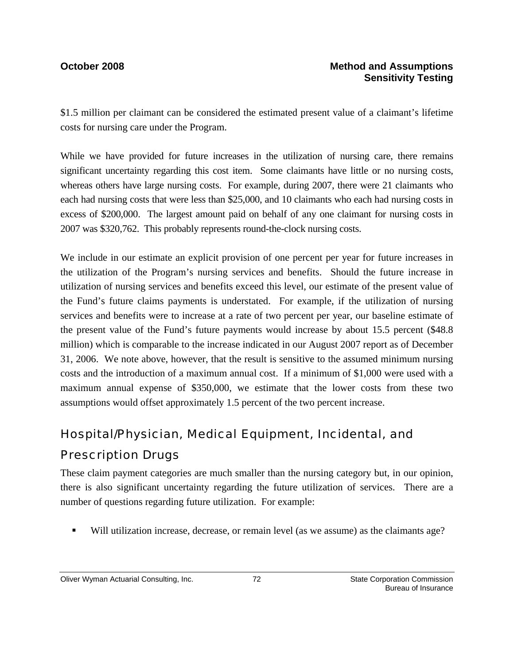\$1.5 million per claimant can be considered the estimated present value of a claimant's lifetime costs for nursing care under the Program.

While we have provided for future increases in the utilization of nursing care, there remains significant uncertainty regarding this cost item. Some claimants have little or no nursing costs, whereas others have large nursing costs. For example, during 2007, there were 21 claimants who each had nursing costs that were less than \$25,000, and 10 claimants who each had nursing costs in excess of \$200,000. The largest amount paid on behalf of any one claimant for nursing costs in 2007 was \$320,762. This probably represents round-the-clock nursing costs.

We include in our estimate an explicit provision of one percent per year for future increases in the utilization of the Program's nursing services and benefits. Should the future increase in utilization of nursing services and benefits exceed this level, our estimate of the present value of the Fund's future claims payments is understated. For example, if the utilization of nursing services and benefits were to increase at a rate of two percent per year, our baseline estimate of the present value of the Fund's future payments would increase by about 15.5 percent (\$48.8 million) which is comparable to the increase indicated in our August 2007 report as of December 31, 2006. We note above, however, that the result is sensitive to the assumed minimum nursing costs and the introduction of a maximum annual cost. If a minimum of \$1,000 were used with a maximum annual expense of \$350,000, we estimate that the lower costs from these two assumptions would offset approximately 1.5 percent of the two percent increase.

## Hospital/Physician, Medical Equipment, Incidental, and

## Prescription Drugs

These claim payment categories are much smaller than the nursing category but, in our opinion, there is also significant uncertainty regarding the future utilization of services. There are a number of questions regarding future utilization. For example:

Will utilization increase, decrease, or remain level (as we assume) as the claimants age?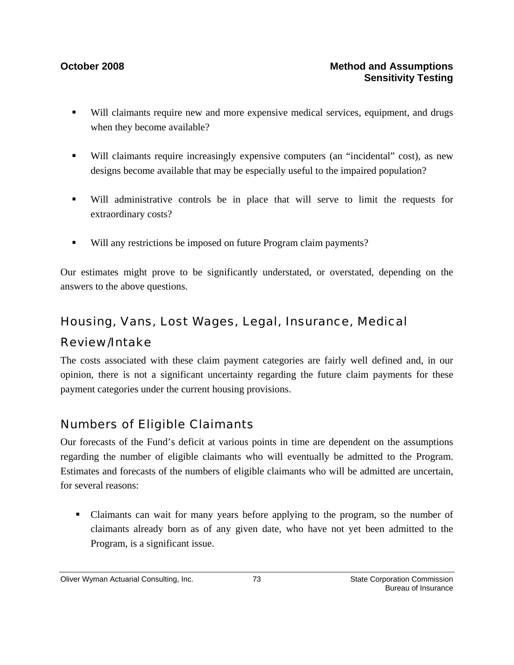- Will claimants require new and more expensive medical services, equipment, and drugs when they become available?
- Will claimants require increasingly expensive computers (an "incidental" cost), as new designs become available that may be especially useful to the impaired population?
- Will administrative controls be in place that will serve to limit the requests for extraordinary costs?
- Will any restrictions be imposed on future Program claim payments?

Our estimates might prove to be significantly understated, or overstated, depending on the answers to the above questions.

## Housing, Vans, Lost Wages, Legal, Insurance, Medical Review/Intake

The costs associated with these claim payment categories are fairly well defined and, in our opinion, there is not a significant uncertainty regarding the future claim payments for these payment categories under the current housing provisions.

## Numbers of Eligible Claimants

Our forecasts of the Fund's deficit at various points in time are dependent on the assumptions regarding the number of eligible claimants who will eventually be admitted to the Program. Estimates and forecasts of the numbers of eligible claimants who will be admitted are uncertain, for several reasons:

 Claimants can wait for many years before applying to the program, so the number of claimants already born as of any given date, who have not yet been admitted to the Program, is a significant issue.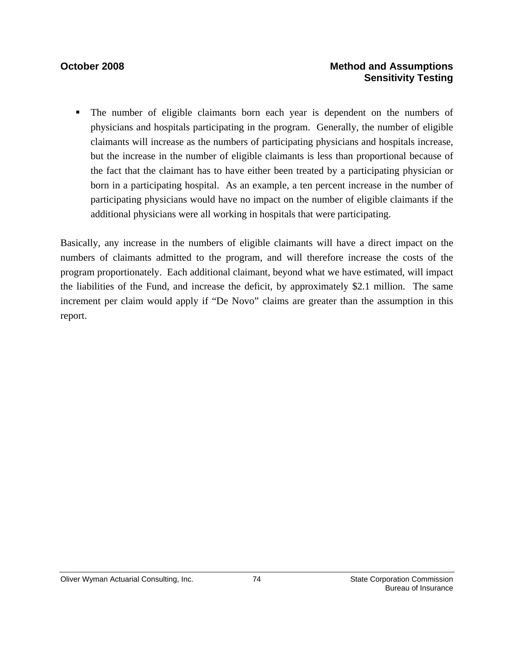### **October 2008** Method and Assumptions **Sensitivity Testing**

 The number of eligible claimants born each year is dependent on the numbers of physicians and hospitals participating in the program. Generally, the number of eligible claimants will increase as the numbers of participating physicians and hospitals increase, but the increase in the number of eligible claimants is less than proportional because of the fact that the claimant has to have either been treated by a participating physician or born in a participating hospital. As an example, a ten percent increase in the number of participating physicians would have no impact on the number of eligible claimants if the additional physicians were all working in hospitals that were participating.

Basically, any increase in the numbers of eligible claimants will have a direct impact on the numbers of claimants admitted to the program, and will therefore increase the costs of the program proportionately. Each additional claimant, beyond what we have estimated, will impact the liabilities of the Fund, and increase the deficit, by approximately \$2.1 million. The same increment per claim would apply if "De Novo" claims are greater than the assumption in this report.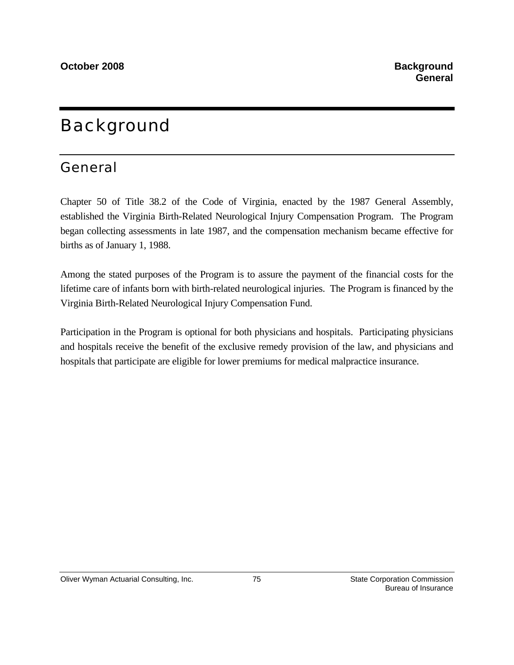## **Background**

## General

Chapter 50 of Title 38.2 of the Code of Virginia, enacted by the 1987 General Assembly, established the Virginia Birth-Related Neurological Injury Compensation Program. The Program began collecting assessments in late 1987, and the compensation mechanism became effective for births as of January 1, 1988.

Among the stated purposes of the Program is to assure the payment of the financial costs for the lifetime care of infants born with birth-related neurological injuries. The Program is financed by the Virginia Birth-Related Neurological Injury Compensation Fund.

Participation in the Program is optional for both physicians and hospitals. Participating physicians and hospitals receive the benefit of the exclusive remedy provision of the law, and physicians and hospitals that participate are eligible for lower premiums for medical malpractice insurance.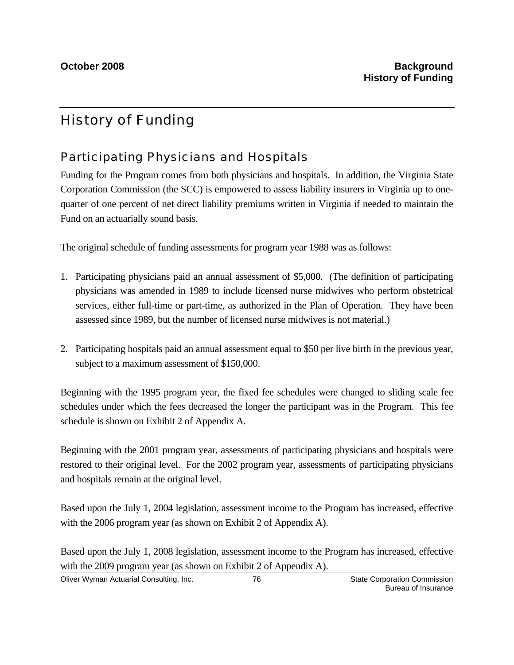## History of Funding

## Participating Physicians and Hospitals

Funding for the Program comes from both physicians and hospitals. In addition, the Virginia State Corporation Commission (the SCC) is empowered to assess liability insurers in Virginia up to onequarter of one percent of net direct liability premiums written in Virginia if needed to maintain the Fund on an actuarially sound basis.

The original schedule of funding assessments for program year 1988 was as follows:

- 1. Participating physicians paid an annual assessment of \$5,000. (The definition of participating physicians was amended in 1989 to include licensed nurse midwives who perform obstetrical services, either full-time or part-time, as authorized in the Plan of Operation. They have been assessed since 1989, but the number of licensed nurse midwives is not material.)
- 2. Participating hospitals paid an annual assessment equal to \$50 per live birth in the previous year, subject to a maximum assessment of \$150,000.

Beginning with the 1995 program year, the fixed fee schedules were changed to sliding scale fee schedules under which the fees decreased the longer the participant was in the Program. This fee schedule is shown on Exhibit 2 of Appendix A.

Beginning with the 2001 program year, assessments of participating physicians and hospitals were restored to their original level. For the 2002 program year, assessments of participating physicians and hospitals remain at the original level.

Based upon the July 1, 2004 legislation, assessment income to the Program has increased, effective with the 2006 program year (as shown on Exhibit 2 of Appendix A).

Based upon the July 1, 2008 legislation, assessment income to the Program has increased, effective with the 2009 program year (as shown on Exhibit 2 of Appendix A).

Oliver Wyman Actuarial Consulting, Inc.  $\overline{56}$  76  $\overline{57}$  State Corporation Commission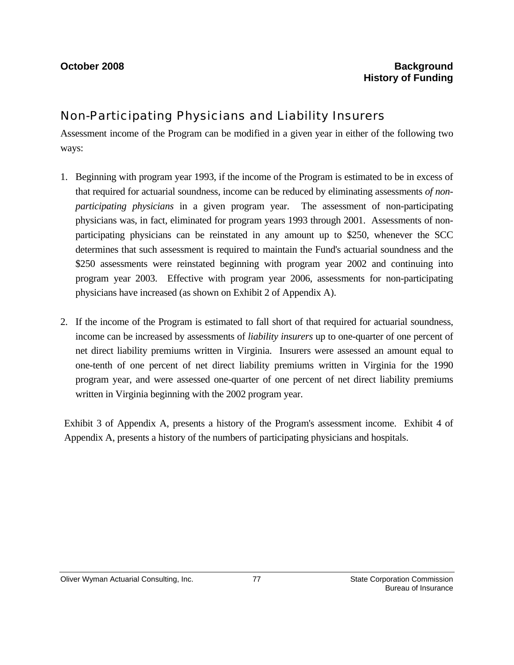## Non-Participating Physicians and Liability Insurers

Assessment income of the Program can be modified in a given year in either of the following two ways:

- 1. Beginning with program year 1993, if the income of the Program is estimated to be in excess of that required for actuarial soundness, income can be reduced by eliminating assessments *of nonparticipating physicians* in a given program year. The assessment of non-participating physicians was, in fact, eliminated for program years 1993 through 2001. Assessments of nonparticipating physicians can be reinstated in any amount up to \$250, whenever the SCC determines that such assessment is required to maintain the Fund's actuarial soundness and the \$250 assessments were reinstated beginning with program year 2002 and continuing into program year 2003. Effective with program year 2006, assessments for non-participating physicians have increased (as shown on Exhibit 2 of Appendix A).
- 2. If the income of the Program is estimated to fall short of that required for actuarial soundness, income can be increased by assessments of *liability insurers* up to one-quarter of one percent of net direct liability premiums written in Virginia. Insurers were assessed an amount equal to one-tenth of one percent of net direct liability premiums written in Virginia for the 1990 program year, and were assessed one-quarter of one percent of net direct liability premiums written in Virginia beginning with the 2002 program year.

Exhibit 3 of Appendix A, presents a history of the Program's assessment income. Exhibit 4 of Appendix A, presents a history of the numbers of participating physicians and hospitals.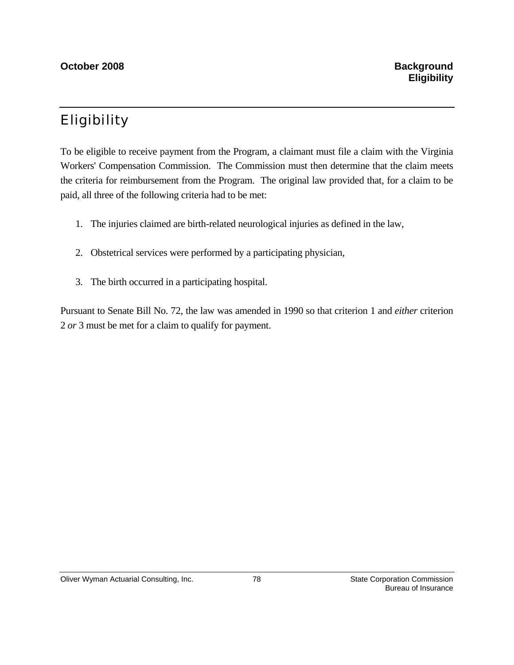## Eligibility

To be eligible to receive payment from the Program, a claimant must file a claim with the Virginia Workers' Compensation Commission. The Commission must then determine that the claim meets the criteria for reimbursement from the Program. The original law provided that, for a claim to be paid, all three of the following criteria had to be met:

- 1. The injuries claimed are birth-related neurological injuries as defined in the law,
- 2. Obstetrical services were performed by a participating physician,
- 3. The birth occurred in a participating hospital.

Pursuant to Senate Bill No. 72, the law was amended in 1990 so that criterion 1 and *either* criterion 2 *or* 3 must be met for a claim to qualify for payment.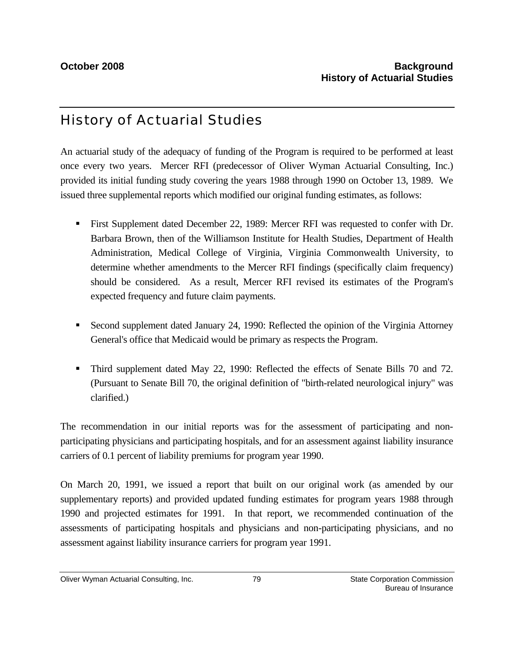## History of Actuarial Studies

An actuarial study of the adequacy of funding of the Program is required to be performed at least once every two years. Mercer RFI (predecessor of Oliver Wyman Actuarial Consulting, Inc.) provided its initial funding study covering the years 1988 through 1990 on October 13, 1989. We issued three supplemental reports which modified our original funding estimates, as follows:

- First Supplement dated December 22, 1989: Mercer RFI was requested to confer with Dr. Barbara Brown, then of the Williamson Institute for Health Studies, Department of Health Administration, Medical College of Virginia, Virginia Commonwealth University, to determine whether amendments to the Mercer RFI findings (specifically claim frequency) should be considered. As a result, Mercer RFI revised its estimates of the Program's expected frequency and future claim payments.
- Second supplement dated January 24, 1990: Reflected the opinion of the Virginia Attorney General's office that Medicaid would be primary as respects the Program.
- Third supplement dated May 22, 1990: Reflected the effects of Senate Bills 70 and 72. (Pursuant to Senate Bill 70, the original definition of "birth-related neurological injury" was clarified.)

The recommendation in our initial reports was for the assessment of participating and nonparticipating physicians and participating hospitals, and for an assessment against liability insurance carriers of 0.1 percent of liability premiums for program year 1990.

On March 20, 1991, we issued a report that built on our original work (as amended by our supplementary reports) and provided updated funding estimates for program years 1988 through 1990 and projected estimates for 1991. In that report, we recommended continuation of the assessments of participating hospitals and physicians and non-participating physicians, and no assessment against liability insurance carriers for program year 1991.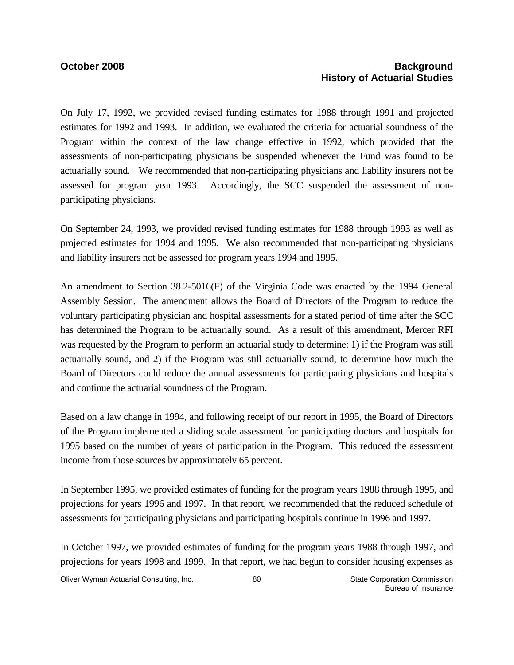On July 17, 1992, we provided revised funding estimates for 1988 through 1991 and projected estimates for 1992 and 1993. In addition, we evaluated the criteria for actuarial soundness of the Program within the context of the law change effective in 1992, which provided that the assessments of non-participating physicians be suspended whenever the Fund was found to be actuarially sound. We recommended that non-participating physicians and liability insurers not be assessed for program year 1993. Accordingly, the SCC suspended the assessment of nonparticipating physicians.

On September 24, 1993, we provided revised funding estimates for 1988 through 1993 as well as projected estimates for 1994 and 1995. We also recommended that non-participating physicians and liability insurers not be assessed for program years 1994 and 1995.

An amendment to Section 38.2-5016(F) of the Virginia Code was enacted by the 1994 General Assembly Session. The amendment allows the Board of Directors of the Program to reduce the voluntary participating physician and hospital assessments for a stated period of time after the SCC has determined the Program to be actuarially sound. As a result of this amendment, Mercer RFI was requested by the Program to perform an actuarial study to determine: 1) if the Program was still actuarially sound, and 2) if the Program was still actuarially sound, to determine how much the Board of Directors could reduce the annual assessments for participating physicians and hospitals and continue the actuarial soundness of the Program.

Based on a law change in 1994, and following receipt of our report in 1995, the Board of Directors of the Program implemented a sliding scale assessment for participating doctors and hospitals for 1995 based on the number of years of participation in the Program. This reduced the assessment income from those sources by approximately 65 percent.

In September 1995, we provided estimates of funding for the program years 1988 through 1995, and projections for years 1996 and 1997. In that report, we recommended that the reduced schedule of assessments for participating physicians and participating hospitals continue in 1996 and 1997.

In October 1997, we provided estimates of funding for the program years 1988 through 1997, and projections for years 1998 and 1999. In that report, we had begun to consider housing expenses as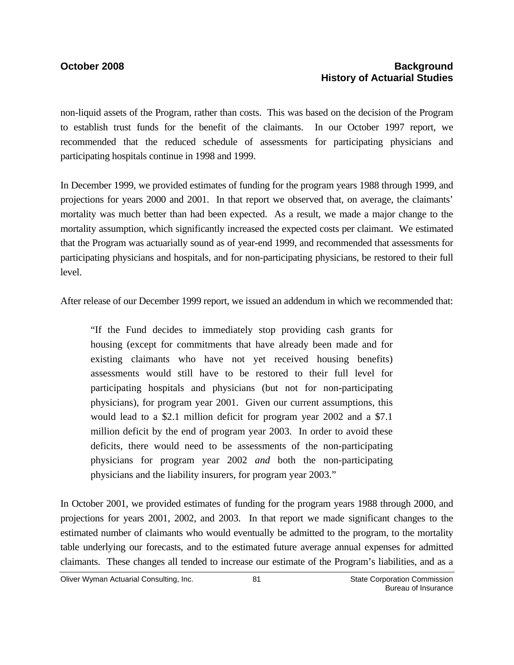non-liquid assets of the Program, rather than costs. This was based on the decision of the Program to establish trust funds for the benefit of the claimants. In our October 1997 report, we recommended that the reduced schedule of assessments for participating physicians and participating hospitals continue in 1998 and 1999.

In December 1999, we provided estimates of funding for the program years 1988 through 1999, and projections for years 2000 and 2001. In that report we observed that, on average, the claimants' mortality was much better than had been expected. As a result, we made a major change to the mortality assumption, which significantly increased the expected costs per claimant. We estimated that the Program was actuarially sound as of year-end 1999, and recommended that assessments for participating physicians and hospitals, and for non-participating physicians, be restored to their full level.

After release of our December 1999 report, we issued an addendum in which we recommended that:

"If the Fund decides to immediately stop providing cash grants for housing (except for commitments that have already been made and for existing claimants who have not yet received housing benefits) assessments would still have to be restored to their full level for participating hospitals and physicians (but not for non-participating physicians), for program year 2001. Given our current assumptions, this would lead to a \$2.1 million deficit for program year 2002 and a \$7.1 million deficit by the end of program year 2003. In order to avoid these deficits, there would need to be assessments of the non-participating physicians for program year 2002 *and* both the non-participating physicians and the liability insurers, for program year 2003."

In October 2001, we provided estimates of funding for the program years 1988 through 2000, and projections for years 2001, 2002, and 2003. In that report we made significant changes to the estimated number of claimants who would eventually be admitted to the program, to the mortality table underlying our forecasts, and to the estimated future average annual expenses for admitted claimants. These changes all tended to increase our estimate of the Program's liabilities, and as a

Oliver Wyman Actuarial Consulting, Inc. 681 690 81 State Corporation Commission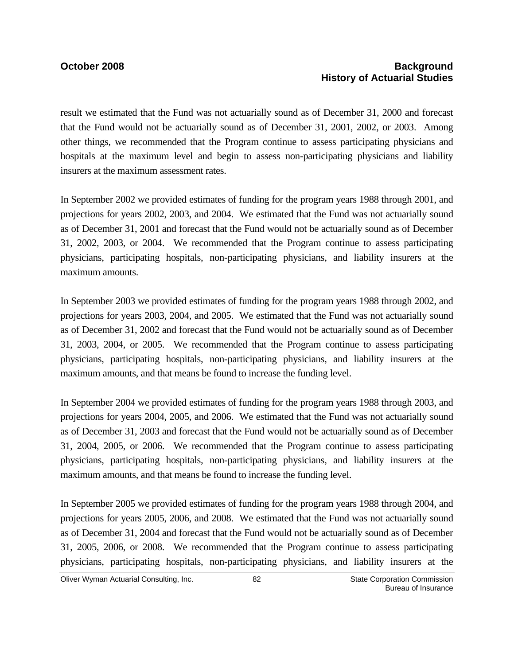result we estimated that the Fund was not actuarially sound as of December 31, 2000 and forecast that the Fund would not be actuarially sound as of December 31, 2001, 2002, or 2003. Among other things, we recommended that the Program continue to assess participating physicians and hospitals at the maximum level and begin to assess non-participating physicians and liability insurers at the maximum assessment rates.

In September 2002 we provided estimates of funding for the program years 1988 through 2001, and projections for years 2002, 2003, and 2004. We estimated that the Fund was not actuarially sound as of December 31, 2001 and forecast that the Fund would not be actuarially sound as of December 31, 2002, 2003, or 2004. We recommended that the Program continue to assess participating physicians, participating hospitals, non-participating physicians, and liability insurers at the maximum amounts.

In September 2003 we provided estimates of funding for the program years 1988 through 2002, and projections for years 2003, 2004, and 2005. We estimated that the Fund was not actuarially sound as of December 31, 2002 and forecast that the Fund would not be actuarially sound as of December 31, 2003, 2004, or 2005. We recommended that the Program continue to assess participating physicians, participating hospitals, non-participating physicians, and liability insurers at the maximum amounts, and that means be found to increase the funding level.

In September 2004 we provided estimates of funding for the program years 1988 through 2003, and projections for years 2004, 2005, and 2006. We estimated that the Fund was not actuarially sound as of December 31, 2003 and forecast that the Fund would not be actuarially sound as of December 31, 2004, 2005, or 2006. We recommended that the Program continue to assess participating physicians, participating hospitals, non-participating physicians, and liability insurers at the maximum amounts, and that means be found to increase the funding level.

In September 2005 we provided estimates of funding for the program years 1988 through 2004, and projections for years 2005, 2006, and 2008. We estimated that the Fund was not actuarially sound as of December 31, 2004 and forecast that the Fund would not be actuarially sound as of December 31, 2005, 2006, or 2008. We recommended that the Program continue to assess participating physicians, participating hospitals, non-participating physicians, and liability insurers at the

Oliver Wyman Actuarial Consulting, Inc.  $\qquad \qquad 82$  State Corporation Commission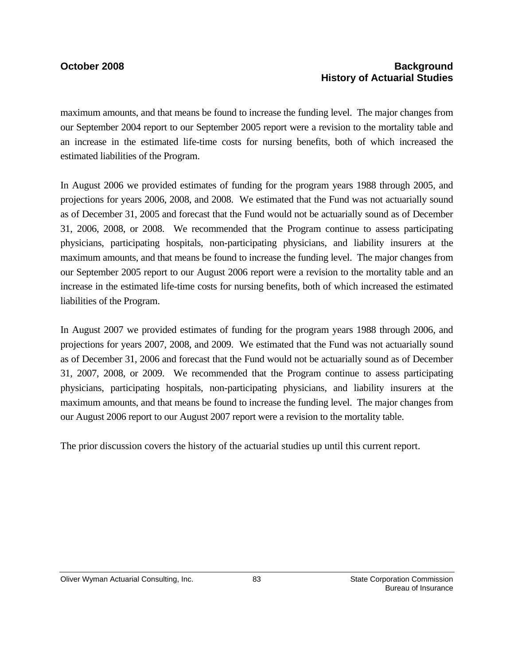maximum amounts, and that means be found to increase the funding level. The major changes from our September 2004 report to our September 2005 report were a revision to the mortality table and an increase in the estimated life-time costs for nursing benefits, both of which increased the estimated liabilities of the Program.

In August 2006 we provided estimates of funding for the program years 1988 through 2005, and projections for years 2006, 2008, and 2008. We estimated that the Fund was not actuarially sound as of December 31, 2005 and forecast that the Fund would not be actuarially sound as of December 31, 2006, 2008, or 2008. We recommended that the Program continue to assess participating physicians, participating hospitals, non-participating physicians, and liability insurers at the maximum amounts, and that means be found to increase the funding level. The major changes from our September 2005 report to our August 2006 report were a revision to the mortality table and an increase in the estimated life-time costs for nursing benefits, both of which increased the estimated liabilities of the Program.

In August 2007 we provided estimates of funding for the program years 1988 through 2006, and projections for years 2007, 2008, and 2009. We estimated that the Fund was not actuarially sound as of December 31, 2006 and forecast that the Fund would not be actuarially sound as of December 31, 2007, 2008, or 2009. We recommended that the Program continue to assess participating physicians, participating hospitals, non-participating physicians, and liability insurers at the maximum amounts, and that means be found to increase the funding level. The major changes from our August 2006 report to our August 2007 report were a revision to the mortality table.

The prior discussion covers the history of the actuarial studies up until this current report.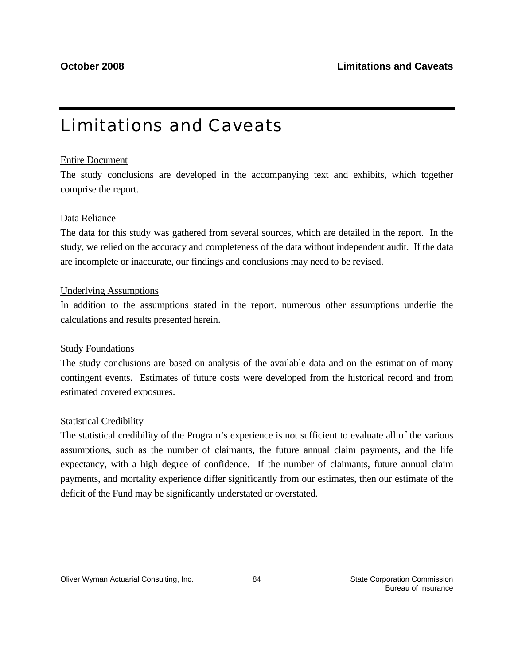## Limitations and Caveats

### Entire Document

The study conclusions are developed in the accompanying text and exhibits, which together comprise the report.

### Data Reliance

The data for this study was gathered from several sources, which are detailed in the report. In the study, we relied on the accuracy and completeness of the data without independent audit. If the data are incomplete or inaccurate, our findings and conclusions may need to be revised.

### Underlying Assumptions

In addition to the assumptions stated in the report, numerous other assumptions underlie the calculations and results presented herein.

### Study Foundations

The study conclusions are based on analysis of the available data and on the estimation of many contingent events. Estimates of future costs were developed from the historical record and from estimated covered exposures.

### Statistical Credibility

The statistical credibility of the Program's experience is not sufficient to evaluate all of the various assumptions, such as the number of claimants, the future annual claim payments, and the life expectancy, with a high degree of confidence. If the number of claimants, future annual claim payments, and mortality experience differ significantly from our estimates, then our estimate of the deficit of the Fund may be significantly understated or overstated.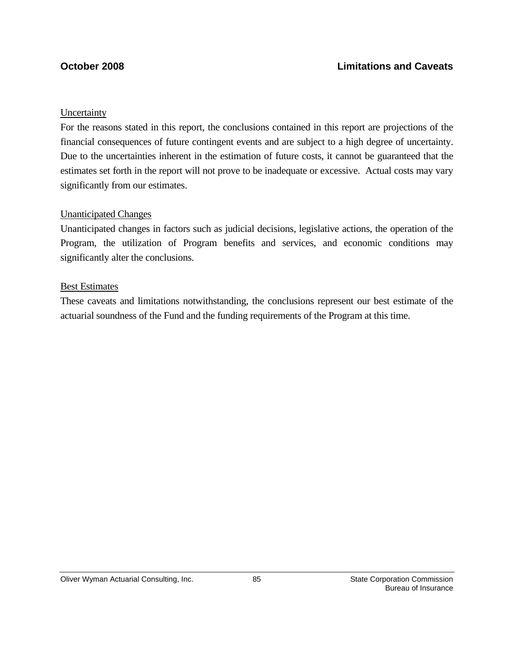### Uncertainty

For the reasons stated in this report, the conclusions contained in this report are projections of the financial consequences of future contingent events and are subject to a high degree of uncertainty. Due to the uncertainties inherent in the estimation of future costs, it cannot be guaranteed that the estimates set forth in the report will not prove to be inadequate or excessive. Actual costs may vary significantly from our estimates.

### Unanticipated Changes

Unanticipated changes in factors such as judicial decisions, legislative actions, the operation of the Program, the utilization of Program benefits and services, and economic conditions may significantly alter the conclusions.

#### Best Estimates

These caveats and limitations notwithstanding, the conclusions represent our best estimate of the actuarial soundness of the Fund and the funding requirements of the Program at this time.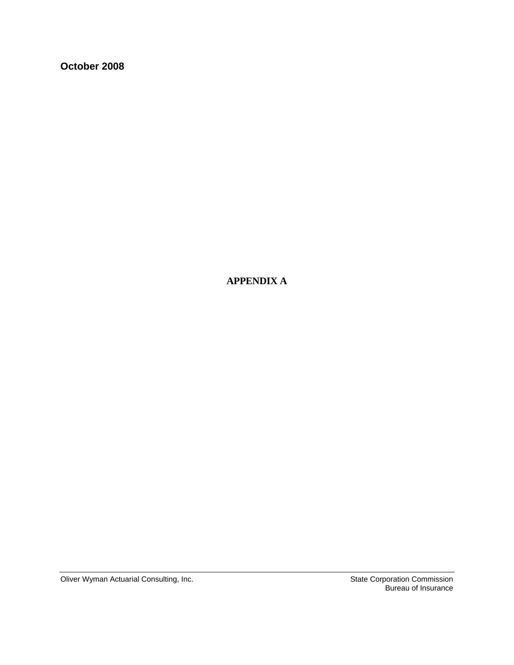**October 2008** 

 **APPENDIX A** 

Oliver Wyman Actuarial Consulting, Inc. Since the State Corporation Commission

Bureau of Insurance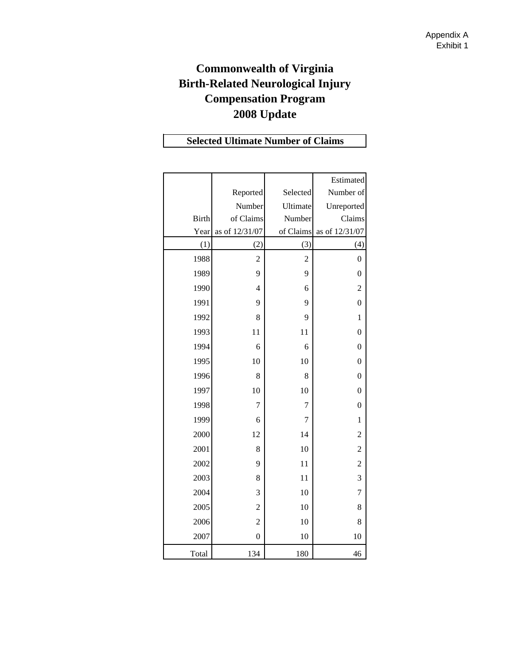## **Commonwealth of Virginia Birth-Related Neurological Injury Compensation Program 2008 Update**

## **Selected Ultimate Number of Claims**

|              |                |                | Estimated        |
|--------------|----------------|----------------|------------------|
|              | Reported       | Selected       | Number of        |
|              | Number         | Ultimate       | Unreported       |
| <b>Birth</b> | of Claims      | Number         | Claims           |
| Year         | as of 12/31/07 | of Claims      | as of 12/31/07   |
| (1)          | (2)            | (3)            | (4)              |
| 1988         | $\overline{c}$ | $\overline{c}$ | $\boldsymbol{0}$ |
| 1989         | 9              | 9              | $\overline{0}$   |
| 1990         | $\overline{4}$ | 6              | $\overline{c}$   |
| 1991         | 9              | 9              | $\overline{0}$   |
| 1992         | 8              | 9              | $\mathbf{1}$     |
| 1993         | 11             | 11             | $\overline{0}$   |
| 1994         | 6              | 6              | $\overline{0}$   |
| 1995         | 10             | 10             | $\overline{0}$   |
| 1996         | 8              | 8              | $\overline{0}$   |
| 1997         | 10             | 10             | $\boldsymbol{0}$ |
| 1998         | 7              | 7              | $\overline{0}$   |
| 1999         | 6              | 7              | $\mathbf{1}$     |
| 2000         | 12             | 14             | $\overline{c}$   |
| 2001         | 8              | 10             | $\overline{c}$   |
| 2002         | 9              | 11             | $\overline{c}$   |
| 2003         | 8              | 11             | 3                |
| 2004         | 3              | 10             | 7                |
| 2005         | $\overline{c}$ | 10             | 8                |
| 2006         | $\overline{c}$ | 10             | 8                |
| 2007         | $\overline{0}$ | 10             | 10               |
| Total        | 134            | 180            | 46               |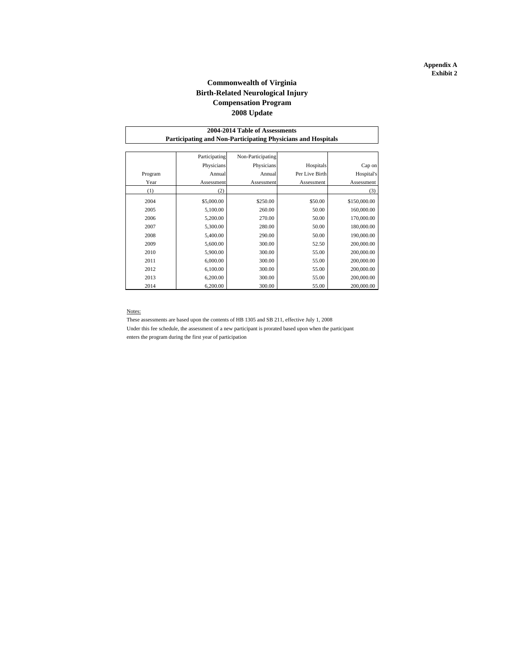#### **Commonwealth of Virginia Birth-Related Neurological Injury 2008 Update Compensation Program**

| 2004-2014 Table of Assessments                               |               |                   |                |              |  |  |  |  |  |  |  |
|--------------------------------------------------------------|---------------|-------------------|----------------|--------------|--|--|--|--|--|--|--|
| Participating and Non-Participating Physicians and Hospitals |               |                   |                |              |  |  |  |  |  |  |  |
|                                                              |               |                   |                |              |  |  |  |  |  |  |  |
|                                                              | Participating | Non-Participating |                |              |  |  |  |  |  |  |  |
|                                                              | Physicians    | Physicians        | Hospitals      | Cap on       |  |  |  |  |  |  |  |
| Program                                                      | Annual        | Annual            | Per Live Birth | Hospital's   |  |  |  |  |  |  |  |
| Year                                                         | Assessment    | Assessment        | Assessment     | Assessment   |  |  |  |  |  |  |  |
| (1)                                                          | (2)           |                   |                | (3)          |  |  |  |  |  |  |  |
| 2004                                                         | \$5,000.00    | \$250.00          | \$50.00        | \$150,000.00 |  |  |  |  |  |  |  |
| 2005                                                         | 5,100.00      | 260.00            | 50.00          | 160,000.00   |  |  |  |  |  |  |  |
| 2006                                                         | 5,200.00      | 270.00            | 50.00          | 170,000.00   |  |  |  |  |  |  |  |
| 2007                                                         | 5,300.00      | 280.00            | 50.00          | 180,000.00   |  |  |  |  |  |  |  |
| 2008                                                         | 5,400.00      | 290.00            | 50.00          | 190,000.00   |  |  |  |  |  |  |  |
| 2009                                                         | 5,600.00      | 300.00            | 52.50          | 200,000.00   |  |  |  |  |  |  |  |
| 2010                                                         | 5,900.00      | 300.00            | 55.00          | 200,000.00   |  |  |  |  |  |  |  |
| 2011                                                         | 6,000.00      | 300.00            | 55.00          | 200,000.00   |  |  |  |  |  |  |  |
| 2012                                                         | 6,100.00      | 300.00            | 55.00          | 200,000.00   |  |  |  |  |  |  |  |
| 2013                                                         | 6,200.00      | 300.00            | 55.00          | 200,000.00   |  |  |  |  |  |  |  |
| 2014                                                         | 6,200.00      | 300.00            | 55.00          | 200,000.00   |  |  |  |  |  |  |  |

#### Notes:

These assessments are based upon the contents of HB 1305 and SB 211, effective July 1, 2008 Under this fee schedule, the assessment of a new participant is prorated based upon when the participant

enters the program during the first year of participation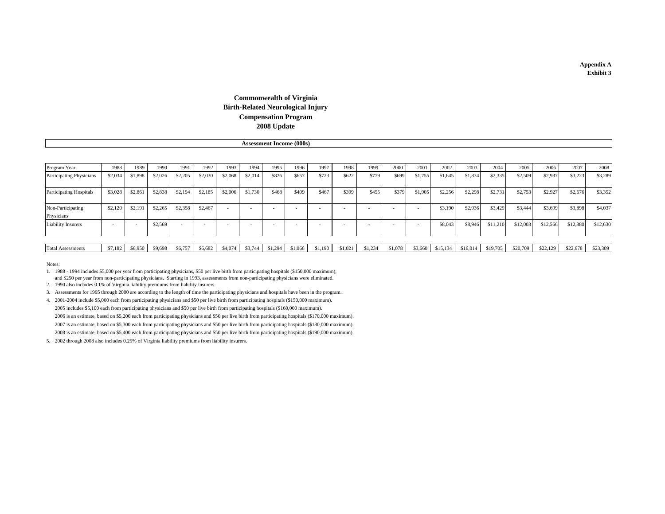#### **2008 Update Commonwealth of Virginia Birth-Related Neurological Injury Compensation Program**

**Assessment Income (000s)**

| Program Year                    | 1988    | 1989    | 1990    | 1991    | 1992    | 1993    | 1994                     | 1995                     | 1996    | 1997    | 1998    | 1999    | 2000    | 2001    | 2002     | 2003     | 2004     | 2005     | 2006     | 2007     | 2008     |
|---------------------------------|---------|---------|---------|---------|---------|---------|--------------------------|--------------------------|---------|---------|---------|---------|---------|---------|----------|----------|----------|----------|----------|----------|----------|
| Participating Physicians        | \$2,034 | \$1,898 | \$2,026 | \$2,205 | \$2,030 | \$2,068 | \$2,014                  | \$826                    | \$657   | \$723   | \$622   | \$779   | \$699   | \$1,755 | \$1,645  | \$1,834  | \$2,335  | \$2,509  | \$2,937  | \$3,223  | \$3,289  |
| <b>Participating Hospitals</b>  | \$3,028 | \$2,861 | \$2,838 | \$2,194 | \$2,185 | \$2,006 | \$1,730                  | \$468                    | \$409   | \$467   | \$399   | \$455   | \$379   | \$1,905 | \$2,256  | \$2,298  | \$2,731  | \$2,753  | \$2,927  | \$2,676  | \$3,352  |
| Non-Participating<br>Physicians | \$2,120 | \$2,191 | \$2,265 | \$2,358 | \$2,467 |         | $\overline{\phantom{a}}$ | $\overline{\phantom{a}}$ |         |         |         |         |         |         | \$3,190  | \$2,936  | \$3,429  | \$3,444  | \$3,699  | \$3,898  | \$4,037  |
| <b>Liability Insurers</b>       |         |         | \$2,569 |         |         |         |                          | $\overline{\phantom{a}}$ |         |         |         |         |         |         | \$8,043  | \$8,946  | \$11,210 | \$12,003 | \$12,566 | \$12,880 | \$12,630 |
|                                 |         |         |         |         |         |         |                          |                          |         |         |         |         |         |         |          |          |          |          |          |          |          |
| <b>Total Assessments</b>        | \$7,182 | \$6,950 | \$9,698 | \$6,757 | \$6,682 | \$4,074 | \$3,744                  | \$1,294                  | \$1,066 | \$1,190 | \$1,021 | \$1,234 | \$1,078 | \$3,660 | \$15,134 | \$16,014 | \$19,705 | \$20,709 | \$22,129 | \$22,678 | \$23,309 |

#### Notes:

1. 1988 - 1994 includes \$5,000 per year from participating physicians, \$50 per live birth from participating hospitals (\$150,000 maximum), and \$250 per year from non-participating physicians. Starting in 1993, assessments from non-participating physicians were eliminated.

2. 1990 also includes 0.1% of Virginia liability premiums from liability insurers.

3. Assessments for 1995 through 2000 are according to the length of time the participating physicians and hospitals have been in the program.

4. 2001-2004 include \$5,000 each from participating physicians and \$50 per live birth from participating hospitals (\$150,000 maximum). 2005 includes \$5,100 each from participating physicians and \$50 per live birth from participating hospitals (\$160,000 maximum). 2006 is an estimate, based on \$5,200 each from participating physicians and \$50 per live birth from participating hospitals (\$170,000 maximum). 2007 is an estimate, based on \$5,300 each from participating physicians and \$50 per live birth from participating hospitals (\$180,000 maximum). 2008 is an estimate, based on \$5,400 each from participating physicians and \$50 per live birth from participating hospitals (\$190,000 maximum).

5. 2002 through 2008 also includes 0.25% of Virginia liability premiums from liability insurers.

#### **Appendix A Exhibit 3**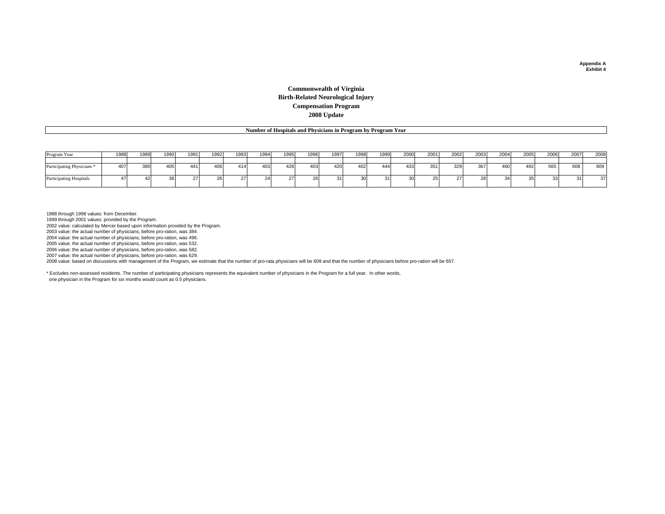#### **Commonwealth of Virginia Birth-Related Neurological Injury Compensation Program 2008 Update**

**Number of Hospitals and Physicians in Program by Program Year**

| Program Year                          | 1988 | 1989 | 1990 | 1991 | 1992 | 1993 | 1994             | 1995     | 1996          | 1997 | 1998 | 1999 | 2000 | 2001 | 2002 | 2003                     | 2004 | 2005 | 2006 | 2007 | 2008 |
|---------------------------------------|------|------|------|------|------|------|------------------|----------|---------------|------|------|------|------|------|------|--------------------------|------|------|------|------|------|
|                                       |      |      |      |      |      |      |                  |          |               |      |      |      |      |      |      |                          |      |      |      |      |      |
| Participating Physicians <sup>*</sup> | 407  | 380  | 405  | 441  | 406  | 414  | 403              | 426      | 403           | 420  | 402  | 444  | 433  |      | 329  | 367                      | 460  | 492  | 565  | 608  | 609  |
| <b>Participating Hospitals</b>        |      |      |      |      |      |      | $\Omega$<br>Z4 I | -<br>ا ک | $\sim$<br>∠o∎ |      | 30   |      |      |      |      | $\overline{\mathcal{L}}$ |      |      |      |      | 37   |

1988 through 1998 values: from December.

1999 through 2001 values: provided by the Program. 2002 value: calculated by Mercer based upon information provided by the Program.

2003 value: the actual number of physicians, before pro-ration, was 384.

2004 value: the actual number of physicians, before pro-ration, was 496.

2005 value: the actual number of physicians, before pro-ration, was 532.

2006 value: the actual number of physicians, before pro-ration, was 582.

2007 value: the actual number of physicians, before pro-ration, was 629.

2008 value: based on discussions with management of the Program, we estimate that the number of pro-rata physicians will be 609 and that the number of physicians before pro-ration will be 657.

\* Excludes non-assessed residents. The number of participating physicians represents the equivalent number of physicians in the Program for a full year. In other words, one physician in the Program for six months would count as 0.5 physicians.

**Appendix A Exhibit 4**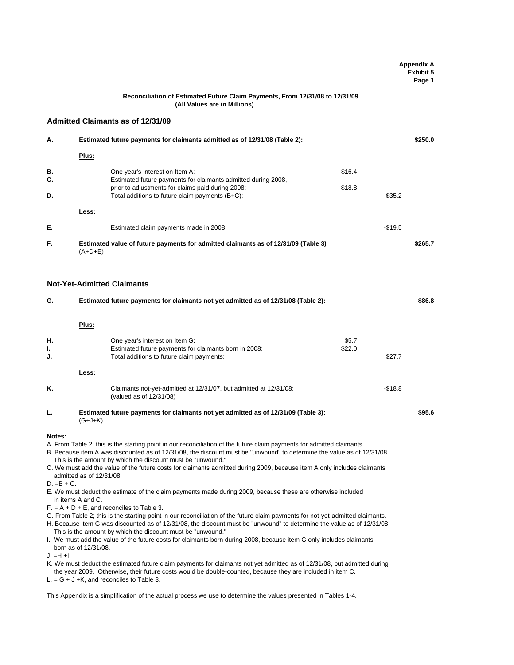|                                      |                                                                       |                                                                                                                                                                                                                                                                                                                                                                                                                                                                                                                                                                                                                                                                                                                                                                                                                                                                                                                                                                                                                                                                                                                                                                                                                                                                                                                                                                                                                                                                          |                           | <b>Appendix A</b><br><b>Exhibit 5</b><br>Page 1 |
|--------------------------------------|-----------------------------------------------------------------------|--------------------------------------------------------------------------------------------------------------------------------------------------------------------------------------------------------------------------------------------------------------------------------------------------------------------------------------------------------------------------------------------------------------------------------------------------------------------------------------------------------------------------------------------------------------------------------------------------------------------------------------------------------------------------------------------------------------------------------------------------------------------------------------------------------------------------------------------------------------------------------------------------------------------------------------------------------------------------------------------------------------------------------------------------------------------------------------------------------------------------------------------------------------------------------------------------------------------------------------------------------------------------------------------------------------------------------------------------------------------------------------------------------------------------------------------------------------------------|---------------------------|-------------------------------------------------|
|                                      |                                                                       | Reconciliation of Estimated Future Claim Payments, From 12/31/08 to 12/31/09<br>(All Values are in Millions)                                                                                                                                                                                                                                                                                                                                                                                                                                                                                                                                                                                                                                                                                                                                                                                                                                                                                                                                                                                                                                                                                                                                                                                                                                                                                                                                                             |                           |                                                 |
|                                      |                                                                       | <b>Admitted Claimants as of 12/31/09</b>                                                                                                                                                                                                                                                                                                                                                                                                                                                                                                                                                                                                                                                                                                                                                                                                                                                                                                                                                                                                                                                                                                                                                                                                                                                                                                                                                                                                                                 |                           |                                                 |
| А.                                   |                                                                       | Estimated future payments for claimants admitted as of 12/31/08 (Table 2):                                                                                                                                                                                                                                                                                                                                                                                                                                                                                                                                                                                                                                                                                                                                                                                                                                                                                                                                                                                                                                                                                                                                                                                                                                                                                                                                                                                               |                           | \$250.0                                         |
|                                      | Plus:                                                                 |                                                                                                                                                                                                                                                                                                                                                                                                                                                                                                                                                                                                                                                                                                                                                                                                                                                                                                                                                                                                                                                                                                                                                                                                                                                                                                                                                                                                                                                                          |                           |                                                 |
| В.                                   |                                                                       | One year's Interest on Item A:                                                                                                                                                                                                                                                                                                                                                                                                                                                                                                                                                                                                                                                                                                                                                                                                                                                                                                                                                                                                                                                                                                                                                                                                                                                                                                                                                                                                                                           | \$16.4                    |                                                 |
| C.<br>D.                             |                                                                       | Estimated future payments for claimants admitted during 2008,<br>prior to adjustments for claims paid during 2008:<br>Total additions to future claim payments (B+C):                                                                                                                                                                                                                                                                                                                                                                                                                                                                                                                                                                                                                                                                                                                                                                                                                                                                                                                                                                                                                                                                                                                                                                                                                                                                                                    | \$18.8<br>\$35.2          |                                                 |
|                                      | Less:                                                                 |                                                                                                                                                                                                                                                                                                                                                                                                                                                                                                                                                                                                                                                                                                                                                                                                                                                                                                                                                                                                                                                                                                                                                                                                                                                                                                                                                                                                                                                                          |                           |                                                 |
| Е.                                   |                                                                       | Estimated claim payments made in 2008                                                                                                                                                                                                                                                                                                                                                                                                                                                                                                                                                                                                                                                                                                                                                                                                                                                                                                                                                                                                                                                                                                                                                                                                                                                                                                                                                                                                                                    | $-$19.5$                  |                                                 |
| F.                                   | $(A+D+E)$                                                             | Estimated value of future payments for admitted claimants as of 12/31/09 (Table 3)                                                                                                                                                                                                                                                                                                                                                                                                                                                                                                                                                                                                                                                                                                                                                                                                                                                                                                                                                                                                                                                                                                                                                                                                                                                                                                                                                                                       |                           | \$265.7                                         |
|                                      |                                                                       | <b>Not-Yet-Admitted Claimants</b>                                                                                                                                                                                                                                                                                                                                                                                                                                                                                                                                                                                                                                                                                                                                                                                                                                                                                                                                                                                                                                                                                                                                                                                                                                                                                                                                                                                                                                        |                           |                                                 |
| G.                                   |                                                                       | Estimated future payments for claimants not yet admitted as of 12/31/08 (Table 2):                                                                                                                                                                                                                                                                                                                                                                                                                                                                                                                                                                                                                                                                                                                                                                                                                                                                                                                                                                                                                                                                                                                                                                                                                                                                                                                                                                                       |                           | \$86.8                                          |
|                                      | Plus:                                                                 |                                                                                                                                                                                                                                                                                                                                                                                                                                                                                                                                                                                                                                                                                                                                                                                                                                                                                                                                                                                                                                                                                                                                                                                                                                                                                                                                                                                                                                                                          |                           |                                                 |
| н.<br>ı.<br>J.                       |                                                                       | One year's interest on Item G:<br>Estimated future payments for claimants born in 2008:<br>Total additions to future claim payments:                                                                                                                                                                                                                                                                                                                                                                                                                                                                                                                                                                                                                                                                                                                                                                                                                                                                                                                                                                                                                                                                                                                                                                                                                                                                                                                                     | \$5.7<br>\$22.0<br>\$27.7 |                                                 |
|                                      | Less:                                                                 |                                                                                                                                                                                                                                                                                                                                                                                                                                                                                                                                                                                                                                                                                                                                                                                                                                                                                                                                                                                                                                                                                                                                                                                                                                                                                                                                                                                                                                                                          |                           |                                                 |
| K.                                   |                                                                       | Claimants not-yet-admitted at 12/31/07, but admitted at 12/31/08:<br>(valued as of 12/31/08)                                                                                                                                                                                                                                                                                                                                                                                                                                                                                                                                                                                                                                                                                                                                                                                                                                                                                                                                                                                                                                                                                                                                                                                                                                                                                                                                                                             | $-$18.8$                  |                                                 |
| L.                                   | $(G+J+K)$                                                             | Estimated future payments for claimants not yet admitted as of 12/31/09 (Table 3):                                                                                                                                                                                                                                                                                                                                                                                                                                                                                                                                                                                                                                                                                                                                                                                                                                                                                                                                                                                                                                                                                                                                                                                                                                                                                                                                                                                       |                           | \$95.6                                          |
| Notes:<br>$D. = B + C.$<br>J. =H +I. | admitted as of 12/31/08.<br>in items A and C.<br>born as of 12/31/08. | A. From Table 2; this is the starting point in our reconciliation of the future claim payments for admitted claimants.<br>B. Because item A was discounted as of 12/31/08, the discount must be "unwound" to determine the value as of 12/31/08.<br>This is the amount by which the discount must be "unwound."<br>C. We must add the value of the future costs for claimants admitted during 2009, because item A only includes claimants<br>E. We must deduct the estimate of the claim payments made during 2009, because these are otherwise included<br>$F = A + D + E$ , and reconciles to Table 3.<br>G. From Table 2; this is the starting point in our reconciliation of the future claim payments for not-yet-admitted claimants.<br>H. Because item G was discounted as of 12/31/08, the discount must be "unwound" to determine the value as of 12/31/08.<br>This is the amount by which the discount must be "unwound."<br>I. We must add the value of the future costs for claimants born during 2008, because item G only includes claimants<br>K. We must deduct the estimated future claim payments for claimants not yet admitted as of 12/31/08, but admitted during<br>the year 2009. Otherwise, their future costs would be double-counted, because they are included in item C.<br>$L = G + J + K$ , and reconciles to Table 3.<br>This Appendix is a simplification of the actual process we use to determine the values presented in Tables 1-4. |                           |                                                 |
|                                      |                                                                       |                                                                                                                                                                                                                                                                                                                                                                                                                                                                                                                                                                                                                                                                                                                                                                                                                                                                                                                                                                                                                                                                                                                                                                                                                                                                                                                                                                                                                                                                          |                           |                                                 |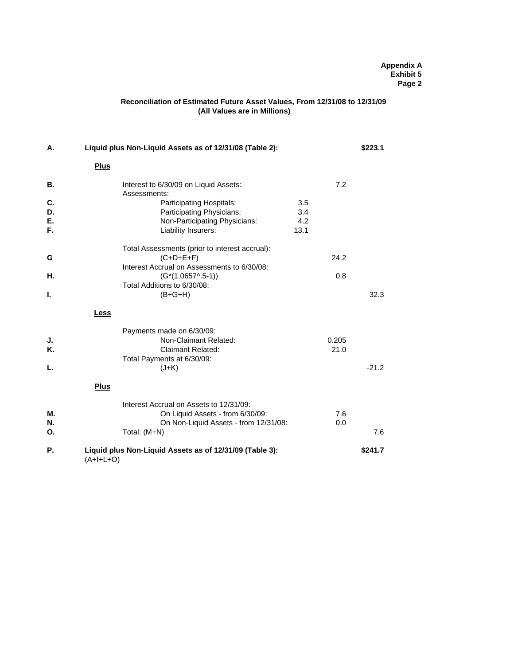#### **Appendix A Exhibit 5 Page 2**

#### **(All Values are in Millions) Reconciliation of Estimated Future Asset Values, From 12/31/08 to 12/31/09**

| А. | Liquid plus Non-Liquid Assets as of 12/31/08 (Table 2):                |      |       | \$223.1 |
|----|------------------------------------------------------------------------|------|-------|---------|
|    | <b>Plus</b>                                                            |      |       |         |
| В. | Interest to 6/30/09 on Liquid Assets:<br>Assessments:                  |      | 7.2   |         |
| C. | Participating Hospitals:                                               | 3.5  |       |         |
| D. | Participating Physicians:                                              | 3.4  |       |         |
| Е. | Non-Participating Physicians:                                          | 4.2  |       |         |
| F. | Liability Insurers:                                                    | 13.1 |       |         |
|    | Total Assessments (prior to interest accrual):                         |      |       |         |
| G  | $(C+D+E+F)$                                                            |      | 24.2  |         |
|    | Interest Accrual on Assessments to 6/30/08:                            |      |       |         |
| Н. | $(G*(1.0657^{\wedge}.5-1))$                                            |      | 0.8   |         |
|    | Total Additions to 6/30/08:                                            |      |       |         |
| Т. | $(B+G+H)$                                                              |      |       | 32.3    |
|    | <b>Less</b>                                                            |      |       |         |
|    | Payments made on 6/30/09:                                              |      |       |         |
| J. | Non-Claimant Related:                                                  |      | 0.205 |         |
| Κ. | <b>Claimant Related:</b>                                               |      | 21.0  |         |
|    | Total Payments at 6/30/09:                                             |      |       |         |
| L. | $(J+K)$                                                                |      |       | $-21.2$ |
|    | <b>Plus</b>                                                            |      |       |         |
|    | Interest Accrual on Assets to 12/31/09:                                |      |       |         |
| М. | On Liquid Assets - from 6/30/09:                                       |      | 7.6   |         |
| N. | On Non-Liquid Assets - from 12/31/08:                                  |      | 0.0   |         |
| Ο. | Total: (M+N)                                                           |      |       | 7.6     |
| Р. | Liquid plus Non-Liquid Assets as of 12/31/09 (Table 3):<br>$(A+I+L+O)$ |      |       | \$241.7 |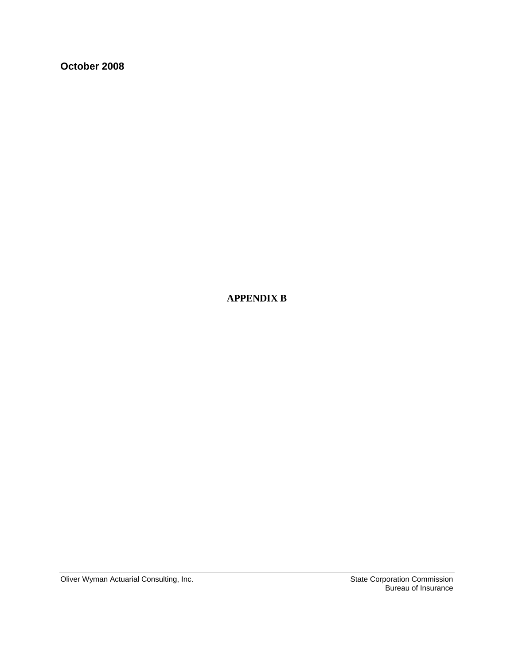**October 2008** 

 **APPENDIX B** 

Oliver Wyman Actuarial Consulting, Inc. Since the State Corporation Commission

Bureau of Insurance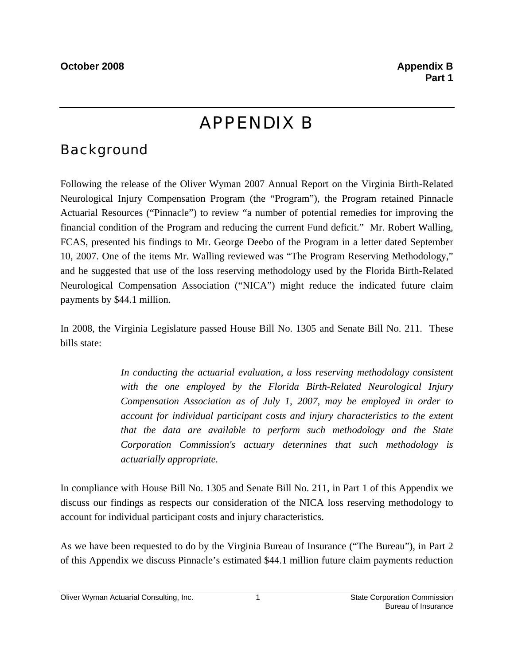## APPENDIX B

## **Background**

Following the release of the Oliver Wyman 2007 Annual Report on the Virginia Birth-Related Neurological Injury Compensation Program (the "Program"), the Program retained Pinnacle Actuarial Resources ("Pinnacle") to review "a number of potential remedies for improving the financial condition of the Program and reducing the current Fund deficit." Mr. Robert Walling, FCAS, presented his findings to Mr. George Deebo of the Program in a letter dated September 10, 2007. One of the items Mr. Walling reviewed was "The Program Reserving Methodology," and he suggested that use of the loss reserving methodology used by the Florida Birth-Related Neurological Compensation Association ("NICA") might reduce the indicated future claim payments by \$44.1 million.

In 2008, the Virginia Legislature passed House Bill No. 1305 and Senate Bill No. 211. These bills state:

> *In conducting the actuarial evaluation, a loss reserving methodology consistent with the one employed by the Florida Birth-Related Neurological Injury Compensation Association as of July 1, 2007, may be employed in order to account for individual participant costs and injury characteristics to the extent that the data are available to perform such methodology and the State Corporation Commission's actuary determines that such methodology is actuarially appropriate.*

In compliance with House Bill No. 1305 and Senate Bill No. 211, in Part 1 of this Appendix we discuss our findings as respects our consideration of the NICA loss reserving methodology to account for individual participant costs and injury characteristics.

As we have been requested to do by the Virginia Bureau of Insurance ("The Bureau"), in Part 2 of this Appendix we discuss Pinnacle's estimated \$44.1 million future claim payments reduction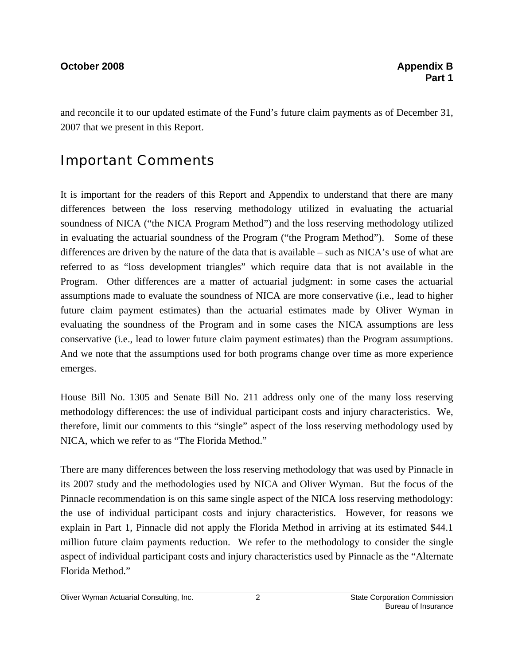and reconcile it to our updated estimate of the Fund's future claim payments as of December 31, 2007 that we present in this Report.

## Important Comments

It is important for the readers of this Report and Appendix to understand that there are many differences between the loss reserving methodology utilized in evaluating the actuarial soundness of NICA ("the NICA Program Method") and the loss reserving methodology utilized in evaluating the actuarial soundness of the Program ("the Program Method"). Some of these differences are driven by the nature of the data that is available – such as NICA's use of what are referred to as "loss development triangles" which require data that is not available in the Program. Other differences are a matter of actuarial judgment: in some cases the actuarial assumptions made to evaluate the soundness of NICA are more conservative (i.e., lead to higher future claim payment estimates) than the actuarial estimates made by Oliver Wyman in evaluating the soundness of the Program and in some cases the NICA assumptions are less conservative (i.e., lead to lower future claim payment estimates) than the Program assumptions. And we note that the assumptions used for both programs change over time as more experience emerges.

House Bill No. 1305 and Senate Bill No. 211 address only one of the many loss reserving methodology differences: the use of individual participant costs and injury characteristics. We, therefore, limit our comments to this "single" aspect of the loss reserving methodology used by NICA, which we refer to as "The Florida Method."

There are many differences between the loss reserving methodology that was used by Pinnacle in its 2007 study and the methodologies used by NICA and Oliver Wyman. But the focus of the Pinnacle recommendation is on this same single aspect of the NICA loss reserving methodology: the use of individual participant costs and injury characteristics. However, for reasons we explain in Part 1, Pinnacle did not apply the Florida Method in arriving at its estimated \$44.1 million future claim payments reduction. We refer to the methodology to consider the single aspect of individual participant costs and injury characteristics used by Pinnacle as the "Alternate Florida Method."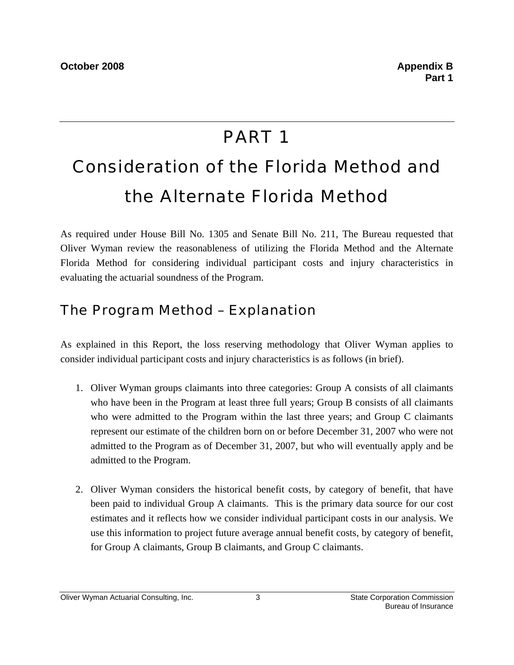## PART 1

# Consideration of the Florida Method and the Alternate Florida Method

As required under House Bill No. 1305 and Senate Bill No. 211, The Bureau requested that Oliver Wyman review the reasonableness of utilizing the Florida Method and the Alternate Florida Method for considering individual participant costs and injury characteristics in evaluating the actuarial soundness of the Program.

## The Program Method – Explanation

As explained in this Report, the loss reserving methodology that Oliver Wyman applies to consider individual participant costs and injury characteristics is as follows (in brief).

- 1. Oliver Wyman groups claimants into three categories: Group A consists of all claimants who have been in the Program at least three full years; Group B consists of all claimants who were admitted to the Program within the last three years; and Group C claimants represent our estimate of the children born on or before December 31, 2007 who were not admitted to the Program as of December 31, 2007, but who will eventually apply and be admitted to the Program.
- 2. Oliver Wyman considers the historical benefit costs, by category of benefit, that have been paid to individual Group A claimants. This is the primary data source for our cost estimates and it reflects how we consider individual participant costs in our analysis. We use this information to project future average annual benefit costs, by category of benefit, for Group A claimants, Group B claimants, and Group C claimants.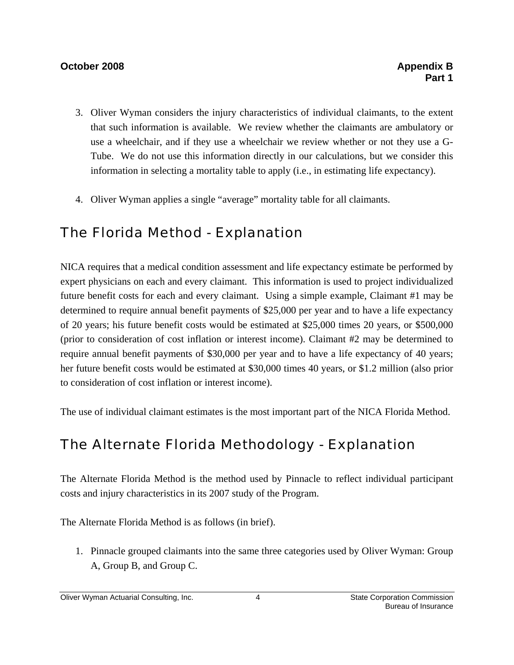### **October 2008 Appendix B 2008 Appendix B 2008**

- 3. Oliver Wyman considers the injury characteristics of individual claimants, to the extent that such information is available. We review whether the claimants are ambulatory or use a wheelchair, and if they use a wheelchair we review whether or not they use a G-Tube. We do not use this information directly in our calculations, but we consider this information in selecting a mortality table to apply (i.e., in estimating life expectancy).
- 4. Oliver Wyman applies a single "average" mortality table for all claimants.

## The Florida Method - Explanation

NICA requires that a medical condition assessment and life expectancy estimate be performed by expert physicians on each and every claimant. This information is used to project individualized future benefit costs for each and every claimant. Using a simple example, Claimant #1 may be determined to require annual benefit payments of \$25,000 per year and to have a life expectancy of 20 years; his future benefit costs would be estimated at \$25,000 times 20 years, or \$500,000 (prior to consideration of cost inflation or interest income). Claimant #2 may be determined to require annual benefit payments of \$30,000 per year and to have a life expectancy of 40 years; her future benefit costs would be estimated at \$30,000 times 40 years, or \$1.2 million (also prior to consideration of cost inflation or interest income).

The use of individual claimant estimates is the most important part of the NICA Florida Method.

## The Alternate Florida Methodology - Explanation

The Alternate Florida Method is the method used by Pinnacle to reflect individual participant costs and injury characteristics in its 2007 study of the Program.

The Alternate Florida Method is as follows (in brief).

1. Pinnacle grouped claimants into the same three categories used by Oliver Wyman: Group A, Group B, and Group C.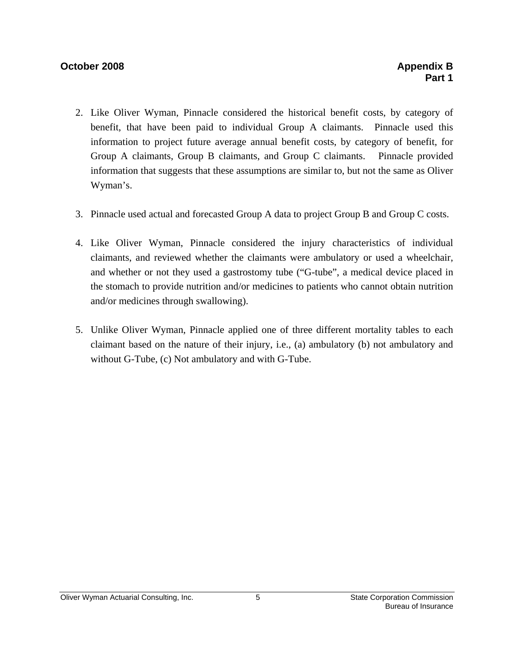### **October 2008 Appendix B Appendix B**

- 2. Like Oliver Wyman, Pinnacle considered the historical benefit costs, by category of benefit, that have been paid to individual Group A claimants. Pinnacle used this information to project future average annual benefit costs, by category of benefit, for Group A claimants, Group B claimants, and Group C claimants. Pinnacle provided information that suggests that these assumptions are similar to, but not the same as Oliver Wyman's.
- 3. Pinnacle used actual and forecasted Group A data to project Group B and Group C costs.
- 4. Like Oliver Wyman, Pinnacle considered the injury characteristics of individual claimants, and reviewed whether the claimants were ambulatory or used a wheelchair, and whether or not they used a gastrostomy tube ("G-tube", a medical device placed in the stomach to provide nutrition and/or medicines to patients who cannot obtain nutrition and/or medicines through swallowing).
- 5. Unlike Oliver Wyman, Pinnacle applied one of three different mortality tables to each claimant based on the nature of their injury, i.e., (a) ambulatory (b) not ambulatory and without G-Tube, (c) Not ambulatory and with G-Tube.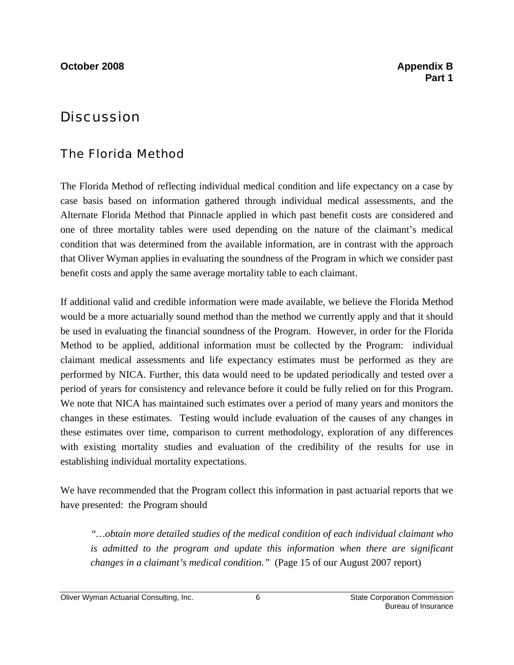## **Discussion**

## The Florida Method

The Florida Method of reflecting individual medical condition and life expectancy on a case by case basis based on information gathered through individual medical assessments, and the Alternate Florida Method that Pinnacle applied in which past benefit costs are considered and one of three mortality tables were used depending on the nature of the claimant's medical condition that was determined from the available information, are in contrast with the approach that Oliver Wyman applies in evaluating the soundness of the Program in which we consider past benefit costs and apply the same average mortality table to each claimant.

If additional valid and credible information were made available, we believe the Florida Method would be a more actuarially sound method than the method we currently apply and that it should be used in evaluating the financial soundness of the Program. However, in order for the Florida Method to be applied, additional information must be collected by the Program: individual claimant medical assessments and life expectancy estimates must be performed as they are performed by NICA. Further, this data would need to be updated periodically and tested over a period of years for consistency and relevance before it could be fully relied on for this Program. We note that NICA has maintained such estimates over a period of many years and monitors the changes in these estimates. Testing would include evaluation of the causes of any changes in these estimates over time, comparison to current methodology, exploration of any differences with existing mortality studies and evaluation of the credibility of the results for use in establishing individual mortality expectations.

We have recommended that the Program collect this information in past actuarial reports that we have presented: the Program should

*"…obtain more detailed studies of the medical condition of each individual claimant who is admitted to the program and update this information when there are significant changes in a claimant's medical condition."* (Page 15 of our August 2007 report)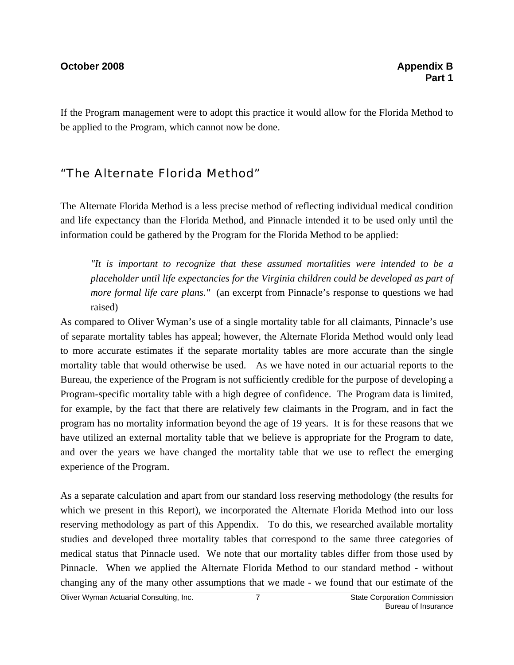If the Program management were to adopt this practice it would allow for the Florida Method to be applied to the Program, which cannot now be done.

## "The Alternate Florida Method"

The Alternate Florida Method is a less precise method of reflecting individual medical condition and life expectancy than the Florida Method, and Pinnacle intended it to be used only until the information could be gathered by the Program for the Florida Method to be applied:

*"It is important to recognize that these assumed mortalities were intended to be a placeholder until life expectancies for the Virginia children could be developed as part of more formal life care plans.*" (an excerpt from Pinnacle's response to questions we had raised)

As compared to Oliver Wyman's use of a single mortality table for all claimants, Pinnacle's use of separate mortality tables has appeal; however, the Alternate Florida Method would only lead to more accurate estimates if the separate mortality tables are more accurate than the single mortality table that would otherwise be used. As we have noted in our actuarial reports to the Bureau, the experience of the Program is not sufficiently credible for the purpose of developing a Program-specific mortality table with a high degree of confidence. The Program data is limited, for example, by the fact that there are relatively few claimants in the Program, and in fact the program has no mortality information beyond the age of 19 years. It is for these reasons that we have utilized an external mortality table that we believe is appropriate for the Program to date, and over the years we have changed the mortality table that we use to reflect the emerging experience of the Program.

As a separate calculation and apart from our standard loss reserving methodology (the results for which we present in this Report), we incorporated the Alternate Florida Method into our loss reserving methodology as part of this Appendix. To do this, we researched available mortality studies and developed three mortality tables that correspond to the same three categories of medical status that Pinnacle used. We note that our mortality tables differ from those used by Pinnacle. When we applied the Alternate Florida Method to our standard method - without changing any of the many other assumptions that we made - we found that our estimate of the

Oliver Wyman Actuarial Consulting, Inc. 7 State Corporation Commission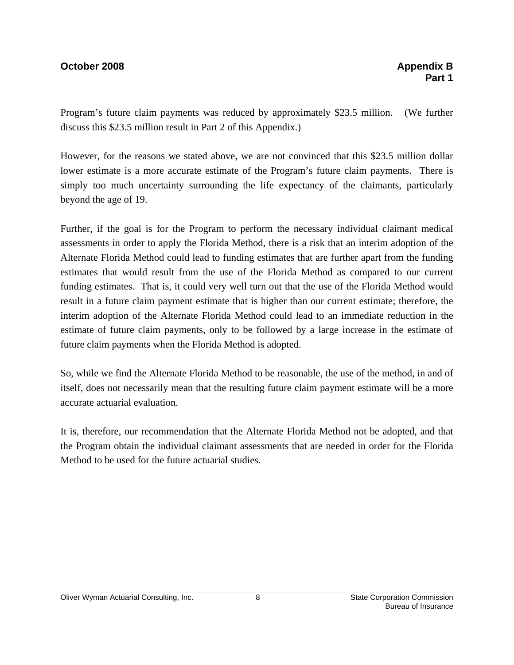### **October 2008 Appendix B 2008 Appendix B 2008**

Program's future claim payments was reduced by approximately \$23.5 million. (We further discuss this \$23.5 million result in Part 2 of this Appendix.)

However, for the reasons we stated above, we are not convinced that this \$23.5 million dollar lower estimate is a more accurate estimate of the Program's future claim payments. There is simply too much uncertainty surrounding the life expectancy of the claimants, particularly beyond the age of 19.

Further, if the goal is for the Program to perform the necessary individual claimant medical assessments in order to apply the Florida Method, there is a risk that an interim adoption of the Alternate Florida Method could lead to funding estimates that are further apart from the funding estimates that would result from the use of the Florida Method as compared to our current funding estimates. That is, it could very well turn out that the use of the Florida Method would result in a future claim payment estimate that is higher than our current estimate; therefore, the interim adoption of the Alternate Florida Method could lead to an immediate reduction in the estimate of future claim payments, only to be followed by a large increase in the estimate of future claim payments when the Florida Method is adopted.

So, while we find the Alternate Florida Method to be reasonable, the use of the method, in and of itself, does not necessarily mean that the resulting future claim payment estimate will be a more accurate actuarial evaluation.

It is, therefore, our recommendation that the Alternate Florida Method not be adopted, and that the Program obtain the individual claimant assessments that are needed in order for the Florida Method to be used for the future actuarial studies.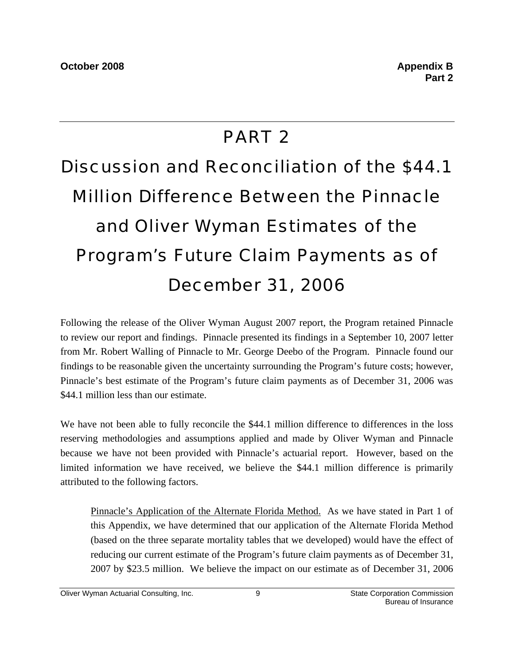## PART 2

# Discussion and Reconciliation of the \$44.1 Million Difference Between the Pinnacle and Oliver Wyman Estimates of the Program's Future Claim Payments as of December 31, 2006

Following the release of the Oliver Wyman August 2007 report, the Program retained Pinnacle to review our report and findings. Pinnacle presented its findings in a September 10, 2007 letter from Mr. Robert Walling of Pinnacle to Mr. George Deebo of the Program. Pinnacle found our findings to be reasonable given the uncertainty surrounding the Program's future costs; however, Pinnacle's best estimate of the Program's future claim payments as of December 31, 2006 was \$44.1 million less than our estimate.

We have not been able to fully reconcile the \$44.1 million difference to differences in the loss reserving methodologies and assumptions applied and made by Oliver Wyman and Pinnacle because we have not been provided with Pinnacle's actuarial report. However, based on the limited information we have received, we believe the \$44.1 million difference is primarily attributed to the following factors.

Pinnacle's Application of the Alternate Florida Method. As we have stated in Part 1 of this Appendix, we have determined that our application of the Alternate Florida Method (based on the three separate mortality tables that we developed) would have the effect of reducing our current estimate of the Program's future claim payments as of December 31, 2007 by \$23.5 million. We believe the impact on our estimate as of December 31, 2006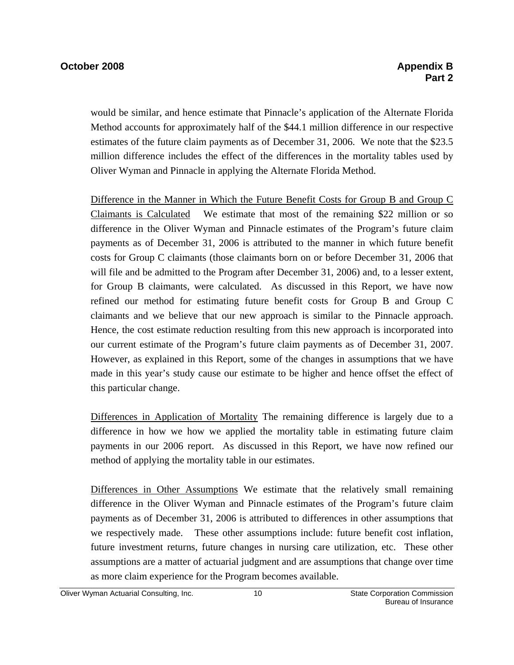would be similar, and hence estimate that Pinnacle's application of the Alternate Florida Method accounts for approximately half of the \$44.1 million difference in our respective estimates of the future claim payments as of December 31, 2006. We note that the \$23.5 million difference includes the effect of the differences in the mortality tables used by Oliver Wyman and Pinnacle in applying the Alternate Florida Method.

Difference in the Manner in Which the Future Benefit Costs for Group B and Group C Claimants is Calculated We estimate that most of the remaining \$22 million or so difference in the Oliver Wyman and Pinnacle estimates of the Program's future claim payments as of December 31, 2006 is attributed to the manner in which future benefit costs for Group C claimants (those claimants born on or before December 31, 2006 that will file and be admitted to the Program after December 31, 2006) and, to a lesser extent, for Group B claimants, were calculated. As discussed in this Report, we have now refined our method for estimating future benefit costs for Group B and Group C claimants and we believe that our new approach is similar to the Pinnacle approach. Hence, the cost estimate reduction resulting from this new approach is incorporated into our current estimate of the Program's future claim payments as of December 31, 2007. However, as explained in this Report, some of the changes in assumptions that we have made in this year's study cause our estimate to be higher and hence offset the effect of this particular change.

Differences in Application of Mortality The remaining difference is largely due to a difference in how we how we applied the mortality table in estimating future claim payments in our 2006 report. As discussed in this Report, we have now refined our method of applying the mortality table in our estimates.

Differences in Other Assumptions We estimate that the relatively small remaining difference in the Oliver Wyman and Pinnacle estimates of the Program's future claim payments as of December 31, 2006 is attributed to differences in other assumptions that we respectively made. These other assumptions include: future benefit cost inflation, future investment returns, future changes in nursing care utilization, etc. These other assumptions are a matter of actuarial judgment and are assumptions that change over time as more claim experience for the Program becomes available.